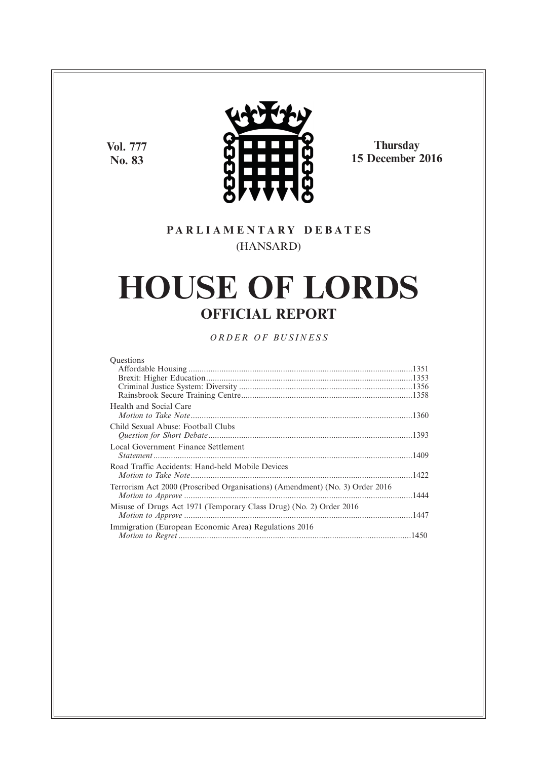**Vol. 777 No. 83**



**Thursday 15 December 2016**

### **P A R L I A M E N T A R Y D E B A T E S** (HANSARD)

# **HOUSE OF LORDS OFFICIAL REPORT**

*O R D E R O F BU S I N E S S*

| <b>Ouestions</b>                                                             |  |
|------------------------------------------------------------------------------|--|
|                                                                              |  |
|                                                                              |  |
|                                                                              |  |
|                                                                              |  |
| Health and Social Care                                                       |  |
|                                                                              |  |
| Child Sexual Abuse: Football Clubs                                           |  |
|                                                                              |  |
| Local Government Finance Settlement                                          |  |
|                                                                              |  |
| Road Traffic Accidents: Hand-held Mobile Devices                             |  |
|                                                                              |  |
|                                                                              |  |
| Terrorism Act 2000 (Proscribed Organisations) (Amendment) (No. 3) Order 2016 |  |
|                                                                              |  |
| Misuse of Drugs Act 1971 (Temporary Class Drug) (No. 2) Order 2016           |  |
|                                                                              |  |
| Immigration (European Economic Area) Regulations 2016                        |  |
|                                                                              |  |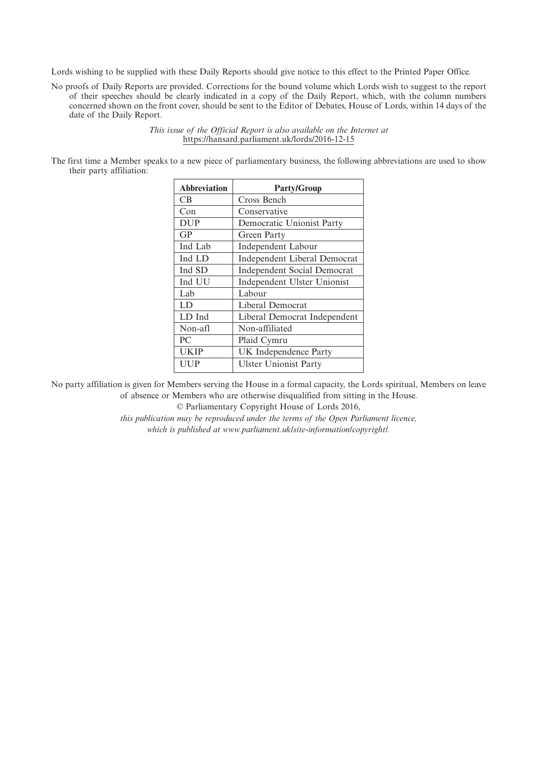Lords wishing to be supplied with these Daily Reports should give notice to this effect to the Printed Paper Office.

No proofs of Daily Reports are provided. Corrections for the bound volume which Lords wish to suggest to the report of their speeches should be clearly indicated in a copy of the Daily Report, which, with the column numbers concerned shown on the front cover, should be sent to the Editor of Debates, House of Lords, within 14 days of the date of the Daily Report.

> *This issue of the Official Report is also available on the Internet at* https://hansard.parliament.uk/lords/2016-12-15

The first time a Member speaks to a new piece of parliamentary business, the following abbreviations are used to show their party affiliation:

| <b>Abbreviation</b> | <b>Party/Group</b>                  |
|---------------------|-------------------------------------|
| CB.                 | Cross Bench                         |
| Con                 | Conservative                        |
| <b>DUP</b>          | Democratic Unionist Party           |
| GP                  | Green Party                         |
| Ind Lab             | <b>Independent Labour</b>           |
| Ind LD              | <b>Independent Liberal Democrat</b> |
| Ind SD              | <b>Independent Social Democrat</b>  |
| Ind UU              | Independent Ulster Unionist         |
| Lab                 | Labour                              |
| LD                  | Liberal Democrat                    |
| LD Ind              | Liberal Democrat Independent        |
| Non-afl             | Non-affiliated                      |
| PC                  | Plaid Cymru                         |
| <b>UKIP</b>         | UK Independence Party               |
| UUP                 | <b>Ulster Unionist Party</b>        |

No party affiliation is given for Members serving the House in a formal capacity, the Lords spiritual, Members on leave of absence or Members who are otherwise disqualified from sitting in the House.

© Parliamentary Copyright House of Lords 2016,

*this publication may be reproduced under the terms of the Open Parliament licence, which is published at www.parliament.uk/site-information/copyright/.*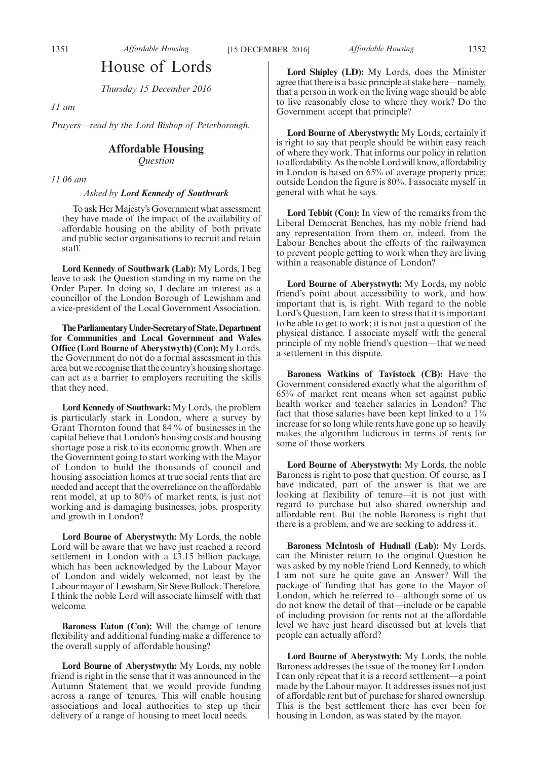### House of Lords

*Thursday 15 December 2016*

*11 am*

*Prayers—read by the Lord Bishop of Peterborough.*

#### **Affordable Housing**

*Question*

*11.06 am*

#### *Asked by Lord Kennedy of Southwark*

To ask Her Majesty's Government what assessment they have made of the impact of the availability of affordable housing on the ability of both private and public sector organisations to recruit and retain staff.

**Lord Kennedy of Southwark (Lab):** My Lords, I beg leave to ask the Question standing in my name on the Order Paper. In doing so, I declare an interest as a councillor of the London Borough of Lewisham and a vice-president of the Local Government Association.

**TheParliamentaryUnder-Secretaryof State,Department for Communities and Local Government and Wales Office (Lord Bourne of Aberystwyth) (Con):** My Lords, the Government do not do a formal assessment in this area but we recognise that the country's housing shortage can act as a barrier to employers recruiting the skills that they need.

**Lord Kennedy of Southwark:** My Lords, the problem is particularly stark in London, where a survey by Grant Thornton found that 84 % of businesses in the capital believe that London's housing costs and housing shortage pose a risk to its economic growth. When are the Government going to start working with the Mayor of London to build the thousands of council and housing association homes at true social rents that are needed and accept that the overreliance on the affordable rent model, at up to 80% of market rents, is just not working and is damaging businesses, jobs, prosperity and growth in London?

**Lord Bourne of Aberystwyth:** My Lords, the noble Lord will be aware that we have just reached a record settlement in London with a £3.15 billion package, which has been acknowledged by the Labour Mayor of London and widely welcomed, not least by the Labour mayor of Lewisham, Sir Steve Bullock. Therefore, I think the noble Lord will associate himself with that welcome.

**Baroness Eaton (Con):** Will the change of tenure flexibility and additional funding make a difference to the overall supply of affordable housing?

**Lord Bourne of Aberystwyth:** My Lords, my noble friend is right in the sense that it was announced in the Autumn Statement that we would provide funding across a range of tenures. This will enable housing associations and local authorities to step up their delivery of a range of housing to meet local needs.

**Lord Shipley (LD):** My Lords, does the Minister agree that there is a basic principle at stake here—namely, that a person in work on the living wage should be able to live reasonably close to where they work? Do the Government accept that principle?

**Lord Bourne of Aberystwyth:** My Lords, certainly it is right to say that people should be within easy reach of where they work. That informs our policy in relation to affordability. As the noble Lord will know, affordability in London is based on 65% of average property price; outside London the figure is 80%. I associate myself in general with what he says.

**Lord Tebbit (Con):** In view of the remarks from the Liberal Democrat Benches, has my noble friend had any representation from them or, indeed, from the Labour Benches about the efforts of the railwaymen to prevent people getting to work when they are living within a reasonable distance of London?

**Lord Bourne of Aberystwyth:** My Lords, my noble friend's point about accessibility to work, and how important that is, is right. With regard to the noble Lord's Question, I am keen to stress that it is important to be able to get to work; it is not just a question of the physical distance. I associate myself with the general principle of my noble friend's question—that we need a settlement in this dispute.

**Baroness Watkins of Tavistock (CB):** Have the Government considered exactly what the algorithm of 65% of market rent means when set against public health worker and teacher salaries in London? The fact that those salaries have been kept linked to a 1% increase for so long while rents have gone up so heavily makes the algorithm ludicrous in terms of rents for some of those workers.

**Lord Bourne of Aberystwyth:** My Lords, the noble Baroness is right to pose that question. Of course, as I have indicated, part of the answer is that we are looking at flexibility of tenure—it is not just with regard to purchase but also shared ownership and affordable rent. But the noble Baroness is right that there is a problem, and we are seeking to address it.

**Baroness McIntosh of Hudnall (Lab):** My Lords, can the Minister return to the original Question he was asked by my noble friend Lord Kennedy, to which I am not sure he quite gave an Answer? Will the package of funding that has gone to the Mayor of London, which he referred to—although some of us do not know the detail of that—include or be capable of including provision for rents not at the affordable level we have just heard discussed but at levels that people can actually afford?

**Lord Bourne of Aberystwyth:** My Lords, the noble Baroness addresses the issue of the money for London. I can only repeat that it is a record settlement—a point made by the Labour mayor. It addresses issues not just of affordable rent but of purchase for shared ownership. This is the best settlement there has ever been for housing in London, as was stated by the mayor.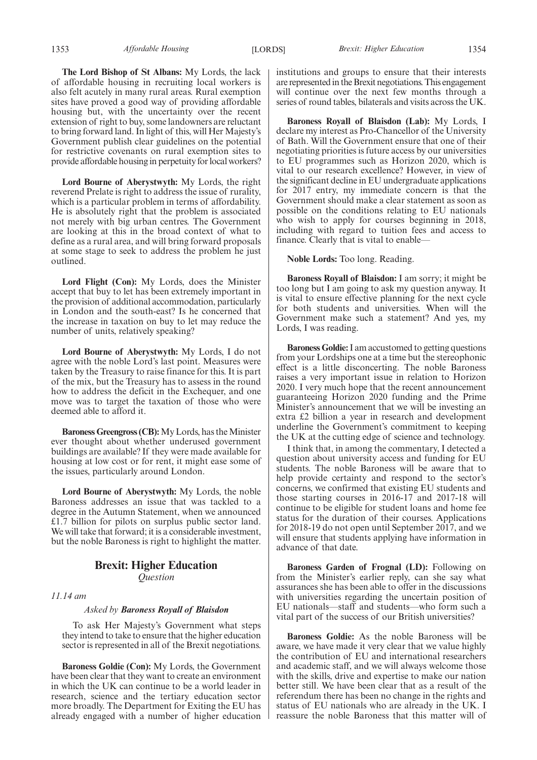**The Lord Bishop of St Albans:** My Lords, the lack of affordable housing in recruiting local workers is also felt acutely in many rural areas. Rural exemption sites have proved a good way of providing affordable housing but, with the uncertainty over the recent extension of right to buy, some landowners are reluctant to bring forward land. In light of this, will Her Majesty's Government publish clear guidelines on the potential for restrictive covenants on rural exemption sites to provide affordable housing in perpetuity for local workers?

**Lord Bourne of Aberystwyth:** My Lords, the right reverend Prelate is right to address the issue of rurality, which is a particular problem in terms of affordability. He is absolutely right that the problem is associated not merely with big urban centres. The Government are looking at this in the broad context of what to define as a rural area, and will bring forward proposals at some stage to seek to address the problem he just outlined.

**Lord Flight (Con):** My Lords, does the Minister accept that buy to let has been extremely important in the provision of additional accommodation, particularly in London and the south-east? Is he concerned that the increase in taxation on buy to let may reduce the number of units, relatively speaking?

**Lord Bourne of Aberystwyth:** My Lords, I do not agree with the noble Lord's last point. Measures were taken by the Treasury to raise finance for this. It is part of the mix, but the Treasury has to assess in the round how to address the deficit in the Exchequer, and one move was to target the taxation of those who were deemed able to afford it.

**Baroness Greengross (CB):**My Lords, has the Minister ever thought about whether underused government buildings are available? If they were made available for housing at low cost or for rent, it might ease some of the issues, particularly around London.

**Lord Bourne of Aberystwyth:** My Lords, the noble Baroness addresses an issue that was tackled to a degree in the Autumn Statement, when we announced £1.7 billion for pilots on surplus public sector land. We will take that forward; it is a considerable investment, but the noble Baroness is right to highlight the matter.

#### **Brexit: Higher Education** *Question*

#### *11.14 am*

#### *Asked by Baroness Royall of Blaisdon*

To ask Her Majesty's Government what steps they intend to take to ensure that the higher education sector is represented in all of the Brexit negotiations.

**Baroness Goldie (Con):** My Lords, the Government have been clear that they want to create an environment in which the UK can continue to be a world leader in research, science and the tertiary education sector more broadly. The Department for Exiting the EU has already engaged with a number of higher education institutions and groups to ensure that their interests are represented in the Brexit negotiations. This engagement will continue over the next few months through a series of round tables, bilaterals and visits across the UK.

**Baroness Royall of Blaisdon (Lab):** My Lords, I declare my interest as Pro-Chancellor of the University of Bath. Will the Government ensure that one of their negotiating priorities is future access by our universities to EU programmes such as Horizon 2020, which is vital to our research excellence? However, in view of the significant decline in EU undergraduate applications for 2017 entry, my immediate concern is that the Government should make a clear statement as soon as possible on the conditions relating to EU nationals who wish to apply for courses beginning in 2018, including with regard to tuition fees and access to finance. Clearly that is vital to enable—

**Noble Lords:** Too long. Reading.

**Baroness Royall of Blaisdon:** I am sorry; it might be too long but I am going to ask my question anyway. It is vital to ensure effective planning for the next cycle for both students and universities. When will the Government make such a statement? And yes, my Lords, I was reading.

**Baroness Goldie:**I am accustomed to getting questions from your Lordships one at a time but the stereophonic effect is a little disconcerting. The noble Baroness raises a very important issue in relation to Horizon 2020. I very much hope that the recent announcement guaranteeing Horizon 2020 funding and the Prime Minister's announcement that we will be investing an extra £2 billion a year in research and development underline the Government's commitment to keeping the UK at the cutting edge of science and technology.

I think that, in among the commentary, I detected a question about university access and funding for EU students. The noble Baroness will be aware that to help provide certainty and respond to the sector's concerns, we confirmed that existing EU students and those starting courses in 2016-17 and 2017-18 will continue to be eligible for student loans and home fee status for the duration of their courses. Applications for 2018-19 do not open until September 2017, and we will ensure that students applying have information in advance of that date.

**Baroness Garden of Frognal (LD):** Following on from the Minister's earlier reply, can she say what assurances she has been able to offer in the discussions with universities regarding the uncertain position of EU nationals—staff and students—who form such a vital part of the success of our British universities?

**Baroness Goldie:** As the noble Baroness will be aware, we have made it very clear that we value highly the contribution of EU and international researchers and academic staff, and we will always welcome those with the skills, drive and expertise to make our nation better still. We have been clear that as a result of the referendum there has been no change in the rights and status of EU nationals who are already in the UK. I reassure the noble Baroness that this matter will of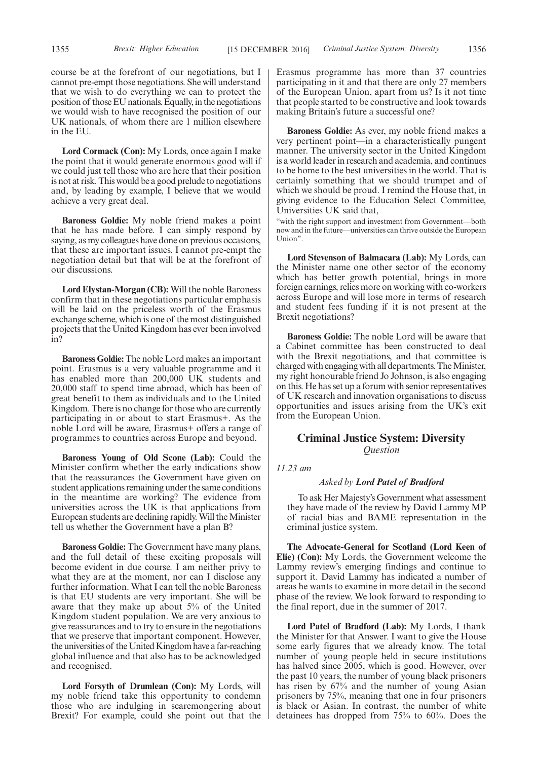course be at the forefront of our negotiations, but I cannot pre-empt those negotiations. She will understand that we wish to do everything we can to protect the position of those EU nationals. Equally, in the negotiations we would wish to have recognised the position of our UK nationals, of whom there are 1 million elsewhere in the EU.

**Lord Cormack (Con):** My Lords, once again I make the point that it would generate enormous good will if we could just tell those who are here that their position is not at risk. This would be a good prelude to negotiations and, by leading by example, I believe that we would achieve a very great deal.

**Baroness Goldie:** My noble friend makes a point that he has made before. I can simply respond by saying, as my colleagues have done on previous occasions, that these are important issues. I cannot pre-empt the negotiation detail but that will be at the forefront of our discussions.

**Lord Elystan-Morgan (CB):** Will the noble Baroness confirm that in these negotiations particular emphasis will be laid on the priceless worth of the Erasmus exchange scheme, which is one of the most distinguished projects that the United Kingdom has ever been involved in?

**Baroness Goldie:** The noble Lord makes an important point. Erasmus is a very valuable programme and it has enabled more than 200,000 UK students and 20,000 staff to spend time abroad, which has been of great benefit to them as individuals and to the United Kingdom. There is no change for those who are currently participating in or about to start Erasmus+. As the noble Lord will be aware, Erasmus+ offers a range of programmes to countries across Europe and beyond.

**Baroness Young of Old Scone (Lab):** Could the Minister confirm whether the early indications show that the reassurances the Government have given on student applications remaining under the same conditions in the meantime are working? The evidence from universities across the UK is that applications from European students are declining rapidly. Will the Minister tell us whether the Government have a plan B?

**Baroness Goldie:** The Government have many plans, and the full detail of these exciting proposals will become evident in due course. I am neither privy to what they are at the moment, nor can I disclose any further information. What I can tell the noble Baroness is that EU students are very important. She will be aware that they make up about 5% of the United Kingdom student population. We are very anxious to give reassurances and to try to ensure in the negotiations that we preserve that important component. However, the universities of the United Kingdom have a far-reaching global influence and that also has to be acknowledged and recognised.

**Lord Forsyth of Drumlean (Con):** My Lords, will my noble friend take this opportunity to condemn those who are indulging in scaremongering about Brexit? For example, could she point out that the Erasmus programme has more than 37 countries participating in it and that there are only 27 members of the European Union, apart from us? Is it not time that people started to be constructive and look towards making Britain's future a successful one?

**Baroness Goldie:** As ever, my noble friend makes a very pertinent point—in a characteristically pungent manner. The university sector in the United Kingdom is a world leader in research and academia, and continues to be home to the best universities in the world. That is certainly something that we should trumpet and of which we should be proud. I remind the House that, in giving evidence to the Education Select Committee, Universities UK said that,

"with the right support and investment from Government—both now and in the future—universities can thrive outside the European Union".

**Lord Stevenson of Balmacara (Lab):** My Lords, can the Minister name one other sector of the economy which has better growth potential, brings in more foreign earnings, relies more on working with co-workers across Europe and will lose more in terms of research and student fees funding if it is not present at the Brexit negotiations?

**Baroness Goldie:** The noble Lord will be aware that a Cabinet committee has been constructed to deal with the Brexit negotiations, and that committee is charged with engaging with all departments. The Minister, my right honourable friend Jo Johnson, is also engaging on this. He has set up a forum with senior representatives of UK research and innovation organisations to discuss opportunities and issues arising from the UK's exit from the European Union.

### **Criminal Justice System: Diversity** *Question*

#### *11.23 am*

#### *Asked by Lord Patel of Bradford*

To ask Her Majesty's Government what assessment they have made of the review by David Lammy MP of racial bias and BAME representation in the criminal justice system.

**The Advocate-General for Scotland (Lord Keen of Elie) (Con):** My Lords, the Government welcome the Lammy review's emerging findings and continue to support it. David Lammy has indicated a number of areas he wants to examine in more detail in the second phase of the review. We look forward to responding to the final report, due in the summer of 2017.

**Lord Patel of Bradford (Lab):** My Lords, I thank the Minister for that Answer. I want to give the House some early figures that we already know. The total number of young people held in secure institutions has halved since 2005, which is good. However, over the past 10 years, the number of young black prisoners has risen by 67% and the number of young Asian prisoners by 75%, meaning that one in four prisoners is black or Asian. In contrast, the number of white detainees has dropped from 75% to 60%. Does the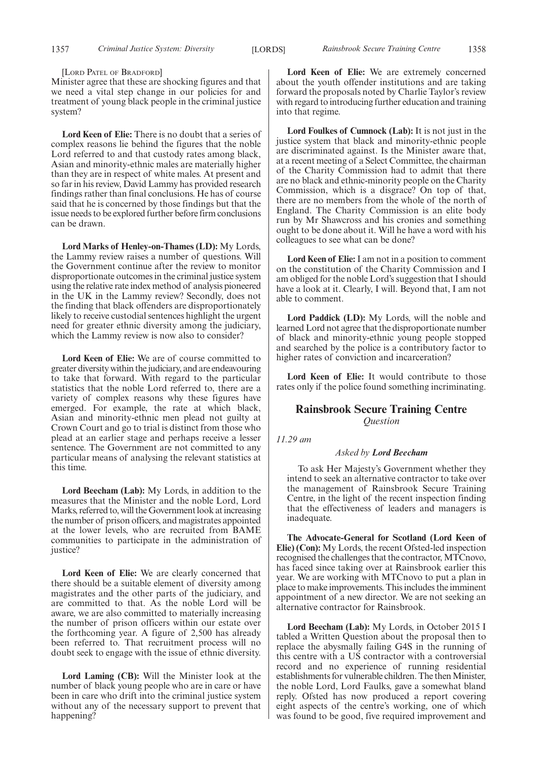[LORD PATEL OF BRADFORD]

Minister agree that these are shocking figures and that we need a vital step change in our policies for and treatment of young black people in the criminal justice system?

**Lord Keen of Elie:** There is no doubt that a series of complex reasons lie behind the figures that the noble Lord referred to and that custody rates among black, Asian and minority-ethnic males are materially higher than they are in respect of white males. At present and so far in his review, David Lammy has provided research findings rather than final conclusions. He has of course said that he is concerned by those findings but that the issue needs to be explored further before firm conclusions can be drawn.

**Lord Marks of Henley-on-Thames (LD):** My Lords, the Lammy review raises a number of questions. Will the Government continue after the review to monitor disproportionate outcomes in the criminal justice system using the relative rate index method of analysis pioneered in the UK in the Lammy review? Secondly, does not the finding that black offenders are disproportionately likely to receive custodial sentences highlight the urgent need for greater ethnic diversity among the judiciary, which the Lammy review is now also to consider?

**Lord Keen of Elie:** We are of course committed to greater diversity within the judiciary, and are endeavouring to take that forward. With regard to the particular statistics that the noble Lord referred to, there are a variety of complex reasons why these figures have emerged. For example, the rate at which black, Asian and minority-ethnic men plead not guilty at Crown Court and go to trial is distinct from those who plead at an earlier stage and perhaps receive a lesser sentence. The Government are not committed to any particular means of analysing the relevant statistics at this time.

**Lord Beecham (Lab):** My Lords, in addition to the measures that the Minister and the noble Lord, Lord Marks, referred to, will the Government look at increasing the number of prison officers, and magistrates appointed at the lower levels, who are recruited from BAME communities to participate in the administration of justice?

**Lord Keen of Elie:** We are clearly concerned that there should be a suitable element of diversity among magistrates and the other parts of the judiciary, and are committed to that. As the noble Lord will be aware, we are also committed to materially increasing the number of prison officers within our estate over the forthcoming year. A figure of 2,500 has already been referred to. That recruitment process will no doubt seek to engage with the issue of ethnic diversity.

**Lord Laming (CB):** Will the Minister look at the number of black young people who are in care or have been in care who drift into the criminal justice system without any of the necessary support to prevent that happening?

**Lord Keen of Elie:** We are extremely concerned about the youth offender institutions and are taking forward the proposals noted by Charlie Taylor's review with regard to introducing further education and training into that regime.

**Lord Foulkes of Cumnock (Lab):** It is not just in the justice system that black and minority-ethnic people are discriminated against. Is the Minister aware that, at a recent meeting of a Select Committee, the chairman of the Charity Commission had to admit that there are no black and ethnic-minority people on the Charity Commission, which is a disgrace? On top of that, there are no members from the whole of the north of England. The Charity Commission is an elite body run by Mr Shawcross and his cronies and something ought to be done about it. Will he have a word with his colleagues to see what can be done?

**Lord Keen of Elie:**I am not in a position to comment on the constitution of the Charity Commission and I am obliged for the noble Lord's suggestion that I should have a look at it. Clearly, I will. Beyond that, I am not able to comment.

**Lord Paddick (LD):** My Lords, will the noble and learned Lord not agree that the disproportionate number of black and minority-ethnic young people stopped and searched by the police is a contributory factor to higher rates of conviction and incarceration?

**Lord Keen of Elie:** It would contribute to those rates only if the police found something incriminating.

#### **Rainsbrook Secure Training Centre** *Question*

*11.29 am*

#### *Asked by Lord Beecham*

To ask Her Majesty's Government whether they intend to seek an alternative contractor to take over the management of Rainsbrook Secure Training Centre, in the light of the recent inspection finding that the effectiveness of leaders and managers is inadequate.

**The Advocate-General for Scotland (Lord Keen of Elie) (Con):** My Lords, the recent Ofsted-led inspection recognised the challenges that the contractor, MTCnovo, has faced since taking over at Rainsbrook earlier this year. We are working with MTCnovo to put a plan in place to make improvements. This includes the imminent appointment of a new director. We are not seeking an alternative contractor for Rainsbrook.

**Lord Beecham (Lab):** My Lords, in October 2015 I tabled a Written Question about the proposal then to replace the abysmally failing G4S in the running of this centre with a US contractor with a controversial record and no experience of running residential establishments for vulnerable children. The then Minister, the noble Lord, Lord Faulks, gave a somewhat bland reply. Ofsted has now produced a report covering eight aspects of the centre's working, one of which was found to be good, five required improvement and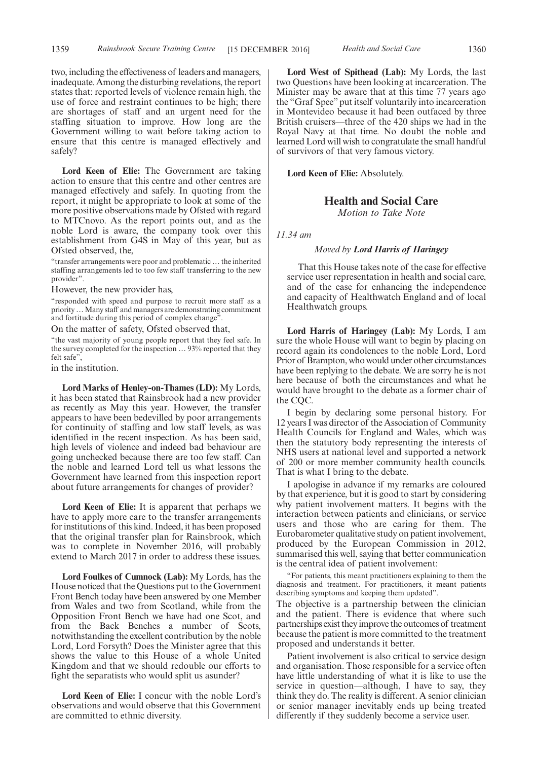two, including the effectiveness of leaders and managers, inadequate. Among the disturbing revelations, the report states that: reported levels of violence remain high, the use of force and restraint continues to be high; there are shortages of staff and an urgent need for the staffing situation to improve. How long are the Government willing to wait before taking action to ensure that this centre is managed effectively and safely?

**Lord Keen of Elie:** The Government are taking action to ensure that this centre and other centres are managed effectively and safely. In quoting from the report, it might be appropriate to look at some of the more positive observations made by Ofsted with regard to MTCnovo. As the report points out, and as the noble Lord is aware, the company took over this establishment from G4S in May of this year, but as Ofsted observed, the,

"transfer arrangements were poor and problematic … the inherited staffing arrangements led to too few staff transferring to the new provider".

However, the new provider has,

"responded with speed and purpose to recruit more staff as a priority…Many staff and managers are demonstrating commitment and fortitude during this period of complex change".

On the matter of safety, Ofsted observed that,

"the vast majority of young people report that they feel safe. In the survey completed for the inspection … 93% reported that they felt safe",

in the institution.

**Lord Marks of Henley-on-Thames (LD):** My Lords, it has been stated that Rainsbrook had a new provider as recently as May this year. However, the transfer appears to have been bedevilled by poor arrangements for continuity of staffing and low staff levels, as was identified in the recent inspection. As has been said, high levels of violence and indeed bad behaviour are going unchecked because there are too few staff. Can the noble and learned Lord tell us what lessons the Government have learned from this inspection report about future arrangements for changes of provider?

**Lord Keen of Elie:** It is apparent that perhaps we have to apply more care to the transfer arrangements for institutions of this kind. Indeed, it has been proposed that the original transfer plan for Rainsbrook, which was to complete in November 2016, will probably extend to March 2017 in order to address these issues.

**Lord Foulkes of Cumnock (Lab):** My Lords, has the House noticed that the Questions put to the Government Front Bench today have been answered by one Member from Wales and two from Scotland, while from the Opposition Front Bench we have had one Scot, and from the Back Benches a number of Scots, notwithstanding the excellent contribution by the noble Lord, Lord Forsyth? Does the Minister agree that this shows the value to this House of a whole United Kingdom and that we should redouble our efforts to fight the separatists who would split us asunder?

**Lord Keen of Elie:** I concur with the noble Lord's observations and would observe that this Government are committed to ethnic diversity.

**Lord West of Spithead (Lab):** My Lords, the last two Questions have been looking at incarceration. The Minister may be aware that at this time 77 years ago the "Graf Spee"put itself voluntarily into incarceration in Montevideo because it had been outfaced by three British cruisers—three of the 420 ships we had in the Royal Navy at that time. No doubt the noble and learned Lord will wish to congratulate the small handful of survivors of that very famous victory.

**Lord Keen of Elie:** Absolutely.

#### **Health and Social Care**

*Motion to Take Note*

*11.34 am*

#### *Moved by Lord Harris of Haringey*

That this House takes note of the case for effective service user representation in health and social care, and of the case for enhancing the independence and capacity of Healthwatch England and of local Healthwatch groups.

**Lord Harris of Haringey (Lab):** My Lords, I am sure the whole House will want to begin by placing on record again its condolences to the noble Lord, Lord Prior of Brampton, who would under other circumstances have been replying to the debate. We are sorry he is not here because of both the circumstances and what he would have brought to the debate as a former chair of the CQC.

I begin by declaring some personal history. For 12 years I was director of the Association of Community Health Councils for England and Wales, which was then the statutory body representing the interests of NHS users at national level and supported a network of 200 or more member community health councils. That is what I bring to the debate.

I apologise in advance if my remarks are coloured by that experience, but it is good to start by considering why patient involvement matters. It begins with the interaction between patients and clinicians, or service users and those who are caring for them. The Eurobarometer qualitative study on patient involvement, produced by the European Commission in 2012, summarised this well, saying that better communication is the central idea of patient involvement:

"For patients, this meant practitioners explaining to them the diagnosis and treatment. For practitioners, it meant patients describing symptoms and keeping them updated".

The objective is a partnership between the clinician and the patient. There is evidence that where such partnerships exist they improve the outcomes of treatment because the patient is more committed to the treatment proposed and understands it better.

Patient involvement is also critical to service design and organisation. Those responsible for a service often have little understanding of what it is like to use the service in question—although, I have to say, they think they do. The reality is different. A senior clinician or senior manager inevitably ends up being treated differently if they suddenly become a service user.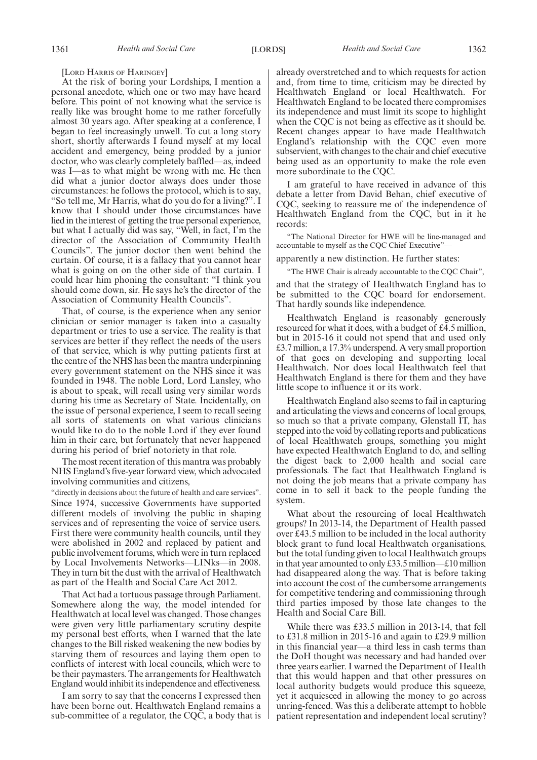#### [LORD HARRIS OF HARINGEY]

At the risk of boring your Lordships, I mention a personal anecdote, which one or two may have heard before. This point of not knowing what the service is really like was brought home to me rather forcefully almost 30 years ago. After speaking at a conference, I began to feel increasingly unwell. To cut a long story short, shortly afterwards I found myself at my local accident and emergency, being prodded by a junior doctor, who was clearly completely baffled—as, indeed was I—as to what might be wrong with me. He then did what a junior doctor always does under those circumstances: he follows the protocol, which is to say, "So tell me, Mr Harris, what do you do for a living?". I know that I should under those circumstances have lied in the interest of getting the true personal experience, but what I actually did was say, "Well, in fact, I'm the director of the Association of Community Health Councils". The junior doctor then went behind the curtain. Of course, it is a fallacy that you cannot hear what is going on on the other side of that curtain. I could hear him phoning the consultant: "I think you should come down, sir. He says he's the director of the Association of Community Health Councils".

That, of course, is the experience when any senior clinician or senior manager is taken into a casualty department or tries to use a service. The reality is that services are better if they reflect the needs of the users of that service, which is why putting patients first at the centre of the NHS has been the mantra underpinning every government statement on the NHS since it was founded in 1948. The noble Lord, Lord Lansley, who is about to speak, will recall using very similar words during his time as Secretary of State. Incidentally, on the issue of personal experience, I seem to recall seeing all sorts of statements on what various clinicians would like to do to the noble Lord if they ever found him in their care, but fortunately that never happened during his period of brief notoriety in that role.

The most recent iteration of this mantra was probably NHS England's five-year forward view, which advocated involving communities and citizens,

"directly in decisions about the future of health and care services". Since 1974, successive Governments have supported different models of involving the public in shaping services and of representing the voice of service users. First there were community health councils, until they were abolished in 2002 and replaced by patient and public involvement forums, which were in turn replaced by Local Involvements Networks—LINks—in 2008. They in turn bit the dust with the arrival of Healthwatch as part of the Health and Social Care Act 2012.

That Act had a tortuous passage through Parliament. Somewhere along the way, the model intended for Healthwatch at local level was changed. Those changes were given very little parliamentary scrutiny despite my personal best efforts, when I warned that the late changes to the Bill risked weakening the new bodies by starving them of resources and laying them open to conflicts of interest with local councils, which were to be their paymasters. The arrangements for Healthwatch England would inhibit its independence and effectiveness.

I am sorry to say that the concerns I expressed then have been borne out. Healthwatch England remains a sub-committee of a regulator, the CQC, a body that is already overstretched and to which requests for action and, from time to time, criticism may be directed by Healthwatch England or local Healthwatch. For Healthwatch England to be located there compromises its independence and must limit its scope to highlight when the CQC is not being as effective as it should be. Recent changes appear to have made Healthwatch England's relationship with the CQC even more subservient, with changes to the chair and chief executive being used as an opportunity to make the role even more subordinate to the CQC.

I am grateful to have received in advance of this debate a letter from David Behan, chief executive of CQC, seeking to reassure me of the independence of Healthwatch England from the CQC, but in it he records:

"The National Director for HWE will be line-managed and accountable to myself as the CQC Chief Executive"—

apparently a new distinction. He further states:

"The HWE Chair is already accountable to the CQC Chair",

and that the strategy of Healthwatch England has to be submitted to the CQC board for endorsement. That hardly sounds like independence.

Healthwatch England is reasonably generously resourced for what it does, with a budget of £4.5 million, but in 2015-16 it could not spend that and used only £3.7 million, a 17.3% underspend. A very small proportion of that goes on developing and supporting local Healthwatch. Nor does local Healthwatch feel that Healthwatch England is there for them and they have little scope to influence it or its work.

Healthwatch England also seems to fail in capturing and articulating the views and concerns of local groups, so much so that a private company, Glenstall IT, has stepped into the void by collating reports and publications of local Healthwatch groups, something you might have expected Healthwatch England to do, and selling the digest back to 2,000 health and social care professionals. The fact that Healthwatch England is not doing the job means that a private company has come in to sell it back to the people funding the system.

What about the resourcing of local Healthwatch groups? In 2013-14, the Department of Health passed over £43.5 million to be included in the local authority block grant to fund local Healthwatch organisations, but the total funding given to local Healthwatch groups in that year amounted to only £33.5 million—£10 million had disappeared along the way. That is before taking into account the cost of the cumbersome arrangements for competitive tendering and commissioning through third parties imposed by those late changes to the Health and Social Care Bill.

While there was £33.5 million in 2013-14, that fell to £31.8 million in 2015-16 and again to £29.9 million in this financial year—a third less in cash terms than the DoH thought was necessary and had handed over three years earlier. I warned the Department of Health that this would happen and that other pressures on local authority budgets would produce this squeeze, yet it acquiesced in allowing the money to go across unring-fenced. Was this a deliberate attempt to hobble patient representation and independent local scrutiny?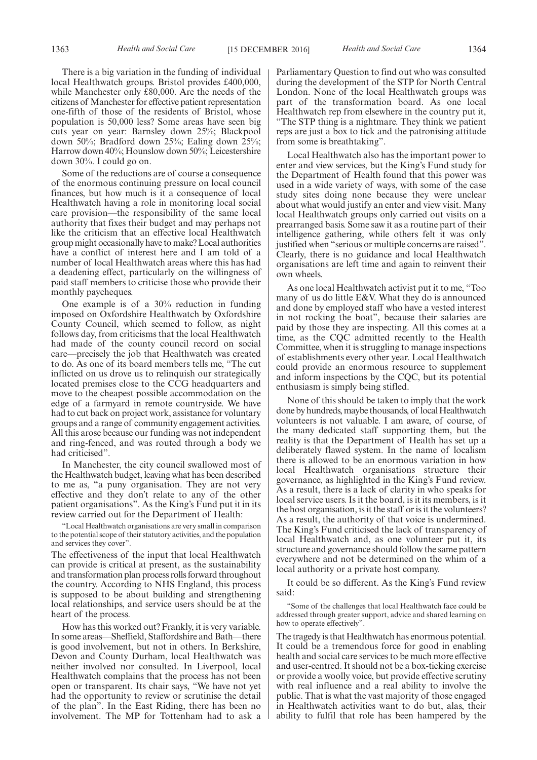There is a big variation in the funding of individual local Healthwatch groups. Bristol provides £400,000, while Manchester only £80,000. Are the needs of the citizens of Manchester for effective patient representation one-fifth of those of the residents of Bristol, whose population is 50,000 less? Some areas have seen big cuts year on year: Barnsley down 25%; Blackpool down 50%; Bradford down 25%; Ealing down 25%; Harrow down 40%; Hounslow down 50%; Leicestershire down 30%. I could go on.

Some of the reductions are of course a consequence of the enormous continuing pressure on local council finances, but how much is it a consequence of local Healthwatch having a role in monitoring local social care provision—the responsibility of the same local authority that fixes their budget and may perhaps not like the criticism that an effective local Healthwatch group might occasionally have to make? Local authorities have a conflict of interest here and I am told of a number of local Healthwatch areas where this has had a deadening effect, particularly on the willingness of paid staff members to criticise those who provide their monthly paycheques.

One example is of a 30% reduction in funding imposed on Oxfordshire Healthwatch by Oxfordshire County Council, which seemed to follow, as night follows day, from criticisms that the local Healthwatch had made of the county council record on social care—precisely the job that Healthwatch was created to do. As one of its board members tells me, "The cut inflicted on us drove us to relinquish our strategically located premises close to the CCG headquarters and move to the cheapest possible accommodation on the edge of a farmyard in remote countryside. We have had to cut back on project work, assistance for voluntary groups and a range of community engagement activities. All this arose because our funding was not independent and ring-fenced, and was routed through a body we had criticised".

In Manchester, the city council swallowed most of the Healthwatch budget, leaving what has been described to me as, "a puny organisation. They are not very effective and they don't relate to any of the other patient organisations". As the King's Fund put it in its review carried out for the Department of Health:

"Local Healthwatch organisations are very small in comparison to the potential scope of their statutory activities, and the population and services they cover".

The effectiveness of the input that local Healthwatch can provide is critical at present, as the sustainability and transformation plan process rolls forward throughout the country. According to NHS England, this process is supposed to be about building and strengthening local relationships, and service users should be at the heart of the process.

How has this worked out? Frankly, it is very variable. In some areas—Sheffield, Staffordshire and Bath—there is good involvement, but not in others. In Berkshire, Devon and County Durham, local Healthwatch was neither involved nor consulted. In Liverpool, local Healthwatch complains that the process has not been open or transparent. Its chair says, "We have not yet had the opportunity to review or scrutinise the detail of the plan". In the East Riding, there has been no involvement. The MP for Tottenham had to ask a Parliamentary Question to find out who was consulted during the development of the STP for North Central London. None of the local Healthwatch groups was part of the transformation board. As one local Healthwatch rep from elsewhere in the country put it, "The STP thing is a nightmare. They think we patient reps are just a box to tick and the patronising attitude from some is breathtaking".

Local Healthwatch also has the important power to enter and view services, but the King's Fund study for the Department of Health found that this power was used in a wide variety of ways, with some of the case study sites doing none because they were unclear about what would justify an enter and view visit. Many local Healthwatch groups only carried out visits on a prearranged basis. Some saw it as a routine part of their intelligence gathering, while others felt it was only justified when "serious or multiple concerns are raised". Clearly, there is no guidance and local Healthwatch organisations are left time and again to reinvent their own wheels.

As one local Healthwatch activist put it to me, "Too many of us do little E&V. What they do is announced and done by employed staff who have a vested interest in not rocking the boat", because their salaries are paid by those they are inspecting. All this comes at a time, as the CQC admitted recently to the Health Committee, when it is struggling to manage inspections of establishments every other year. Local Healthwatch could provide an enormous resource to supplement and inform inspections by the CQC, but its potential enthusiasm is simply being stifled.

None of this should be taken to imply that the work done by hundreds, maybe thousands, of local Healthwatch volunteers is not valuable. I am aware, of course, of the many dedicated staff supporting them, but the reality is that the Department of Health has set up a deliberately flawed system. In the name of localism there is allowed to be an enormous variation in how local Healthwatch organisations structure their governance, as highlighted in the King's Fund review. As a result, there is a lack of clarity in who speaks for local service users. Is it the board, is it its members, is it the host organisation, is it the staff or is it the volunteers? As a result, the authority of that voice is undermined. The King's Fund criticised the lack of transparency of local Healthwatch and, as one volunteer put it, its structure and governance should follow the same pattern everywhere and not be determined on the whim of a local authority or a private host company.

It could be so different. As the King's Fund review said:

"Some of the challenges that local Healthwatch face could be addressed through greater support, advice and shared learning on how to operate effectively".

The tragedy is that Healthwatch has enormous potential. It could be a tremendous force for good in enabling health and social care services to be much more effective and user-centred. It should not be a box-ticking exercise or provide a woolly voice, but provide effective scrutiny with real influence and a real ability to involve the public. That is what the vast majority of those engaged in Healthwatch activities want to do but, alas, their ability to fulfil that role has been hampered by the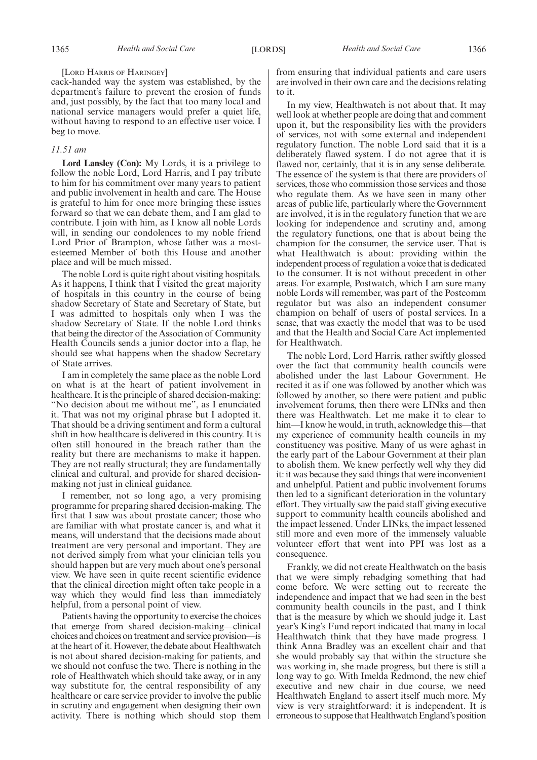#### [LORD HARRIS OF HARINGEY]

cack-handed way the system was established, by the department's failure to prevent the erosion of funds and, just possibly, by the fact that too many local and national service managers would prefer a quiet life, without having to respond to an effective user voice. I beg to move.

#### *11.51 am*

**Lord Lansley (Con):** My Lords, it is a privilege to follow the noble Lord, Lord Harris, and I pay tribute to him for his commitment over many years to patient and public involvement in health and care. The House is grateful to him for once more bringing these issues forward so that we can debate them, and I am glad to contribute. I join with him, as I know all noble Lords will, in sending our condolences to my noble friend Lord Prior of Brampton, whose father was a mostesteemed Member of both this House and another place and will be much missed.

The noble Lord is quite right about visiting hospitals. As it happens, I think that I visited the great majority of hospitals in this country in the course of being shadow Secretary of State and Secretary of State, but I was admitted to hospitals only when I was the shadow Secretary of State. If the noble Lord thinks that being the director of the Association of Community Health Councils sends a junior doctor into a flap, he should see what happens when the shadow Secretary of State arrives.

I am in completely the same place as the noble Lord on what is at the heart of patient involvement in healthcare. It is the principle of shared decision-making: "No decision about me without me", as I enunciated it. That was not my original phrase but I adopted it. That should be a driving sentiment and form a cultural shift in how healthcare is delivered in this country. It is often still honoured in the breach rather than the reality but there are mechanisms to make it happen. They are not really structural; they are fundamentally clinical and cultural, and provide for shared decisionmaking not just in clinical guidance.

I remember, not so long ago, a very promising programme for preparing shared decision-making. The first that I saw was about prostate cancer; those who are familiar with what prostate cancer is, and what it means, will understand that the decisions made about treatment are very personal and important. They are not derived simply from what your clinician tells you should happen but are very much about one's personal view. We have seen in quite recent scientific evidence that the clinical direction might often take people in a way which they would find less than immediately helpful, from a personal point of view.

Patients having the opportunity to exercise the choices that emerge from shared decision-making—clinical choices and choices on treatment and service provision—is at the heart of it. However, the debate about Healthwatch is not about shared decision-making for patients, and we should not confuse the two. There is nothing in the role of Healthwatch which should take away, or in any way substitute for, the central responsibility of any healthcare or care service provider to involve the public in scrutiny and engagement when designing their own activity. There is nothing which should stop them from ensuring that individual patients and care users are involved in their own care and the decisions relating to it.

In my view, Healthwatch is not about that. It may well look at whether people are doing that and comment upon it, but the responsibility lies with the providers of services, not with some external and independent regulatory function. The noble Lord said that it is a deliberately flawed system. I do not agree that it is flawed nor, certainly, that it is in any sense deliberate. The essence of the system is that there are providers of services, those who commission those services and those who regulate them. As we have seen in many other areas of public life, particularly where the Government are involved, it is in the regulatory function that we are looking for independence and scrutiny and, among the regulatory functions, one that is about being the champion for the consumer, the service user. That is what Healthwatch is about: providing within the independent process of regulation a voice that is dedicated to the consumer. It is not without precedent in other areas. For example, Postwatch, which I am sure many noble Lords will remember, was part of the Postcomm regulator but was also an independent consumer champion on behalf of users of postal services. In a sense, that was exactly the model that was to be used and that the Health and Social Care Act implemented for Healthwatch.

The noble Lord, Lord Harris, rather swiftly glossed over the fact that community health councils were abolished under the last Labour Government. He recited it as if one was followed by another which was followed by another, so there were patient and public involvement forums, then there were LINks and then there was Healthwatch. Let me make it to clear to him—I know he would, in truth, acknowledge this—that my experience of community health councils in my constituency was positive. Many of us were aghast in the early part of the Labour Government at their plan to abolish them. We knew perfectly well why they did it: it was because they said things that were inconvenient and unhelpful. Patient and public involvement forums then led to a significant deterioration in the voluntary effort. They virtually saw the paid staff giving executive support to community health councils abolished and the impact lessened. Under LINks, the impact lessened still more and even more of the immensely valuable volunteer effort that went into PPI was lost as a consequence.

Frankly, we did not create Healthwatch on the basis that we were simply rebadging something that had come before. We were setting out to recreate the independence and impact that we had seen in the best community health councils in the past, and I think that is the measure by which we should judge it. Last year's King's Fund report indicated that many in local Healthwatch think that they have made progress. I think Anna Bradley was an excellent chair and that she would probably say that within the structure she was working in, she made progress, but there is still a long way to go. With Imelda Redmond, the new chief executive and new chair in due course, we need Healthwatch England to assert itself much more. My view is very straightforward: it is independent. It is erroneous to suppose that Healthwatch England's position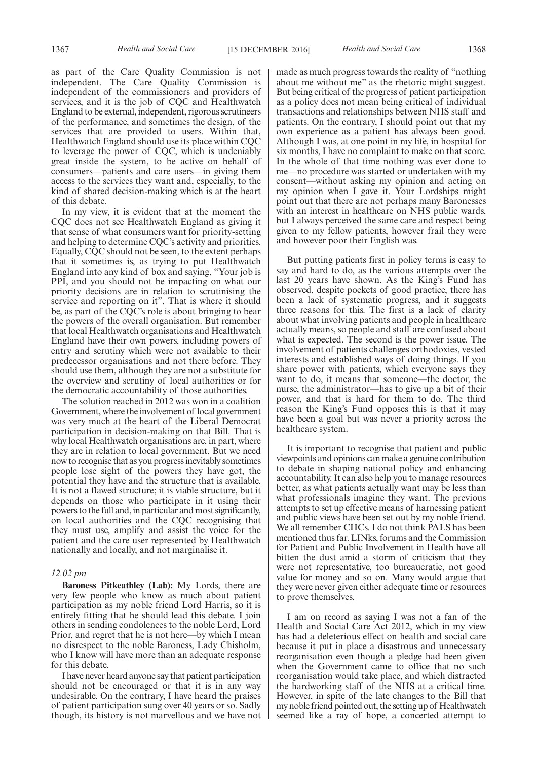1367 *Health and Social Care* [15 DECEMBER 2016] *Health and Social Care* 1368

as part of the Care Quality Commission is not independent. The Care Quality Commission is independent of the commissioners and providers of services, and it is the job of CQC and Healthwatch England to be external, independent, rigorous scrutineers of the performance, and sometimes the design, of the services that are provided to users. Within that, Healthwatch England should use its place within CQC to leverage the power of CQC, which is undeniably great inside the system, to be active on behalf of consumers—patients and care users—in giving them access to the services they want and, especially, to the kind of shared decision-making which is at the heart of this debate.

In my view, it is evident that at the moment the CQC does not see Healthwatch England as giving it that sense of what consumers want for priority-setting and helping to determine CQC's activity and priorities. Equally, CQC should not be seen, to the extent perhaps that it sometimes is, as trying to put Healthwatch England into any kind of box and saying, "Your job is PPI, and you should not be impacting on what our priority decisions are in relation to scrutinising the service and reporting on it". That is where it should be, as part of the CQC's role is about bringing to bear the powers of the overall organisation. But remember that local Healthwatch organisations and Healthwatch England have their own powers, including powers of entry and scrutiny which were not available to their predecessor organisations and not there before. They should use them, although they are not a substitute for the overview and scrutiny of local authorities or for the democratic accountability of those authorities.

The solution reached in 2012 was won in a coalition Government, where the involvement of local government was very much at the heart of the Liberal Democrat participation in decision-making on that Bill. That is why local Healthwatch organisations are, in part, where they are in relation to local government. But we need now to recognise that as you progress inevitably sometimes people lose sight of the powers they have got, the potential they have and the structure that is available. It is not a flawed structure; it is viable structure, but it depends on those who participate in it using their powers to the full and, in particular and most significantly, on local authorities and the CQC recognising that they must use, amplify and assist the voice for the patient and the care user represented by Healthwatch nationally and locally, and not marginalise it.

#### *12.02 pm*

**Baroness Pitkeathley (Lab):** My Lords, there are very few people who know as much about patient participation as my noble friend Lord Harris, so it is entirely fitting that he should lead this debate. I join others in sending condolences to the noble Lord, Lord Prior, and regret that he is not here—by which I mean no disrespect to the noble Baroness, Lady Chisholm, who I know will have more than an adequate response for this debate.

I have never heard anyone say that patient participation should not be encouraged or that it is in any way undesirable. On the contrary, I have heard the praises of patient participation sung over 40 years or so. Sadly though, its history is not marvellous and we have not made as much progress towards the reality of "nothing about me without me" as the rhetoric might suggest. But being critical of the progress of patient participation as a policy does not mean being critical of individual transactions and relationships between NHS staff and patients. On the contrary, I should point out that my own experience as a patient has always been good. Although I was, at one point in my life, in hospital for six months, I have no complaint to make on that score. In the whole of that time nothing was ever done to me—no procedure was started or undertaken with my consent—without asking my opinion and acting on my opinion when I gave it. Your Lordships might point out that there are not perhaps many Baronesses with an interest in healthcare on NHS public wards, but I always perceived the same care and respect being given to my fellow patients, however frail they were and however poor their English was.

But putting patients first in policy terms is easy to say and hard to do, as the various attempts over the last 20 years have shown. As the King's Fund has observed, despite pockets of good practice, there has been a lack of systematic progress, and it suggests three reasons for this. The first is a lack of clarity about what involving patients and people in healthcare actually means, so people and staff are confused about what is expected. The second is the power issue. The involvement of patients challenges orthodoxies, vested interests and established ways of doing things. If you share power with patients, which everyone says they want to do, it means that someone—the doctor, the nurse, the administrator—has to give up a bit of their power, and that is hard for them to do. The third reason the King's Fund opposes this is that it may have been a goal but was never a priority across the healthcare system.

It is important to recognise that patient and public viewpoints and opinions can make a genuine contribution to debate in shaping national policy and enhancing accountability. It can also help you to manage resources better, as what patients actually want may be less than what professionals imagine they want. The previous attempts to set up effective means of harnessing patient and public views have been set out by my noble friend. We all remember CHCs. I do not think PALS has been mentioned thus far. LINks, forums and the Commission for Patient and Public Involvement in Health have all bitten the dust amid a storm of criticism that they were not representative, too bureaucratic, not good value for money and so on. Many would argue that they were never given either adequate time or resources to prove themselves.

I am on record as saying I was not a fan of the Health and Social Care Act 2012, which in my view has had a deleterious effect on health and social care because it put in place a disastrous and unnecessary reorganisation even though a pledge had been given when the Government came to office that no such reorganisation would take place, and which distracted the hardworking staff of the NHS at a critical time. However, in spite of the late changes to the Bill that my noble friend pointed out, the setting up of Healthwatch seemed like a ray of hope, a concerted attempt to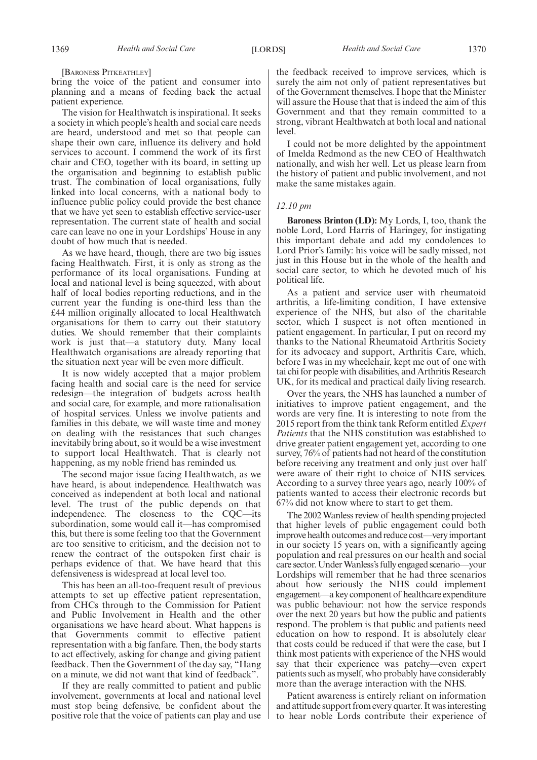bring the voice of the patient and consumer into planning and a means of feeding back the actual patient experience.

The vision for Healthwatch is inspirational. It seeks a society in which people's health and social care needs are heard, understood and met so that people can shape their own care, influence its delivery and hold services to account. I commend the work of its first chair and CEO, together with its board, in setting up the organisation and beginning to establish public trust. The combination of local organisations, fully linked into local concerns, with a national body to influence public policy could provide the best chance that we have yet seen to establish effective service-user representation. The current state of health and social care can leave no one in your Lordships' House in any doubt of how much that is needed.

As we have heard, though, there are two big issues facing Healthwatch. First, it is only as strong as the performance of its local organisations. Funding at local and national level is being squeezed, with about half of local bodies reporting reductions, and in the current year the funding is one-third less than the £44 million originally allocated to local Healthwatch organisations for them to carry out their statutory duties. We should remember that their complaints work is just that—a statutory duty. Many local Healthwatch organisations are already reporting that the situation next year will be even more difficult.

It is now widely accepted that a major problem facing health and social care is the need for service redesign—the integration of budgets across health and social care, for example, and more rationalisation of hospital services. Unless we involve patients and families in this debate, we will waste time and money on dealing with the resistances that such changes inevitabily bring about, so it would be a wise investment to support local Healthwatch. That is clearly not happening, as my noble friend has reminded us.

The second major issue facing Healthwatch, as we have heard, is about independence. Healthwatch was conceived as independent at both local and national level. The trust of the public depends on that independence. The closeness to the CQC—its subordination, some would call it—has compromised this, but there is some feeling too that the Government are too sensitive to criticism, and the decision not to renew the contract of the outspoken first chair is perhaps evidence of that. We have heard that this defensiveness is widespread at local level too.

This has been an all-too-frequent result of previous attempts to set up effective patient representation, from CHCs through to the Commission for Patient and Public Involvement in Health and the other organisations we have heard about. What happens is that Governments commit to effective patient representation with a big fanfare. Then, the body starts to act effectively, asking for change and giving patient feedback. Then the Government of the day say, "Hang on a minute, we did not want that kind of feedback".

If they are really committed to patient and public involvement, governments at local and national level must stop being defensive, be confident about the positive role that the voice of patients can play and use the feedback received to improve services, which is surely the aim not only of patient representatives but of the Government themselves. I hope that the Minister will assure the House that that is indeed the aim of this Government and that they remain committed to a strong, vibrant Healthwatch at both local and national level.

I could not be more delighted by the appointment of Imelda Redmond as the new CEO of Healthwatch nationally, and wish her well. Let us please learn from the history of patient and public involvement, and not make the same mistakes again.

#### *12.10 pm*

**Baroness Brinton (LD):** My Lords, I, too, thank the noble Lord, Lord Harris of Haringey, for instigating this important debate and add my condolences to Lord Prior's family: his voice will be sadly missed, not just in this House but in the whole of the health and social care sector, to which he devoted much of his political life.

As a patient and service user with rheumatoid arthritis, a life-limiting condition, I have extensive experience of the NHS, but also of the charitable sector, which I suspect is not often mentioned in patient engagement. In particular, I put on record my thanks to the National Rheumatoid Arthritis Society for its advocacy and support, Arthritis Care, which, before I was in my wheelchair, kept me out of one with tai chi for people with disabilities, and Arthritis Research UK, for its medical and practical daily living research.

Over the years, the NHS has launched a number of initiatives to improve patient engagement, and the words are very fine. It is interesting to note from the 2015 report from the think tank Reform entitled *Expert Patients* that the NHS constitution was established to drive greater patient engagement yet, according to one survey, 76% of patients had not heard of the constitution before receiving any treatment and only just over half were aware of their right to choice of NHS services. According to a survey three years ago, nearly 100% of patients wanted to access their electronic records but 67% did not know where to start to get them.

The 2002 Wanless review of health spending projected that higher levels of public engagement could both improve health outcomes and reduce cost—very important in our society 15 years on, with a significantly ageing population and real pressures on our health and social care sector. Under Wanless's fully engaged scenario—your Lordships will remember that he had three scenarios about how seriously the NHS could implement engagement—a key component of healthcare expenditure was public behaviour: not how the service responds over the next 20 years but how the public and patients respond. The problem is that public and patients need education on how to respond. It is absolutely clear that costs could be reduced if that were the case, but I think most patients with experience of the NHS would say that their experience was patchy—even expert patients such as myself, who probably have considerably more than the average interaction with the NHS.

Patient awareness is entirely reliant on information and attitude support from every quarter. It was interesting to hear noble Lords contribute their experience of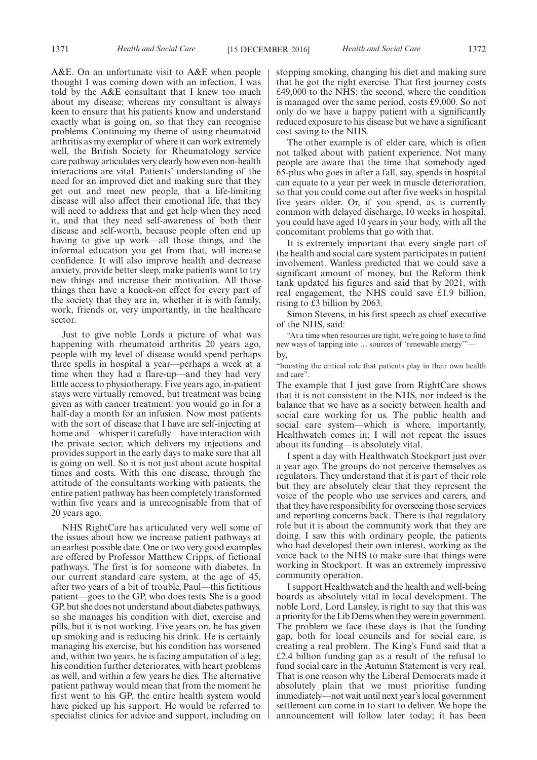A&E. On an unfortunate visit to A&E when people thought I was coming down with an infection, I was told by the A&E consultant that I knew too much about my disease; whereas my consultant is always keen to ensure that his patients know and understand exactly what is going on, so that they can recognise problems. Continuing my theme of using rheumatoid arthritis as my exemplar of where it can work extremely well, the British Society for Rheumatology service care pathway articulates very clearly how even non-health interactions are vital. Patients' understanding of the need for an improved diet and making sure that they get out and meet new people, that a life-limiting disease will also affect their emotional life, that they will need to address that and get help when they need it, and that they need self-awareness of both their disease and self-worth, because people often end up having to give up work—all those things, and the informal education you get from that, will increase confidence. It will also improve health and decrease anxiety, provide better sleep, make patients want to try new things and increase their motivation. All those things then have a knock-on effect for every part of the society that they are in, whether it is with family, work, friends or, very importantly, in the healthcare sector.

Just to give noble Lords a picture of what was happening with rheumatoid arthritis 20 years ago, people with my level of disease would spend perhaps three spells in hospital a year—perhaps a week at a time when they had a flare-up—and they had very little access to physiotherapy. Five years ago, in-patient stays were virtually removed, but treatment was being given as with cancer treatment: you would go in for a half-day a month for an infusion. Now most patients with the sort of disease that I have are self-injecting at home and—whisper it carefully—have interaction with the private sector, which delivers my injections and provides support in the early days to make sure that all is going on well. So it is not just about acute hospital times and costs. With this one disease, through the attitude of the consultants working with patients, the entire patient pathway has been completely transformed within five years and is unrecognisable from that of 20 years ago.

NHS RightCare has articulated very well some of the issues about how we increase patient pathways at an earliest possible date. One or two very good examples are offered by Professor Matthew Cripps, of fictional pathways. The first is for someone with diabetes. In our current standard care system, at the age of 45, after two years of a bit of trouble, Paul—this fictitious patient—goes to the GP, who does tests. She is a good GP, but she does not understand about diabetes pathways, so she manages his condition with diet, exercise and pills, but it is not working. Five years on, he has given up smoking and is reducing his drink. He is certainly managing his exercise, but his condition has worsened and, within two years, he is facing amputation of a leg; his condition further deteriorates, with heart problems as well, and within a few years he dies. The alternative patient pathway would mean that from the moment he first went to his GP, the entire health system would have picked up his support. He would be referred to specialist clinics for advice and support, including on stopping smoking, changing his diet and making sure that he got the right exercise. That first journey costs £49,000 to the NHS; the second, where the condition is managed over the same period, costs £9,000. So not only do we have a happy patient with a significantly reduced exposure to his disease but we have a significant cost saving to the NHS.

The other example is of elder care, which is often not talked about with patient experience. Not many people are aware that the time that somebody aged 65-plus who goes in after a fall, say, spends in hospital can equate to a year per week in muscle deterioration, so that you could come out after five weeks in hospital five years older. Or, if you spend, as is currently common with delayed discharge, 10 weeks in hospital, you could have aged 10 years in your body, with all the concomitant problems that go with that.

It is extremely important that every single part of the health and social care system participates in patient involvement. Wanless predicted that we could save a significant amount of money, but the Reform think tank updated his figures and said that by 2021, with real engagement, the NHS could save £1.9 billion, rising to £3 billion by 2063.

Simon Stevens, in his first speech as chief executive of the NHS, said:

"At a time when resources are tight, we're going to have to find new ways of tapping into ... sources of 'renewable energy' by,

"boosting the critical role that patients play in their own health and care".

The example that I just gave from RightCare shows that it is not consistent in the NHS, nor indeed is the balance that we have as a society between health and social care working for us. The public health and social care system—which is where, importantly, Healthwatch comes in; I will not repeat the issues about its funding—is absolutely vital.

I spent a day with Healthwatch Stockport just over a year ago. The groups do not perceive themselves as regulators. They understand that it is part of their role but they are absolutely clear that they represent the voice of the people who use services and carers, and that they have responsibility for overseeing those services and reporting concerns back. There is that regulatory role but it is about the community work that they are doing. I saw this with ordinary people, the patients who had developed their own interest, working as the voice back to the NHS to make sure that things were working in Stockport. It was an extremely impressive community operation.

I support Healthwatch and the health and well-being boards as absolutely vital in local development. The noble Lord, Lord Lansley, is right to say that this was a priority for the Lib Dems when they were in government. The problem we face these days is that the funding gap, both for local councils and for social care, is creating a real problem. The King's Fund said that a £2.4 billion funding gap as a result of the refusal to fund social care in the Autumn Statement is very real. That is one reason why the Liberal Democrats made it absolutely plain that we must prioritise funding immediately—not wait until next year's local government settlement can come in to start to deliver. We hope the announcement will follow later today; it has been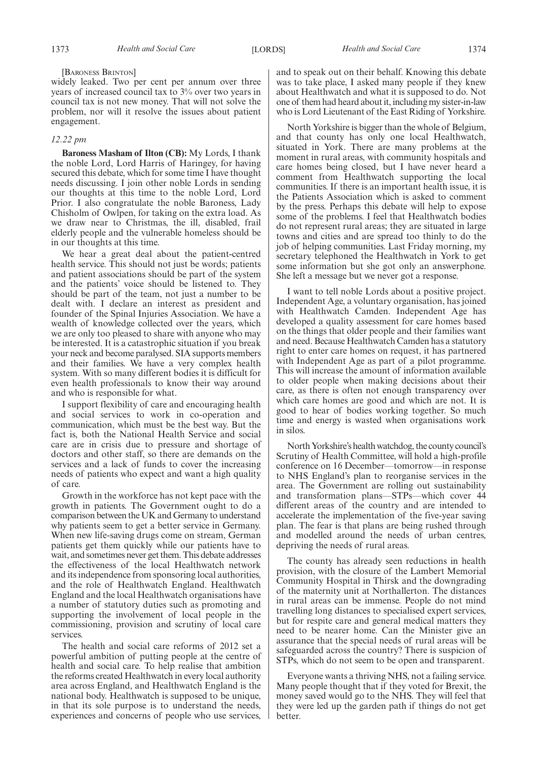#### [BARONESS BRINTON]

widely leaked. Two per cent per annum over three years of increased council tax to 3% over two years in council tax is not new money. That will not solve the problem, nor will it resolve the issues about patient engagement.

#### *12.22 pm*

**Baroness Masham of Ilton (CB):** My Lords, I thank the noble Lord, Lord Harris of Haringey, for having secured this debate, which for some time I have thought needs discussing. I join other noble Lords in sending our thoughts at this time to the noble Lord, Lord Prior. I also congratulate the noble Baroness, Lady Chisholm of Owlpen, for taking on the extra load. As we draw near to Christmas, the ill, disabled, frail elderly people and the vulnerable homeless should be in our thoughts at this time.

We hear a great deal about the patient-centred health service. This should not just be words; patients and patient associations should be part of the system and the patients' voice should be listened to. They should be part of the team, not just a number to be dealt with. I declare an interest as president and founder of the Spinal Injuries Association. We have a wealth of knowledge collected over the years, which we are only too pleased to share with anyone who may be interested. It is a catastrophic situation if you break your neck and become paralysed. SIA supports members and their families. We have a very complex health system. With so many different bodies it is difficult for even health professionals to know their way around and who is responsible for what.

I support flexibility of care and encouraging health and social services to work in co-operation and communication, which must be the best way. But the fact is, both the National Health Service and social care are in crisis due to pressure and shortage of doctors and other staff, so there are demands on the services and a lack of funds to cover the increasing needs of patients who expect and want a high quality of care.

Growth in the workforce has not kept pace with the growth in patients. The Government ought to do a comparison between the UK and Germany to understand why patients seem to get a better service in Germany. When new life-saving drugs come on stream, German patients get them quickly while our patients have to wait, and sometimes never get them. This debate addresses the effectiveness of the local Healthwatch network and its independence from sponsoring local authorities, and the role of Healthwatch England. Healthwatch England and the local Healthwatch organisations have a number of statutory duties such as promoting and supporting the involvement of local people in the commissioning, provision and scrutiny of local care services.

The health and social care reforms of 2012 set a powerful ambition of putting people at the centre of health and social care. To help realise that ambition the reforms created Healthwatch in every local authority area across England, and Healthwatch England is the national body. Healthwatch is supposed to be unique, in that its sole purpose is to understand the needs, experiences and concerns of people who use services,

and to speak out on their behalf. Knowing this debate was to take place, I asked many people if they knew about Healthwatch and what it is supposed to do. Not one of them had heard about it, including my sister-in-law who is Lord Lieutenant of the East Riding of Yorkshire.

North Yorkshire is bigger than the whole of Belgium, and that county has only one local Healthwatch, situated in York. There are many problems at the moment in rural areas, with community hospitals and care homes being closed, but I have never heard a comment from Healthwatch supporting the local communities. If there is an important health issue, it is the Patients Association which is asked to comment by the press. Perhaps this debate will help to expose some of the problems. I feel that Healthwatch bodies do not represent rural areas; they are situated in large towns and cities and are spread too thinly to do the job of helping communities. Last Friday morning, my secretary telephoned the Healthwatch in York to get some information but she got only an answerphone. She left a message but we never got a response.

I want to tell noble Lords about a positive project. Independent Age, a voluntary organisation, has joined with Healthwatch Camden. Independent Age has developed a quality assessment for care homes based on the things that older people and their families want and need. Because Healthwatch Camden has a statutory right to enter care homes on request, it has partnered with Independent Age as part of a pilot programme. This will increase the amount of information available to older people when making decisions about their care, as there is often not enough transparency over which care homes are good and which are not. It is good to hear of bodies working together. So much time and energy is wasted when organisations work in silos.

North Yorkshire's health watchdog, the county council's Scrutiny of Health Committee, will hold a high-profile conference on 16 December—tomorrow—in response to NHS England's plan to reorganise services in the area. The Government are rolling out sustainability and transformation plans—STPs—which cover 44 different areas of the country and are intended to accelerate the implementation of the five-year saving plan. The fear is that plans are being rushed through and modelled around the needs of urban centres, depriving the needs of rural areas.

The county has already seen reductions in health provision, with the closure of the Lambert Memorial Community Hospital in Thirsk and the downgrading of the maternity unit at Northallerton. The distances in rural areas can be immense. People do not mind travelling long distances to specialised expert services, but for respite care and general medical matters they need to be nearer home. Can the Minister give an assurance that the special needs of rural areas will be safeguarded across the country? There is suspicion of STPs, which do not seem to be open and transparent.

Everyone wants a thriving NHS, not a failing service. Many people thought that if they voted for Brexit, the money saved would go to the NHS. They will feel that they were led up the garden path if things do not get better.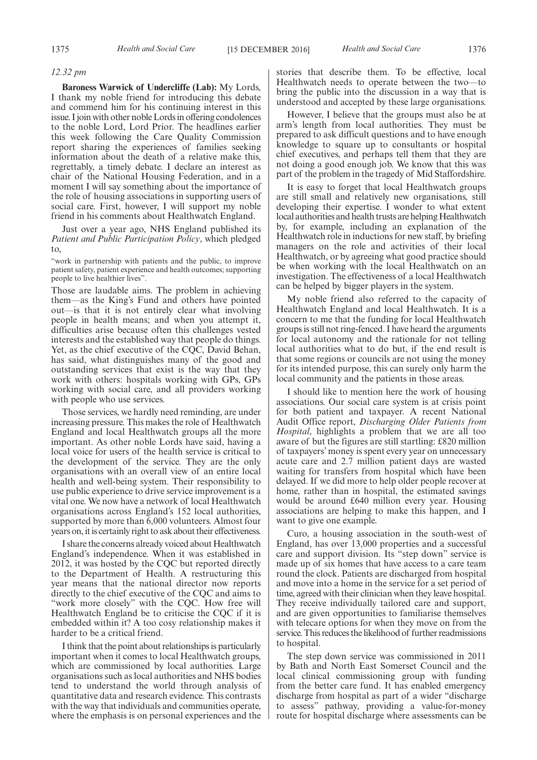#### *12.32 pm*

**Baroness Warwick of Undercliffe (Lab):** My Lords, I thank my noble friend for introducing this debate and commend him for his continuing interest in this issue. I join with other noble Lords in offering condolences to the noble Lord, Lord Prior. The headlines earlier this week following the Care Quality Commission report sharing the experiences of families seeking information about the death of a relative make this, regrettably, a timely debate. I declare an interest as chair of the National Housing Federation, and in a moment I will say something about the importance of the role of housing associations in supporting users of social care. First, however, I will support my noble friend in his comments about Healthwatch England.

Just over a year ago, NHS England published its *Patient and Public Participation Policy*, which pledged to,

"work in partnership with patients and the public, to improve patient safety, patient experience and health outcomes; supporting people to live healthier lives".

Those are laudable aims. The problem in achieving them—as the King's Fund and others have pointed out—is that it is not entirely clear what involving people in health means; and when you attempt it, difficulties arise because often this challenges vested interests and the established way that people do things. Yet, as the chief executive of the CQC, David Behan, has said, what distinguishes many of the good and outstanding services that exist is the way that they work with others: hospitals working with GPs, GPs working with social care, and all providers working with people who use services.

Those services, we hardly need reminding, are under increasing pressure. This makes the role of Healthwatch England and local Healthwatch groups all the more important. As other noble Lords have said, having a local voice for users of the health service is critical to the development of the service. They are the only organisations with an overall view of an entire local health and well-being system. Their responsibility to use public experience to drive service improvement is a vital one. We now have a network of local Healthwatch organisations across England's 152 local authorities, supported by more than 6,000 volunteers. Almost four years on, it is certainly right to ask about their effectiveness.

I share the concerns already voiced about Healthwatch England's independence. When it was established in 2012, it was hosted by the CQC but reported directly to the Department of Health. A restructuring this year means that the national director now reports directly to the chief executive of the CQC and aims to "work more closely" with the CQC. How free will Healthwatch England be to criticise the CQC if it is embedded within it? A too cosy relationship makes it harder to be a critical friend.

I think that the point about relationships is particularly important when it comes to local Healthwatch groups, which are commissioned by local authorities. Large organisations such as local authorities and NHS bodies tend to understand the world through analysis of quantitative data and research evidence. This contrasts with the way that individuals and communities operate, where the emphasis is on personal experiences and the

stories that describe them. To be effective, local Healthwatch needs to operate between the two—to bring the public into the discussion in a way that is understood and accepted by these large organisations.

However, I believe that the groups must also be at arm's length from local authorities. They must be prepared to ask difficult questions and to have enough knowledge to square up to consultants or hospital chief executives, and perhaps tell them that they are not doing a good enough job. We know that this was part of the problem in the tragedy of Mid Staffordshire.

It is easy to forget that local Healthwatch groups are still small and relatively new organisations, still developing their expertise. I wonder to what extent local authorities and health trusts are helping Healthwatch by, for example, including an explanation of the Healthwatch role in inductions for new staff, by briefing managers on the role and activities of their local Healthwatch, or by agreeing what good practice should be when working with the local Healthwatch on an investigation. The effectiveness of a local Healthwatch can be helped by bigger players in the system.

My noble friend also referred to the capacity of Healthwatch England and local Healthwatch. It is a concern to me that the funding for local Healthwatch groups is still not ring-fenced. I have heard the arguments for local autonomy and the rationale for not telling local authorities what to do but, if the end result is that some regions or councils are not using the money for its intended purpose, this can surely only harm the local community and the patients in those areas.

I should like to mention here the work of housing associations. Our social care system is at crisis point for both patient and taxpayer. A recent National Audit Office report, *Discharging Older Patients from Hospital*, highlights a problem that we are all too aware of but the figures are still startling: £820 million of taxpayers' money is spent every year on unnecessary acute care and 2.7 million patient days are wasted waiting for transfers from hospital which have been delayed. If we did more to help older people recover at home, rather than in hospital, the estimated savings would be around £640 million every year. Housing associations are helping to make this happen, and I want to give one example.

Curo, a housing association in the south-west of England, has over 13,000 properties and a successful care and support division. Its "step down" service is made up of six homes that have access to a care team round the clock. Patients are discharged from hospital and move into a home in the service for a set period of time, agreed with their clinician when they leave hospital. They receive individually tailored care and support, and are given opportunities to familiarise themselves with telecare options for when they move on from the service. This reduces the likelihood of further readmissions to hospital.

The step down service was commissioned in 2011 by Bath and North East Somerset Council and the local clinical commissioning group with funding from the better care fund. It has enabled emergency discharge from hospital as part of a wider "discharge to assess" pathway, providing a value-for-money route for hospital discharge where assessments can be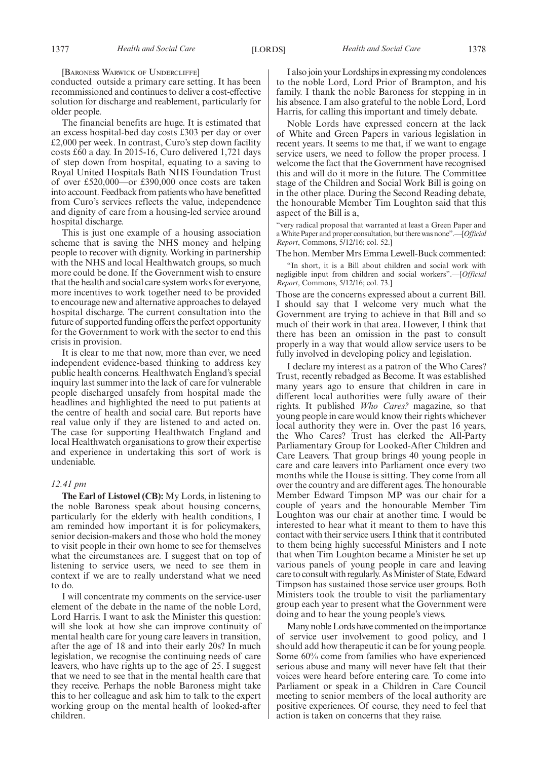[BARONESS WARWICK OF UNDERCLIFFE]

conducted outside a primary care setting. It has been recommissioned and continues to deliver a cost-effective solution for discharge and reablement, particularly for older people.

The financial benefits are huge. It is estimated that an excess hospital-bed day costs £303 per day or over £2,000 per week. In contrast, Curo's step down facility costs £60 a day. In 2015-16, Curo delivered 1,721 days of step down from hospital, equating to a saving to Royal United Hospitals Bath NHS Foundation Trust of over £520,000—or £390,000 once costs are taken into account. Feedback from patients who have benefitted from Curo's services reflects the value, independence and dignity of care from a housing-led service around hospital discharge.

This is just one example of a housing association scheme that is saving the NHS money and helping people to recover with dignity. Working in partnership with the NHS and local Healthwatch groups, so much more could be done. If the Government wish to ensure that the health and social care system works for everyone, more incentives to work together need to be provided to encourage new and alternative approaches to delayed hospital discharge. The current consultation into the future of supported funding offers the perfect opportunity for the Government to work with the sector to end this crisis in provision.

It is clear to me that now, more than ever, we need independent evidence-based thinking to address key public health concerns. Healthwatch England's special inquiry last summer into the lack of care for vulnerable people discharged unsafely from hospital made the headlines and highlighted the need to put patients at the centre of health and social care. But reports have real value only if they are listened to and acted on. The case for supporting Healthwatch England and local Healthwatch organisations to grow their expertise and experience in undertaking this sort of work is undeniable.

#### *12.41 pm*

**The Earl of Listowel (CB):** My Lords, in listening to the noble Baroness speak about housing concerns, particularly for the elderly with health conditions, I am reminded how important it is for policymakers, senior decision-makers and those who hold the money to visit people in their own home to see for themselves what the circumstances are. I suggest that on top of listening to service users, we need to see them in context if we are to really understand what we need to do.

I will concentrate my comments on the service-user element of the debate in the name of the noble Lord, Lord Harris. I want to ask the Minister this question: will she look at how she can improve continuity of mental health care for young care leavers in transition, after the age of 18 and into their early 20s? In much legislation, we recognise the continuing needs of care leavers, who have rights up to the age of 25. I suggest that we need to see that in the mental health care that they receive. Perhaps the noble Baroness might take this to her colleague and ask him to talk to the expert working group on the mental health of looked-after children.

I also join your Lordships in expressing my condolences to the noble Lord, Lord Prior of Brampton, and his family. I thank the noble Baroness for stepping in in his absence. I am also grateful to the noble Lord, Lord Harris, for calling this important and timely debate.

Noble Lords have expressed concern at the lack of White and Green Papers in various legislation in recent years. It seems to me that, if we want to engage service users, we need to follow the proper process. I welcome the fact that the Government have recognised this and will do it more in the future. The Committee stage of the Children and Social Work Bill is going on in the other place. During the Second Reading debate, the honourable Member Tim Loughton said that this aspect of the Bill is a,

"very radical proposal that warranted at least a Green Paper and a White Paper and proper consultation, but there was none".—[*Official Report*, Commons, 5/12/16; col. 52.]

The hon. Member Mrs Emma Lewell-Buck commented:

"In short, it is a Bill about children and social work with negligible input from children and social workers".—[*Official Report*, Commons, 5/12/16; col. 73.]

Those are the concerns expressed about a current Bill. I should say that I welcome very much what the Government are trying to achieve in that Bill and so much of their work in that area. However, I think that there has been an omission in the past to consult properly in a way that would allow service users to be fully involved in developing policy and legislation.

I declare my interest as a patron of the Who Cares? Trust, recently rebadged as Become. It was established many years ago to ensure that children in care in different local authorities were fully aware of their rights. It published *Who Cares?* magazine, so that young people in care would know their rights whichever local authority they were in. Over the past 16 years, the Who Cares? Trust has clerked the All-Party Parliamentary Group for Looked-After Children and Care Leavers. That group brings 40 young people in care and care leavers into Parliament once every two months while the House is sitting. They come from all over the country and are different ages. The honourable Member Edward Timpson MP was our chair for a couple of years and the honourable Member Tim Loughton was our chair at another time. I would be interested to hear what it meant to them to have this contact with their service users. I think that it contributed to them being highly successful Ministers and I note that when Tim Loughton became a Minister he set up various panels of young people in care and leaving care to consult with regularly. As Minister of State, Edward Timpson has sustained those service user groups. Both Ministers took the trouble to visit the parliamentary group each year to present what the Government were doing and to hear the young people's views.

Many noble Lords have commented on the importance of service user involvement to good policy, and I should add how therapeutic it can be for young people. Some 60% come from families who have experienced serious abuse and many will never have felt that their voices were heard before entering care. To come into Parliament or speak in a Children in Care Council meeting to senior members of the local authority are positive experiences. Of course, they need to feel that action is taken on concerns that they raise.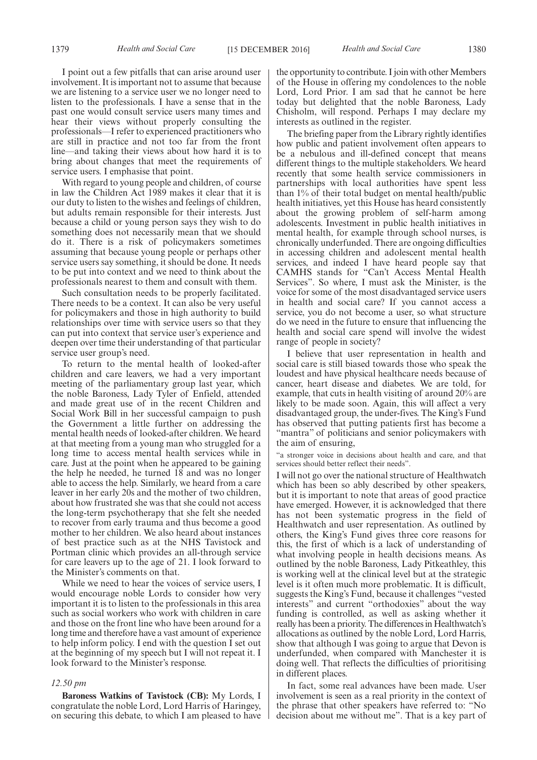I point out a few pitfalls that can arise around user involvement. It is important not to assume that because we are listening to a service user we no longer need to listen to the professionals. I have a sense that in the past one would consult service users many times and hear their views without properly consulting the professionals—I refer to experienced practitioners who are still in practice and not too far from the front line—and taking their views about how hard it is to bring about changes that meet the requirements of service users. I emphasise that point.

With regard to young people and children, of course in law the Children Act 1989 makes it clear that it is our duty to listen to the wishes and feelings of children, but adults remain responsible for their interests. Just because a child or young person says they wish to do something does not necessarily mean that we should do it. There is a risk of policymakers sometimes assuming that because young people or perhaps other service users say something, it should be done. It needs to be put into context and we need to think about the professionals nearest to them and consult with them.

Such consultation needs to be properly facilitated. There needs to be a context. It can also be very useful for policymakers and those in high authority to build relationships over time with service users so that they can put into context that service user's experience and deepen over time their understanding of that particular service user group's need.

To return to the mental health of looked-after children and care leavers, we had a very important meeting of the parliamentary group last year, which the noble Baroness, Lady Tyler of Enfield, attended and made great use of in the recent Children and Social Work Bill in her successful campaign to push the Government a little further on addressing the mental health needs of looked-after children. We heard at that meeting from a young man who struggled for a long time to access mental health services while in care. Just at the point when he appeared to be gaining the help he needed, he turned 18 and was no longer able to access the help. Similarly, we heard from a care leaver in her early 20s and the mother of two children, about how frustrated she was that she could not access the long-term psychotherapy that she felt she needed to recover from early trauma and thus become a good mother to her children. We also heard about instances of best practice such as at the NHS Tavistock and Portman clinic which provides an all-through service for care leavers up to the age of 21. I look forward to the Minister's comments on that.

While we need to hear the voices of service users, I would encourage noble Lords to consider how very important it is to listen to the professionals in this area such as social workers who work with children in care and those on the front line who have been around for a long time and therefore have a vast amount of experience to help inform policy. I end with the question I set out at the beginning of my speech but I will not repeat it. I look forward to the Minister's response.

#### *12.50 pm*

**Baroness Watkins of Tavistock (CB):** My Lords, I congratulate the noble Lord, Lord Harris of Haringey, on securing this debate, to which I am pleased to have the opportunity to contribute. I join with other Members of the House in offering my condolences to the noble Lord, Lord Prior. I am sad that he cannot be here today but delighted that the noble Baroness, Lady Chisholm, will respond. Perhaps I may declare my interests as outlined in the register.

The briefing paper from the Library rightly identifies how public and patient involvement often appears to be a nebulous and ill-defined concept that means different things to the multiple stakeholders. We heard recently that some health service commissioners in partnerships with local authorities have spent less than 1% of their total budget on mental health/public health initiatives, yet this House has heard consistently about the growing problem of self-harm among adolescents. Investment in public health initiatives in mental health, for example through school nurses, is chronically underfunded. There are ongoing difficulties in accessing children and adolescent mental health services, and indeed I have heard people say that CAMHS stands for "Can't Access Mental Health Services". So where, I must ask the Minister, is the voice for some of the most disadvantaged service users in health and social care? If you cannot access a service, you do not become a user, so what structure do we need in the future to ensure that influencing the health and social care spend will involve the widest range of people in society?

I believe that user representation in health and social care is still biased towards those who speak the loudest and have physical healthcare needs because of cancer, heart disease and diabetes. We are told, for example, that cuts in health visiting of around 20% are likely to be made soon. Again, this will affect a very disadvantaged group, the under-fives. The King's Fund has observed that putting patients first has become a "mantra" of politicians and senior policymakers with the aim of ensuring,

"a stronger voice in decisions about health and care, and that services should better reflect their needs".

I will not go over the national structure of Healthwatch which has been so ably described by other speakers, but it is important to note that areas of good practice have emerged. However, it is acknowledged that there has not been systematic progress in the field of Healthwatch and user representation. As outlined by others, the King's Fund gives three core reasons for this, the first of which is a lack of understanding of what involving people in health decisions means. As outlined by the noble Baroness, Lady Pitkeathley, this is working well at the clinical level but at the strategic level is it often much more problematic. It is difficult, suggests the King's Fund, because it challenges "vested interests" and current "orthodoxies" about the way funding is controlled, as well as asking whether it really has been a priority. The differences in Healthwatch's allocations as outlined by the noble Lord, Lord Harris, show that although I was going to argue that Devon is underfunded, when compared with Manchester it is doing well. That reflects the difficulties of prioritising in different places.

In fact, some real advances have been made. User involvement is seen as a real priority in the context of the phrase that other speakers have referred to: "No decision about me without me". That is a key part of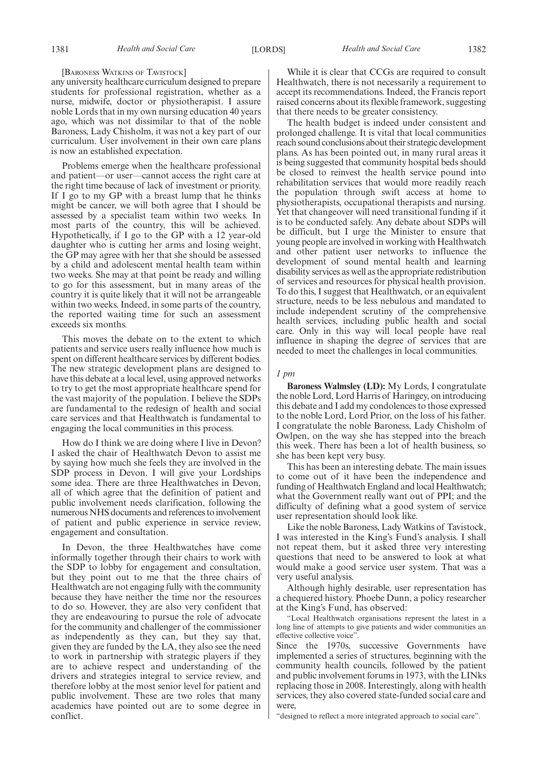#### [BARONESS WATKINS OF TAVISTOCK]

any university healthcare curriculum designed to prepare students for professional registration, whether as a nurse, midwife, doctor or physiotherapist. I assure noble Lords that in my own nursing education 40 years ago, which was not dissimilar to that of the noble Baroness, Lady Chisholm, it was not a key part of our curriculum. User involvement in their own care plans is now an established expectation.

Problems emerge when the healthcare professional and patient—or user—cannot access the right care at the right time because of lack of investment or priority. If I go to my GP with a breast lump that he thinks might be cancer, we will both agree that I should be assessed by a specialist team within two weeks. In most parts of the country, this will be achieved. Hypothetically, if I go to the GP with a 12 year-old daughter who is cutting her arms and losing weight, the GP may agree with her that she should be assessed by a child and adolescent mental health team within two weeks. She may at that point be ready and willing to go for this assessment, but in many areas of the country it is quite likely that it will not be arrangeable within two weeks. Indeed, in some parts of the country, the reported waiting time for such an assessment exceeds six months.

This moves the debate on to the extent to which patients and service users really influence how much is spent on different healthcare services by different bodies. The new strategic development plans are designed to have this debate at a local level, using approved networks to try to get the most appropriate healthcare spend for the vast majority of the population. I believe the SDPs are fundamental to the redesign of health and social care services and that Healthwatch is fundamental to engaging the local communities in this process.

How do I think we are doing where I live in Devon? I asked the chair of Healthwatch Devon to assist me by saying how much she feels they are involved in the SDP process in Devon. I will give your Lordships some idea. There are three Healthwatches in Devon, all of which agree that the definition of patient and public involvement needs clarification, following the numerous NHS documents and references to involvement of patient and public experience in service review, engagement and consultation.

In Devon, the three Healthwatches have come informally together through their chairs to work with the SDP to lobby for engagement and consultation, but they point out to me that the three chairs of Healthwatch are not engaging fully with the community because they have neither the time nor the resources to do so. However, they are also very confident that they are endeavouring to pursue the role of advocate for the community and challenger of the commissioner as independently as they can, but they say that, given they are funded by the LA, they also see the need to work in partnership with strategic players if they are to achieve respect and understanding of the drivers and strategies integral to service review, and therefore lobby at the most senior level for patient and public involvement. These are two roles that many academics have pointed out are to some degree in conflict.

While it is clear that CCGs are required to consult Healthwatch, there is not necessarily a requirement to accept its recommendations. Indeed, the Francis report raised concerns about its flexible framework, suggesting that there needs to be greater consistency.

The health budget is indeed under consistent and prolonged challenge. It is vital that local communities reach sound conclusions about their strategic development plans. As has been pointed out, in many rural areas it is being suggested that community hospital beds should be closed to reinvest the health service pound into rehabilitation services that would more readily reach the population through swift access at home to physiotherapists, occupational therapists and nursing. Yet that changeover will need transitional funding if it is to be conducted safely. Any debate about SDPs will be difficult, but I urge the Minister to ensure that young people are involved in working with Healthwatch and other patient user networks to influence the development of sound mental health and learning disability services as well as the appropriate redistribution of services and resources for physical health provision. To do this, I suggest that Healthwatch, or an equivalent structure, needs to be less nebulous and mandated to include independent scrutiny of the comprehensive health services, including public health and social care. Only in this way will local people have real influence in shaping the degree of services that are needed to meet the challenges in local communities.

#### *1 pm*

**Baroness Walmsley (LD):** My Lords, I congratulate the noble Lord, Lord Harris of Haringey, on introducing this debate and I add my condolences to those expressed to the noble Lord, Lord Prior, on the loss of his father. I congratulate the noble Baroness, Lady Chisholm of Owlpen, on the way she has stepped into the breach this week. There has been a lot of health business, so she has been kept very busy.

This has been an interesting debate. The main issues to come out of it have been the independence and funding of Healthwatch England and local Healthwatch; what the Government really want out of PPI; and the difficulty of defining what a good system of service user representation should look like.

Like the noble Baroness, Lady Watkins of Tavistock, I was interested in the King's Fund's analysis. I shall not repeat them, but it asked three very interesting questions that need to be answered to look at what would make a good service user system. That was a very useful analysis.

Although highly desirable, user representation has a chequered history. Phoebe Dunn, a policy researcher at the King's Fund, has observed:

"Local Healthwatch organisations represent the latest in a long line of attempts to give patients and wider communities an effective collective voice".

Since the 1970s, successive Governments have implemented a series of structures, beginning with the community health councils, followed by the patient and public involvement forums in 1973, with the LINks replacing those in 2008. Interestingly, along with health services, they also covered state-funded social care and were,

"designed to reflect a more integrated approach to social care".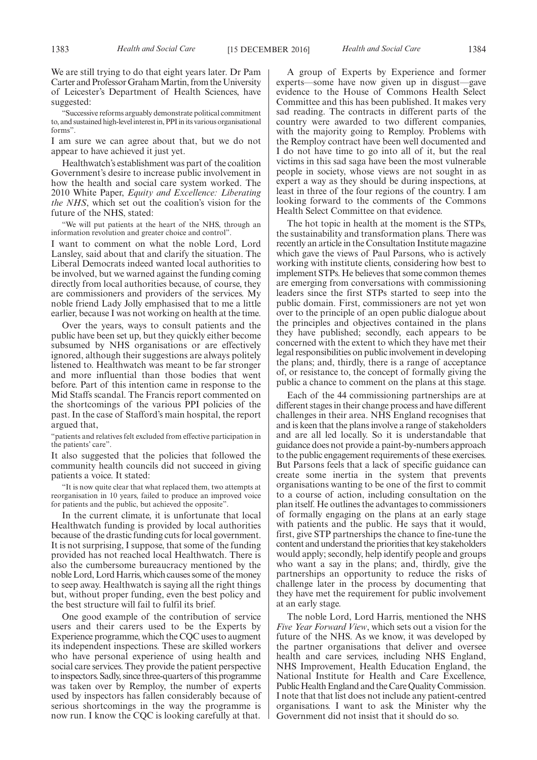We are still trying to do that eight years later. Dr Pam Carter and Professor Graham Martin, from the University of Leicester's Department of Health Sciences, have suggested:

"Successive reforms arguably demonstrate political commitment to, and sustained high-level interest in, PPI in its various organisational forms".

I am sure we can agree about that, but we do not appear to have achieved it just yet.

Healthwatch's establishment was part of the coalition Government's desire to increase public involvement in how the health and social care system worked. The 2010 White Paper, *Equity and Excellence: Liberating the NHS*, which set out the coalition's vision for the future of the NHS, stated:

"We will put patients at the heart of the NHS, through an information revolution and greater choice and control".

I want to comment on what the noble Lord, Lord Lansley, said about that and clarify the situation. The Liberal Democrats indeed wanted local authorities to be involved, but we warned against the funding coming directly from local authorities because, of course, they are commissioners and providers of the services. My noble friend Lady Jolly emphasised that to me a little earlier, because I was not working on health at the time.

Over the years, ways to consult patients and the public have been set up, but they quickly either become subsumed by NHS organisations or are effectively ignored, although their suggestions are always politely listened to. Healthwatch was meant to be far stronger and more influential than those bodies that went before. Part of this intention came in response to the Mid Staffs scandal. The Francis report commented on the shortcomings of the various PPI policies of the past. In the case of Stafford's main hospital, the report argued that,

"patients and relatives felt excluded from effective participation in the patients' care".

It also suggested that the policies that followed the community health councils did not succeed in giving patients a voice. It stated:

"It is now quite clear that what replaced them, two attempts at reorganisation in 10 years, failed to produce an improved voice for patients and the public, but achieved the opposite".

In the current climate, it is unfortunate that local Healthwatch funding is provided by local authorities because of the drastic funding cuts for local government. It is not surprising, I suppose, that some of the funding provided has not reached local Healthwatch. There is also the cumbersome bureaucracy mentioned by the noble Lord, Lord Harris, which causes some of the money to seep away. Healthwatch is saying all the right things but, without proper funding, even the best policy and the best structure will fail to fulfil its brief.

One good example of the contribution of service users and their carers used to be the Experts by Experience programme, which the CQC uses to augment its independent inspections. These are skilled workers who have personal experience of using health and social care services. They provide the patient perspective to inspectors. Sadly, since three-quarters of this programme was taken over by Remploy, the number of experts used by inspectors has fallen considerably because of serious shortcomings in the way the programme is now run. I know the CQC is looking carefully at that.

A group of Experts by Experience and former experts—some have now given up in disgust—gave evidence to the House of Commons Health Select Committee and this has been published. It makes very sad reading. The contracts in different parts of the country were awarded to two different companies, with the majority going to Remploy. Problems with the Remploy contract have been well documented and I do not have time to go into all of it, but the real victims in this sad saga have been the most vulnerable people in society, whose views are not sought in as expert a way as they should be during inspections, at least in three of the four regions of the country. I am looking forward to the comments of the Commons Health Select Committee on that evidence.

The hot topic in health at the moment is the STPs, the sustainability and transformation plans. There was recently an article in the Consultation Institute magazine which gave the views of Paul Parsons, who is actively working with institute clients, considering how best to implement STPs. He believes that some common themes are emerging from conversations with commissioning leaders since the first STPs started to seep into the public domain. First, commissioners are not yet won over to the principle of an open public dialogue about the principles and objectives contained in the plans they have published; secondly, each appears to be concerned with the extent to which they have met their legal responsibilities on public involvement in developing the plans; and, thirdly, there is a range of acceptance of, or resistance to, the concept of formally giving the public a chance to comment on the plans at this stage.

Each of the 44 commissioning partnerships are at different stages in their change process and have different challenges in their area. NHS England recognises that and is keen that the plans involve a range of stakeholders and are all led locally. So it is understandable that guidance does not provide a paint-by-numbers approach to the public engagement requirements of these exercises. But Parsons feels that a lack of specific guidance can create some inertia in the system that prevents organisations wanting to be one of the first to commit to a course of action, including consultation on the plan itself. He outlines the advantages to commissioners of formally engaging on the plans at an early stage with patients and the public. He says that it would, first, give STP partnerships the chance to fine-tune the content and understand the priorities that key stakeholders would apply; secondly, help identify people and groups who want a say in the plans; and, thirdly, give the partnerships an opportunity to reduce the risks of challenge later in the process by documenting that they have met the requirement for public involvement at an early stage.

The noble Lord, Lord Harris, mentioned the NHS *Five Year Forward View*, which sets out a vision for the future of the NHS. As we know, it was developed by the partner organisations that deliver and oversee health and care services, including NHS England, NHS Improvement, Health Education England, the National Institute for Health and Care Excellence, Public Health England and the Care Quality Commission. I note that that list does not include any patient-centred organisations. I want to ask the Minister why the Government did not insist that it should do so.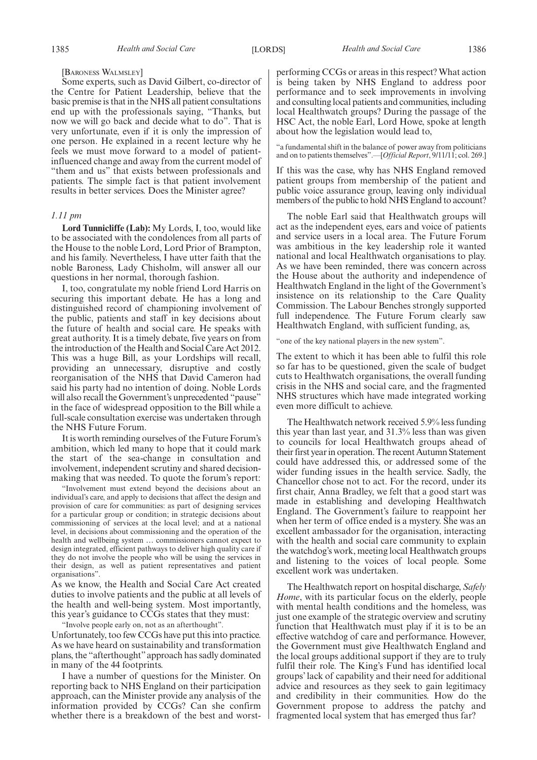#### [BARONESS WALMSLEY]

Some experts, such as David Gilbert, co-director of the Centre for Patient Leadership, believe that the basic premise is that in the NHS all patient consultations end up with the professionals saying, "Thanks, but now we will go back and decide what to do". That is very unfortunate, even if it is only the impression of one person. He explained in a recent lecture why he feels we must move forward to a model of patientinfluenced change and away from the current model of "them and us" that exists between professionals and patients. The simple fact is that patient involvement results in better services. Does the Minister agree?

#### *1.11 pm*

**Lord Tunnicliffe (Lab):** My Lords, I, too, would like to be associated with the condolences from all parts of the House to the noble Lord, Lord Prior of Brampton, and his family. Nevertheless, I have utter faith that the noble Baroness, Lady Chisholm, will answer all our questions in her normal, thorough fashion.

I, too, congratulate my noble friend Lord Harris on securing this important debate. He has a long and distinguished record of championing involvement of the public, patients and staff in key decisions about the future of health and social care. He speaks with great authority. It is a timely debate, five years on from the introduction of the Health and Social Care Act 2012. This was a huge Bill, as your Lordships will recall, providing an unnecessary, disruptive and costly reorganisation of the NHS that David Cameron had said his party had no intention of doing. Noble Lords will also recall the Government's unprecedented "pause" in the face of widespread opposition to the Bill while a full-scale consultation exercise was undertaken through the NHS Future Forum.

It is worth reminding ourselves of the Future Forum's ambition, which led many to hope that it could mark the start of the sea-change in consultation and involvement, independent scrutiny and shared decisionmaking that was needed. To quote the forum's report:

"Involvement must extend beyond the decisions about an individual's care, and apply to decisions that affect the design and provision of care for communities: as part of designing services for a particular group or condition; in strategic decisions about commissioning of services at the local level; and at a national level, in decisions about commissioning and the operation of the health and wellbeing system … commissioners cannot expect to design integrated, efficient pathways to deliver high quality care if they do not involve the people who will be using the services in their design, as well as patient representatives and patient organisations".

As we know, the Health and Social Care Act created duties to involve patients and the public at all levels of the health and well-being system. Most importantly, this year's guidance to CCGs states that they must:

"Involve people early on, not as an afterthought".

Unfortunately, too few CCGs have put this into practice. As we have heard on sustainability and transformation plans, the "afterthought"approach has sadly dominated in many of the 44 footprints.

I have a number of questions for the Minister. On reporting back to NHS England on their participation approach, can the Minister provide any analysis of the information provided by CCGs? Can she confirm whether there is a breakdown of the best and worstperforming CCGs or areas in this respect? What action is being taken by NHS England to address poor performance and to seek improvements in involving and consulting local patients and communities, including local Healthwatch groups? During the passage of the HSC Act, the noble Earl, Lord Howe, spoke at length about how the legislation would lead to,

"a fundamental shift in the balance of power away from politicians and on to patients themselves".—[*Official Report*, 9/11/11; col. 269.]

If this was the case, why has NHS England removed patient groups from membership of the patient and public voice assurance group, leaving only individual members of the public to hold NHS England to account?

The noble Earl said that Healthwatch groups will act as the independent eyes, ears and voice of patients and service users in a local area. The Future Forum was ambitious in the key leadership role it wanted national and local Healthwatch organisations to play. As we have been reminded, there was concern across the House about the authority and independence of Healthwatch England in the light of the Government's insistence on its relationship to the Care Quality Commission. The Labour Benches strongly supported full independence. The Future Forum clearly saw Healthwatch England, with sufficient funding, as,

"one of the key national players in the new system".

The extent to which it has been able to fulfil this role so far has to be questioned, given the scale of budget cuts to Healthwatch organisations, the overall funding crisis in the NHS and social care, and the fragmented NHS structures which have made integrated working even more difficult to achieve.

The Healthwatch network received 5.9% less funding this year than last year, and 31.3% less than was given to councils for local Healthwatch groups ahead of their first year in operation. The recent Autumn Statement could have addressed this, or addressed some of the wider funding issues in the health service. Sadly, the Chancellor chose not to act. For the record, under its first chair, Anna Bradley, we felt that a good start was made in establishing and developing Healthwatch England. The Government's failure to reappoint her when her term of office ended is a mystery. She was an excellent ambassador for the organisation, interacting with the health and social care community to explain the watchdog's work, meeting local Healthwatch groups and listening to the voices of local people. Some excellent work was undertaken.

The Healthwatch report on hospital discharge, *Safely Home*, with its particular focus on the elderly, people with mental health conditions and the homeless, was just one example of the strategic overview and scrutiny function that Healthwatch must play if it is to be an effective watchdog of care and performance. However, the Government must give Healthwatch England and the local groups additional support if they are to truly fulfil their role. The King's Fund has identified local groups' lack of capability and their need for additional advice and resources as they seek to gain legitimacy and credibility in their communities. How do the Government propose to address the patchy and fragmented local system that has emerged thus far?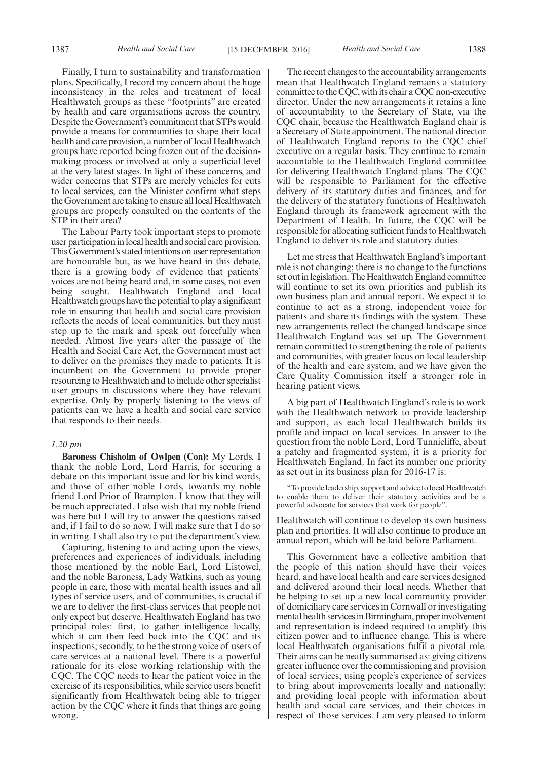Finally, I turn to sustainability and transformation plans. Specifically, I record my concern about the huge inconsistency in the roles and treatment of local Healthwatch groups as these "footprints" are created by health and care organisations across the country. Despite the Government's commitment that STPs would provide a means for communities to shape their local health and care provision, a number of local Healthwatch groups have reported being frozen out of the decisionmaking process or involved at only a superficial level at the very latest stages. In light of these concerns, and wider concerns that STPs are merely vehicles for cuts to local services, can the Minister confirm what steps the Government are taking to ensure all local Healthwatch groups are properly consulted on the contents of the STP in their area?

The Labour Party took important steps to promote user participation in local health and social care provision. This Government's stated intentions on user representation are honourable but, as we have heard in this debate, there is a growing body of evidence that patients' voices are not being heard and, in some cases, not even being sought. Healthwatch England and local Healthwatch groups have the potential to play a significant role in ensuring that health and social care provision reflects the needs of local communities, but they must step up to the mark and speak out forcefully when needed. Almost five years after the passage of the Health and Social Care Act, the Government must act to deliver on the promises they made to patients. It is incumbent on the Government to provide proper resourcing to Healthwatch and to include other specialist user groups in discussions where they have relevant expertise. Only by properly listening to the views of patients can we have a health and social care service that responds to their needs.

#### *1.20 pm*

**Baroness Chisholm of Owlpen (Con):** My Lords, I thank the noble Lord, Lord Harris, for securing a debate on this important issue and for his kind words, and those of other noble Lords, towards my noble friend Lord Prior of Brampton. I know that they will be much appreciated. I also wish that my noble friend was here but I will try to answer the questions raised and, if I fail to do so now, I will make sure that I do so in writing. I shall also try to put the department's view.

Capturing, listening to and acting upon the views, preferences and experiences of individuals, including those mentioned by the noble Earl, Lord Listowel, and the noble Baroness, Lady Watkins, such as young people in care, those with mental health issues and all types of service users, and of communities, is crucial if we are to deliver the first-class services that people not only expect but deserve. Healthwatch England has two principal roles: first, to gather intelligence locally, which it can then feed back into the CQC and its inspections; secondly, to be the strong voice of users of care services at a national level. There is a powerful rationale for its close working relationship with the CQC. The CQC needs to hear the patient voice in the exercise of its responsibilities, while service users benefit significantly from Healthwatch being able to trigger action by the CQC where it finds that things are going wrong.

The recent changes to the accountability arrangements mean that Healthwatch England remains a statutory committee to the CQC, with its chair a CQC non-executive director. Under the new arrangements it retains a line of accountability to the Secretary of State, via the CQC chair, because the Healthwatch England chair is a Secretary of State appointment. The national director of Healthwatch England reports to the CQC chief executive on a regular basis. They continue to remain accountable to the Healthwatch England committee for delivering Healthwatch England plans. The CQC will be responsible to Parliament for the effective delivery of its statutory duties and finances, and for the delivery of the statutory functions of Healthwatch England through its framework agreement with the Department of Health. In future, the CQC will be responsible for allocating sufficient funds to Healthwatch England to deliver its role and statutory duties.

Let me stress that Healthwatch England's important role is not changing; there is no change to the functions set out in legislation. The Healthwatch England committee will continue to set its own priorities and publish its own business plan and annual report. We expect it to continue to act as a strong, independent voice for patients and share its findings with the system. These new arrangements reflect the changed landscape since Healthwatch England was set up. The Government remain committed to strengthening the role of patients and communities, with greater focus on local leadership of the health and care system, and we have given the Care Quality Commission itself a stronger role in hearing patient views.

A big part of Healthwatch England's role is to work with the Healthwatch network to provide leadership and support, as each local Healthwatch builds its profile and impact on local services. In answer to the question from the noble Lord, Lord Tunnicliffe, about a patchy and fragmented system, it is a priority for Healthwatch England. In fact its number one priority as set out in its business plan for 2016-17 is:

"To provide leadership, support and advice to local Healthwatch to enable them to deliver their statutory activities and be a powerful advocate for services that work for people".

Healthwatch will continue to develop its own business plan and priorities. It will also continue to produce an annual report, which will be laid before Parliament.

This Government have a collective ambition that the people of this nation should have their voices heard, and have local health and care services designed and delivered around their local needs. Whether that be helping to set up a new local community provider of domiciliary care services in Cornwall or investigating mental health services in Birmingham, proper involvement and representation is indeed required to amplify this citizen power and to influence change. This is where local Healthwatch organisations fulfil a pivotal role. Their aims can be neatly summarised as: giving citizens greater influence over the commissioning and provision of local services; using people's experience of services to bring about improvements locally and nationally; and providing local people with information about health and social care services, and their choices in respect of those services. I am very pleased to inform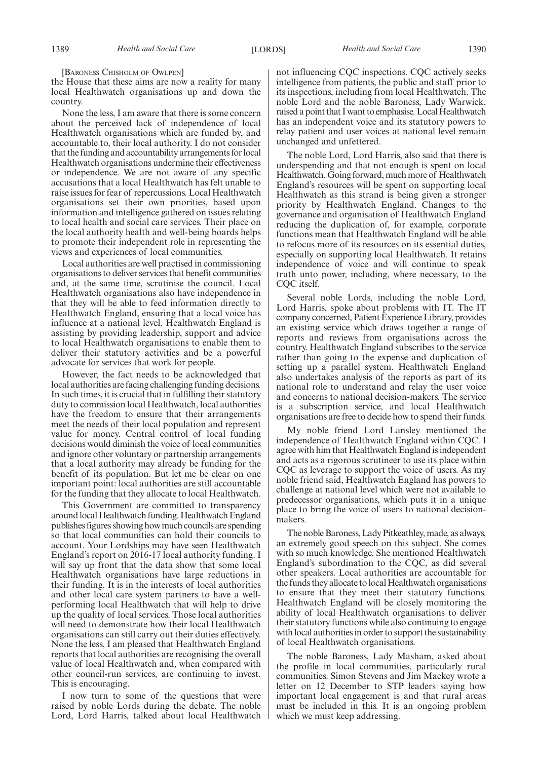[BARONESS CHISHOLM OF OWLPEN]

the House that these aims are now a reality for many local Healthwatch organisations up and down the country.

None the less, I am aware that there is some concern about the perceived lack of independence of local Healthwatch organisations which are funded by, and accountable to, their local authority. I do not consider that the funding and accountability arrangements for local Healthwatch organisations undermine their effectiveness or independence. We are not aware of any specific accusations that a local Healthwatch has felt unable to raise issues for fear of repercussions. Local Healthwatch organisations set their own priorities, based upon information and intelligence gathered on issues relating to local health and social care services. Their place on the local authority health and well-being boards helps to promote their independent role in representing the views and experiences of local communities.

Local authorities are well practised in commissioning organisations to deliver services that benefit communities and, at the same time, scrutinise the council. Local Healthwatch organisations also have independence in that they will be able to feed information directly to Healthwatch England, ensuring that a local voice has influence at a national level. Healthwatch England is assisting by providing leadership, support and advice to local Healthwatch organisations to enable them to deliver their statutory activities and be a powerful advocate for services that work for people.

However, the fact needs to be acknowledged that local authorities are facing challenging funding decisions. In such times, it is crucial that in fulfilling their statutory duty to commission local Healthwatch, local authorities have the freedom to ensure that their arrangements meet the needs of their local population and represent value for money. Central control of local funding decisions would diminish the voice of local communities and ignore other voluntary or partnership arrangements that a local authority may already be funding for the benefit of its population. But let me be clear on one important point: local authorities are still accountable for the funding that they allocate to local Healthwatch.

This Government are committed to transparency around local Healthwatch funding. Healthwatch England publishes figures showing how much councils are spending so that local communities can hold their councils to account. Your Lordships may have seen Healthwatch England's report on 2016-17 local authority funding. I will say up front that the data show that some local Healthwatch organisations have large reductions in their funding. It is in the interests of local authorities and other local care system partners to have a wellperforming local Healthwatch that will help to drive up the quality of local services. Those local authorities will need to demonstrate how their local Healthwatch organisations can still carry out their duties effectively. None the less, I am pleased that Healthwatch England reports that local authorities are recognising the overall value of local Healthwatch and, when compared with other council-run services, are continuing to invest. This is encouraging.

I now turn to some of the questions that were raised by noble Lords during the debate. The noble Lord, Lord Harris, talked about local Healthwatch not influencing CQC inspections. CQC actively seeks intelligence from patients, the public and staff prior to its inspections, including from local Healthwatch. The noble Lord and the noble Baroness, Lady Warwick, raised a point that I want to emphasise. Local Healthwatch has an independent voice and its statutory powers to relay patient and user voices at national level remain unchanged and unfettered.

The noble Lord, Lord Harris, also said that there is underspending and that not enough is spent on local Healthwatch. Going forward, much more of Healthwatch England's resources will be spent on supporting local Healthwatch as this strand is being given a stronger priority by Healthwatch England. Changes to the governance and organisation of Healthwatch England reducing the duplication of, for example, corporate functions mean that Healthwatch England will be able to refocus more of its resources on its essential duties, especially on supporting local Healthwatch. It retains independence of voice and will continue to speak truth unto power, including, where necessary, to the COC itself.

Several noble Lords, including the noble Lord, Lord Harris, spoke about problems with IT. The IT company concerned, Patient Experience Library, provides an existing service which draws together a range of reports and reviews from organisations across the country. Healthwatch England subscribes to the service rather than going to the expense and duplication of setting up a parallel system. Healthwatch England also undertakes analysis of the reports as part of its national role to understand and relay the user voice and concerns to national decision-makers. The service is a subscription service, and local Healthwatch organisations are free to decide how to spend their funds.

My noble friend Lord Lansley mentioned the independence of Healthwatch England within CQC. I agree with him that Healthwatch England is independent and acts as a rigorous scrutineer to use its place within CQC as leverage to support the voice of users. As my noble friend said, Healthwatch England has powers to challenge at national level which were not available to predecessor organisations, which puts it in a unique place to bring the voice of users to national decisionmakers.

The noble Baroness, Lady Pitkeathley, made, as always, an extremely good speech on this subject. She comes with so much knowledge. She mentioned Healthwatch England's subordination to the CQC, as did several other speakers. Local authorities are accountable for the funds they allocate to local Healthwatch organisations to ensure that they meet their statutory functions. Healthwatch England will be closely monitoring the ability of local Healthwatch organisations to deliver their statutory functions while also continuing to engage with local authorities in order to support the sustainability of local Healthwatch organisations.

The noble Baroness, Lady Masham, asked about the profile in local communities, particularly rural communities. Simon Stevens and Jim Mackey wrote a letter on 12 December to STP leaders saying how important local engagement is and that rural areas must be included in this. It is an ongoing problem which we must keep addressing.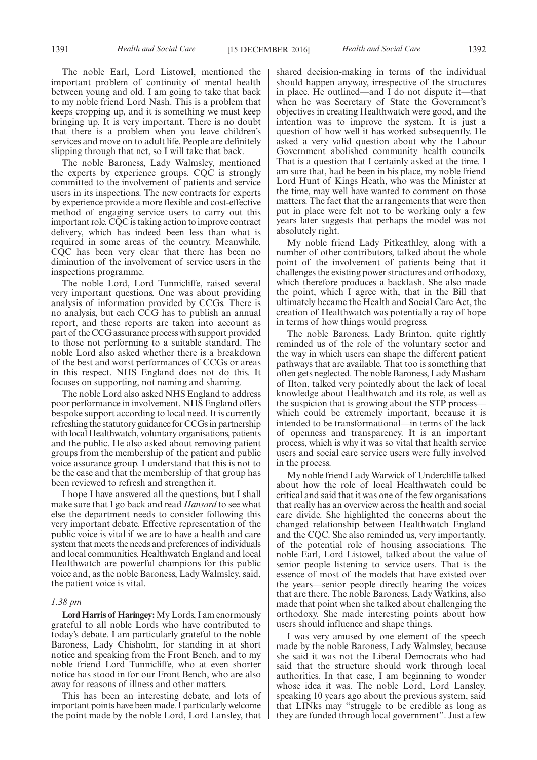The noble Earl, Lord Listowel, mentioned the important problem of continuity of mental health between young and old. I am going to take that back to my noble friend Lord Nash. This is a problem that keeps cropping up, and it is something we must keep bringing up. It is very important. There is no doubt that there is a problem when you leave children's services and move on to adult life. People are definitely slipping through that net, so I will take that back.

The noble Baroness, Lady Walmsley, mentioned the experts by experience groups. CQC is strongly committed to the involvement of patients and service users in its inspections. The new contracts for experts by experience provide a more flexible and cost-effective method of engaging service users to carry out this important role. CQC is taking action to improve contract delivery, which has indeed been less than what is required in some areas of the country. Meanwhile, CQC has been very clear that there has been no diminution of the involvement of service users in the inspections programme.

The noble Lord, Lord Tunnicliffe, raised several very important questions. One was about providing analysis of information provided by CCGs. There is no analysis, but each CCG has to publish an annual report, and these reports are taken into account as part of the CCG assurance process with support provided to those not performing to a suitable standard. The noble Lord also asked whether there is a breakdown of the best and worst performances of CCGs or areas in this respect. NHS England does not do this. It focuses on supporting, not naming and shaming.

The noble Lord also asked NHS England to address poor performance in involvement. NHS England offers bespoke support according to local need. It is currently refreshing the statutory guidance for CCGs in partnership with local Healthwatch, voluntary organisations, patients and the public. He also asked about removing patient groups from the membership of the patient and public voice assurance group. I understand that this is not to be the case and that the membership of that group has been reviewed to refresh and strengthen it.

I hope I have answered all the questions, but I shall make sure that I go back and read *Hansard* to see what else the department needs to consider following this very important debate. Effective representation of the public voice is vital if we are to have a health and care system that meets the needs and preferences of individuals and local communities. Healthwatch England and local Healthwatch are powerful champions for this public voice and, as the noble Baroness, Lady Walmsley, said, the patient voice is vital.

#### *1.38 pm*

**Lord Harris of Haringey:** My Lords, I am enormously grateful to all noble Lords who have contributed to today's debate. I am particularly grateful to the noble Baroness, Lady Chisholm, for standing in at short notice and speaking from the Front Bench, and to my noble friend Lord Tunnicliffe, who at even shorter notice has stood in for our Front Bench, who are also away for reasons of illness and other matters.

This has been an interesting debate, and lots of important points have been made. I particularly welcome the point made by the noble Lord, Lord Lansley, that shared decision-making in terms of the individual should happen anyway, irrespective of the structures in place. He outlined—and I do not dispute it—that when he was Secretary of State the Government's objectives in creating Healthwatch were good, and the intention was to improve the system. It is just a question of how well it has worked subsequently. He asked a very valid question about why the Labour Government abolished community health councils. That is a question that I certainly asked at the time. I am sure that, had he been in his place, my noble friend Lord Hunt of Kings Heath, who was the Minister at the time, may well have wanted to comment on those matters. The fact that the arrangements that were then put in place were felt not to be working only a few years later suggests that perhaps the model was not absolutely right.

My noble friend Lady Pitkeathley, along with a number of other contributors, talked about the whole point of the involvement of patients being that it challenges the existing power structures and orthodoxy, which therefore produces a backlash. She also made the point, which I agree with, that in the Bill that ultimately became the Health and Social Care Act, the creation of Healthwatch was potentially a ray of hope in terms of how things would progress.

The noble Baroness, Lady Brinton, quite rightly reminded us of the role of the voluntary sector and the way in which users can shape the different patient pathways that are available. That too is something that often gets neglected. The noble Baroness, Lady Masham of Ilton, talked very pointedly about the lack of local knowledge about Healthwatch and its role, as well as the suspicion that is growing about the STP process which could be extremely important, because it is intended to be transformational—in terms of the lack of openness and transparency. It is an important process, which is why it was so vital that health service users and social care service users were fully involved in the process.

My noble friend Lady Warwick of Undercliffe talked about how the role of local Healthwatch could be critical and said that it was one of the few organisations that really has an overview across the health and social care divide. She highlighted the concerns about the changed relationship between Healthwatch England and the CQC. She also reminded us, very importantly, of the potential role of housing associations. The noble Earl, Lord Listowel, talked about the value of senior people listening to service users. That is the essence of most of the models that have existed over the years—senior people directly hearing the voices that are there. The noble Baroness, Lady Watkins, also made that point when she talked about challenging the orthodoxy. She made interesting points about how users should influence and shape things.

I was very amused by one element of the speech made by the noble Baroness, Lady Walmsley, because she said it was not the Liberal Democrats who had said that the structure should work through local authorities. In that case, I am beginning to wonder whose idea it was. The noble Lord, Lord Lansley, speaking 10 years ago about the previous system, said that LINks may "struggle to be credible as long as they are funded through local government". Just a few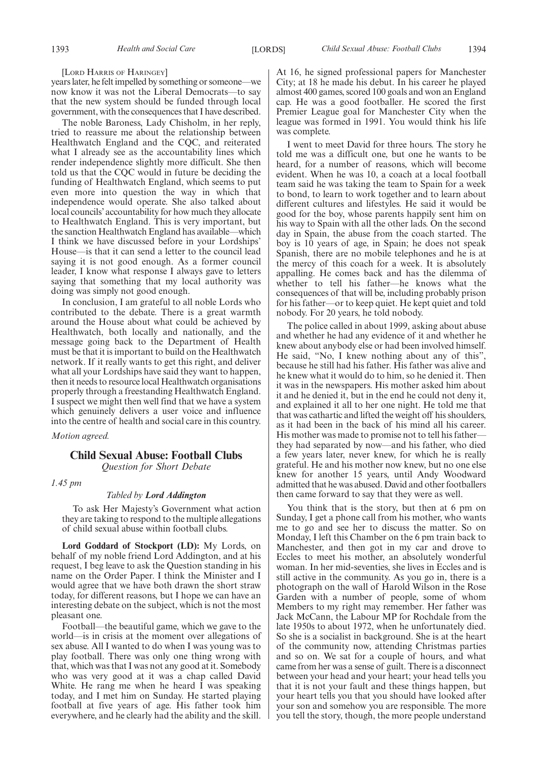#### [LORD HARRIS OF HARINGEY]

years later, he felt impelled by something or someone—we now know it was not the Liberal Democrats—to say that the new system should be funded through local government, with the consequences that I have described.

The noble Baroness, Lady Chisholm, in her reply, tried to reassure me about the relationship between Healthwatch England and the CQC, and reiterated what I already see as the accountability lines which render independence slightly more difficult. She then told us that the CQC would in future be deciding the funding of Healthwatch England, which seems to put even more into question the way in which that independence would operate. She also talked about local councils' accountability for how much they allocate to Healthwatch England. This is very important, but the sanction Healthwatch England has available—which I think we have discussed before in your Lordships' House—is that it can send a letter to the council lead saying it is not good enough. As a former council leader, I know what response I always gave to letters saying that something that my local authority was doing was simply not good enough.

In conclusion, I am grateful to all noble Lords who contributed to the debate. There is a great warmth around the House about what could be achieved by Healthwatch, both locally and nationally, and the message going back to the Department of Health must be that it is important to build on the Healthwatch network. If it really wants to get this right, and deliver what all your Lordships have said they want to happen, then it needs to resource local Healthwatch organisations properly through a freestanding Healthwatch England. I suspect we might then well find that we have a system which genuinely delivers a user voice and influence into the centre of health and social care in this country.

*Motion agreed.*

#### **Child Sexual Abuse: Football Clubs**

*Question for Short Debate*

*1.45 pm*

#### *Tabled by Lord Addington*

To ask Her Majesty's Government what action they are taking to respond to the multiple allegations of child sexual abuse within football clubs.

**Lord Goddard of Stockport (LD):** My Lords, on behalf of my noble friend Lord Addington, and at his request, I beg leave to ask the Question standing in his name on the Order Paper. I think the Minister and I would agree that we have both drawn the short straw today, for different reasons, but I hope we can have an interesting debate on the subject, which is not the most pleasant one.

Football—the beautiful game, which we gave to the world—is in crisis at the moment over allegations of sex abuse. All I wanted to do when I was young was to play football. There was only one thing wrong with that, which was that I was not any good at it. Somebody who was very good at it was a chap called David White. He rang me when he heard I was speaking today, and I met him on Sunday. He started playing football at five years of age. His father took him everywhere, and he clearly had the ability and the skill. At 16, he signed professional papers for Manchester City; at 18 he made his debut. In his career he played almost 400 games, scored 100 goals and won an England cap. He was a good footballer. He scored the first Premier League goal for Manchester City when the league was formed in 1991. You would think his life was complete.

I went to meet David for three hours. The story he told me was a difficult one, but one he wants to be heard, for a number of reasons, which will become evident. When he was 10, a coach at a local football team said he was taking the team to Spain for a week to bond, to learn to work together and to learn about different cultures and lifestyles. He said it would be good for the boy, whose parents happily sent him on his way to Spain with all the other lads. On the second day in Spain, the abuse from the coach started. The boy is 10 years of age, in Spain; he does not speak Spanish, there are no mobile telephones and he is at the mercy of this coach for a week. It is absolutely appalling. He comes back and has the dilemma of whether to tell his father—he knows what the consequences of that will be, including probably prison for his father—or to keep quiet. He kept quiet and told nobody. For 20 years, he told nobody.

The police called in about 1999, asking about abuse and whether he had any evidence of it and whether he knew about anybody else or had been involved himself. He said, "No, I knew nothing about any of this", because he still had his father. His father was alive and he knew what it would do to him, so he denied it. Then it was in the newspapers. His mother asked him about it and he denied it, but in the end he could not deny it, and explained it all to her one night. He told me that that was cathartic and lifted the weight off his shoulders, as it had been in the back of his mind all his career. His mother was made to promise not to tell his father they had separated by now—and his father, who died a few years later, never knew, for which he is really grateful. He and his mother now knew, but no one else knew for another 15 years, until Andy Woodward admitted that he was abused. David and other footballers then came forward to say that they were as well.

You think that is the story, but then at 6 pm on Sunday, I get a phone call from his mother, who wants me to go and see her to discuss the matter. So on Monday, I left this Chamber on the 6 pm train back to Manchester, and then got in my car and drove to Eccles to meet his mother, an absolutely wonderful woman. In her mid-seventies, she lives in Eccles and is still active in the community. As you go in, there is a photograph on the wall of Harold Wilson in the Rose Garden with a number of people, some of whom Members to my right may remember. Her father was Jack McCann, the Labour MP for Rochdale from the late 1950s to about 1972, when he unfortunately died. So she is a socialist in background. She is at the heart of the community now, attending Christmas parties and so on. We sat for a couple of hours, and what came from her was a sense of guilt. There is a disconnect between your head and your heart; your head tells you that it is not your fault and these things happen, but your heart tells you that you should have looked after your son and somehow you are responsible. The more you tell the story, though, the more people understand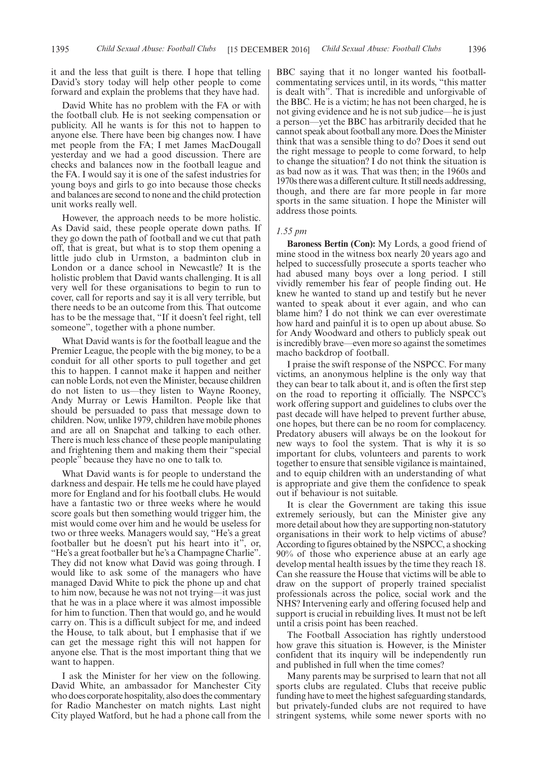it and the less that guilt is there. I hope that telling David's story today will help other people to come forward and explain the problems that they have had.

David White has no problem with the FA or with the football club. He is not seeking compensation or publicity. All he wants is for this not to happen to anyone else. There have been big changes now. I have met people from the FA; I met James MacDougall yesterday and we had a good discussion. There are checks and balances now in the football league and the FA. I would say it is one of the safest industries for young boys and girls to go into because those checks and balances are second to none and the child protection unit works really well.

However, the approach needs to be more holistic. As David said, these people operate down paths. If they go down the path of football and we cut that path off, that is great, but what is to stop them opening a little judo club in Urmston, a badminton club in London or a dance school in Newcastle? It is the holistic problem that David wants challenging. It is all very well for these organisations to begin to run to cover, call for reports and say it is all very terrible, but there needs to be an outcome from this. That outcome has to be the message that, "If it doesn't feel right, tell someone", together with a phone number.

What David wants is for the football league and the Premier League, the people with the big money, to be a conduit for all other sports to pull together and get this to happen. I cannot make it happen and neither can noble Lords, not even the Minister, because children do not listen to us—they listen to Wayne Rooney, Andy Murray or Lewis Hamilton. People like that should be persuaded to pass that message down to children. Now, unlike 1979, children have mobile phones and are all on Snapchat and talking to each other. There is much less chance of these people manipulating and frightening them and making them their "special people" because they have no one to talk to.

What David wants is for people to understand the darkness and despair. He tells me he could have played more for England and for his football clubs. He would have a fantastic two or three weeks where he would score goals but then something would trigger him, the mist would come over him and he would be useless for two or three weeks. Managers would say, "He's a great footballer but he doesn't put his heart into it", or, "He's a great footballer but he's a Champagne Charlie". They did not know what David was going through. I would like to ask some of the managers who have managed David White to pick the phone up and chat to him now, because he was not not trying—it was just that he was in a place where it was almost impossible for him to function. Then that would go, and he would carry on. This is a difficult subject for me, and indeed the House, to talk about, but I emphasise that if we can get the message right this will not happen for anyone else. That is the most important thing that we want to happen.

I ask the Minister for her view on the following. David White, an ambassador for Manchester City who does corporate hospitality, also does the commentary for Radio Manchester on match nights. Last night City played Watford, but he had a phone call from the BBC saying that it no longer wanted his footballcommentating services until, in its words, "this matter is dealt with". That is incredible and unforgivable of the BBC. He is a victim; he has not been charged, he is not giving evidence and he is not sub judice—he is just a person—yet the BBC has arbitrarily decided that he cannot speak about football any more. Does the Minister think that was a sensible thing to do? Does it send out the right message to people to come forward, to help to change the situation? I do not think the situation is as bad now as it was. That was then; in the 1960s and 1970s there was a different culture. It still needs addressing, though, and there are far more people in far more sports in the same situation. I hope the Minister will address those points.

#### *1.55 pm*

**Baroness Bertin (Con):** My Lords, a good friend of mine stood in the witness box nearly 20 years ago and helped to successfully prosecute a sports teacher who had abused many boys over a long period. I still vividly remember his fear of people finding out. He knew he wanted to stand up and testify but he never wanted to speak about it ever again, and who can blame him? I do not think we can ever overestimate how hard and painful it is to open up about abuse. So for Andy Woodward and others to publicly speak out is incredibly brave—even more so against the sometimes macho backdrop of football.

I praise the swift response of the NSPCC. For many victims, an anonymous helpline is the only way that they can bear to talk about it, and is often the first step on the road to reporting it officially. The NSPCC's work offering support and guidelines to clubs over the past decade will have helped to prevent further abuse, one hopes, but there can be no room for complacency. Predatory abusers will always be on the lookout for new ways to fool the system. That is why it is so important for clubs, volunteers and parents to work together to ensure that sensible vigilance is maintained, and to equip children with an understanding of what is appropriate and give them the confidence to speak out if behaviour is not suitable.

It is clear the Government are taking this issue extremely seriously, but can the Minister give any more detail about how they are supporting non-statutory organisations in their work to help victims of abuse? According to figures obtained by the NSPCC, a shocking 90% of those who experience abuse at an early age develop mental health issues by the time they reach 18. Can she reassure the House that victims will be able to draw on the support of properly trained specialist professionals across the police, social work and the NHS? Intervening early and offering focused help and support is crucial in rebuilding lives. It must not be left until a crisis point has been reached.

The Football Association has rightly understood how grave this situation is. However, is the Minister confident that its inquiry will be independently run and published in full when the time comes?

Many parents may be surprised to learn that not all sports clubs are regulated. Clubs that receive public funding have to meet the highest safeguarding standards, but privately-funded clubs are not required to have stringent systems, while some newer sports with no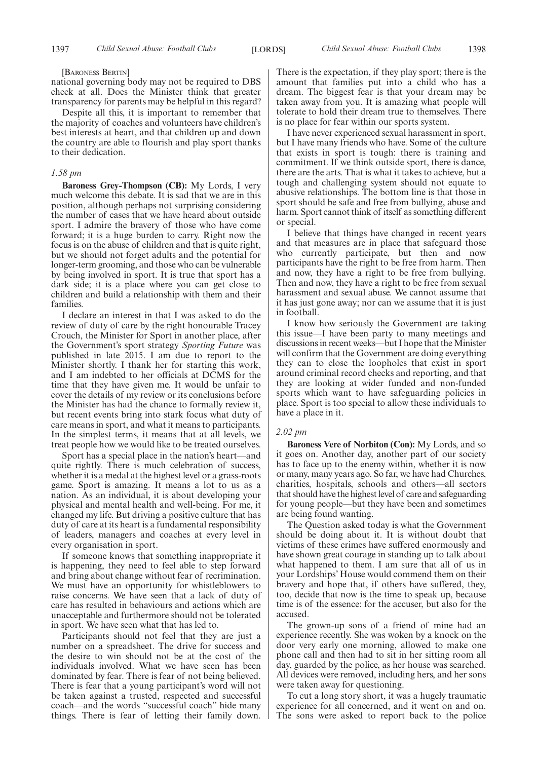#### [BARONESS BERTIN]

national governing body may not be required to DBS check at all. Does the Minister think that greater transparency for parents may be helpful in this regard?

Despite all this, it is important to remember that the majority of coaches and volunteers have children's best interests at heart, and that children up and down the country are able to flourish and play sport thanks to their dedication.

#### *1.58 pm*

**Baroness Grey-Thompson (CB):** My Lords, I very much welcome this debate. It is sad that we are in this position, although perhaps not surprising considering the number of cases that we have heard about outside sport. I admire the bravery of those who have come forward; it is a huge burden to carry. Right now the focus is on the abuse of children and that is quite right, but we should not forget adults and the potential for longer-term grooming, and those who can be vulnerable by being involved in sport. It is true that sport has a dark side; it is a place where you can get close to children and build a relationship with them and their families.

I declare an interest in that I was asked to do the review of duty of care by the right honourable Tracey Crouch, the Minister for Sport in another place, after the Government's sport strategy *Sporting Future* was published in late 2015. I am due to report to the Minister shortly. I thank her for starting this work, and I am indebted to her officials at DCMS for the time that they have given me. It would be unfair to cover the details of my review or its conclusions before the Minister has had the chance to formally review it, but recent events bring into stark focus what duty of care means in sport, and what it means to participants. In the simplest terms, it means that at all levels, we treat people how we would like to be treated ourselves.

Sport has a special place in the nation's heart—and quite rightly. There is much celebration of success, whether it is a medal at the highest level or a grass-roots game. Sport is amazing. It means a lot to us as a nation. As an individual, it is about developing your physical and mental health and well-being. For me, it changed my life. But driving a positive culture that has duty of care at its heart is a fundamental responsibility of leaders, managers and coaches at every level in every organisation in sport.

If someone knows that something inappropriate it is happening, they need to feel able to step forward and bring about change without fear of recrimination. We must have an opportunity for whistleblowers to raise concerns. We have seen that a lack of duty of care has resulted in behaviours and actions which are unacceptable and furthermore should not be tolerated in sport. We have seen what that has led to.

Participants should not feel that they are just a number on a spreadsheet. The drive for success and the desire to win should not be at the cost of the individuals involved. What we have seen has been dominated by fear. There is fear of not being believed. There is fear that a young participant's word will not be taken against a trusted, respected and successful coach—and the words "successful coach" hide many things. There is fear of letting their family down. There is the expectation, if they play sport; there is the amount that families put into a child who has a dream. The biggest fear is that your dream may be taken away from you. It is amazing what people will tolerate to hold their dream true to themselves. There is no place for fear within our sports system.

I have never experienced sexual harassment in sport, but I have many friends who have. Some of the culture that exists in sport is tough: there is training and commitment. If we think outside sport, there is dance, there are the arts. That is what it takes to achieve, but a tough and challenging system should not equate to abusive relationships. The bottom line is that those in sport should be safe and free from bullying, abuse and harm. Sport cannot think of itself as something different or special.

I believe that things have changed in recent years and that measures are in place that safeguard those who currently participate, but then and now participants have the right to be free from harm. Then and now, they have a right to be free from bullying. Then and now, they have a right to be free from sexual harassment and sexual abuse. We cannot assume that it has just gone away; nor can we assume that it is just in football.

I know how seriously the Government are taking this issue—I have been party to many meetings and discussions in recent weeks—but I hope that the Minister will confirm that the Government are doing everything they can to close the loopholes that exist in sport around criminal record checks and reporting, and that they are looking at wider funded and non-funded sports which want to have safeguarding policies in place. Sport is too special to allow these individuals to have a place in it.

#### *2.02 pm*

**Baroness Vere of Norbiton (Con):** My Lords, and so it goes on. Another day, another part of our society has to face up to the enemy within, whether it is now or many, many years ago. So far, we have had Churches, charities, hospitals, schools and others—all sectors that should have the highest level of care and safeguarding for young people—but they have been and sometimes are being found wanting.

The Question asked today is what the Government should be doing about it. It is without doubt that victims of these crimes have suffered enormously and have shown great courage in standing up to talk about what happened to them. I am sure that all of us in your Lordships' House would commend them on their bravery and hope that, if others have suffered, they, too, decide that now is the time to speak up, because time is of the essence: for the accuser, but also for the accused.

The grown-up sons of a friend of mine had an experience recently. She was woken by a knock on the door very early one morning, allowed to make one phone call and then had to sit in her sitting room all day, guarded by the police, as her house was searched. All devices were removed, including hers, and her sons were taken away for questioning.

To cut a long story short, it was a hugely traumatic experience for all concerned, and it went on and on. The sons were asked to report back to the police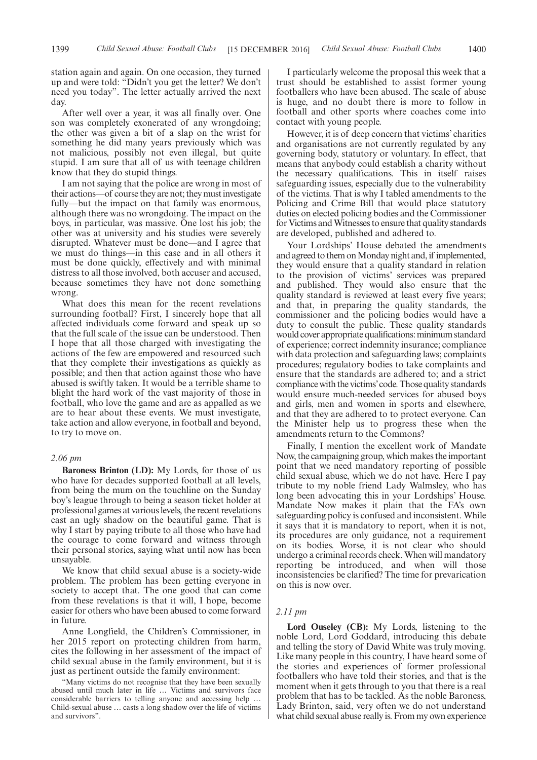station again and again. On one occasion, they turned up and were told: "Didn't you get the letter? We don't need you today". The letter actually arrived the next day.

After well over a year, it was all finally over. One son was completely exonerated of any wrongdoing; the other was given a bit of a slap on the wrist for something he did many years previously which was not malicious, possibly not even illegal, but quite stupid. I am sure that all of us with teenage children know that they do stupid things.

I am not saying that the police are wrong in most of their actions—of course they are not; they must investigate fully—but the impact on that family was enormous, although there was no wrongdoing. The impact on the boys, in particular, was massive. One lost his job; the other was at university and his studies were severely disrupted. Whatever must be done—and I agree that we must do things—in this case and in all others it must be done quickly, effectively and with minimal distress to all those involved, both accuser and accused, because sometimes they have not done something wrong.

What does this mean for the recent revelations surrounding football? First, I sincerely hope that all affected individuals come forward and speak up so that the full scale of the issue can be understood. Then I hope that all those charged with investigating the actions of the few are empowered and resourced such that they complete their investigations as quickly as possible; and then that action against those who have abused is swiftly taken. It would be a terrible shame to blight the hard work of the vast majority of those in football, who love the game and are as appalled as we are to hear about these events. We must investigate, take action and allow everyone, in football and beyond, to try to move on.

#### *2.06 pm*

**Baroness Brinton (LD):** My Lords, for those of us who have for decades supported football at all levels, from being the mum on the touchline on the Sunday boy's league through to being a season ticket holder at professional games at various levels, the recent revelations cast an ugly shadow on the beautiful game. That is why I start by paying tribute to all those who have had the courage to come forward and witness through their personal stories, saying what until now has been unsayable.

We know that child sexual abuse is a society-wide problem. The problem has been getting everyone in society to accept that. The one good that can come from these revelations is that it will, I hope, become easier for others who have been abused to come forward in future.

Anne Longfield, the Children's Commissioner, in her 2015 report on protecting children from harm, cites the following in her assessment of the impact of child sexual abuse in the family environment, but it is just as pertinent outside the family environment:

"Many victims do not recognise that they have been sexually abused until much later in life … Victims and survivors face considerable barriers to telling anyone and accessing help … Child-sexual abuse … casts a long shadow over the life of victims and survivors".

I particularly welcome the proposal this week that a trust should be established to assist former young footballers who have been abused. The scale of abuse is huge, and no doubt there is more to follow in football and other sports where coaches come into contact with young people.

However, it is of deep concern that victims' charities and organisations are not currently regulated by any governing body, statutory or voluntary. In effect, that means that anybody could establish a charity without the necessary qualifications. This in itself raises safeguarding issues, especially due to the vulnerability of the victims. That is why I tabled amendments to the Policing and Crime Bill that would place statutory duties on elected policing bodies and the Commissioner for Victims and Witnesses to ensure that quality standards are developed, published and adhered to.

Your Lordships' House debated the amendments and agreed to them on Monday night and, if implemented, they would ensure that a quality standard in relation to the provision of victims' services was prepared and published. They would also ensure that the quality standard is reviewed at least every five years; and that, in preparing the quality standards, the commissioner and the policing bodies would have a duty to consult the public. These quality standards would cover appropriate qualifications: minimum standard of experience; correct indemnity insurance; compliance with data protection and safeguarding laws; complaints procedures; regulatory bodies to take complaints and ensure that the standards are adhered to; and a strict compliance with the victims'code. Those quality standards would ensure much-needed services for abused boys and girls, men and women in sports and elsewhere, and that they are adhered to to protect everyone. Can the Minister help us to progress these when the amendments return to the Commons?

Finally, I mention the excellent work of Mandate Now, the campaigning group, which makes the important point that we need mandatory reporting of possible child sexual abuse, which we do not have. Here I pay tribute to my noble friend Lady Walmsley, who has long been advocating this in your Lordships' House. Mandate Now makes it plain that the FA's own safeguarding policy is confused and inconsistent. While it says that it is mandatory to report, when it is not, its procedures are only guidance, not a requirement on its bodies. Worse, it is not clear who should undergo a criminal records check. When will mandatory reporting be introduced, and when will those inconsistencies be clarified? The time for prevarication on this is now over.

#### *2.11 pm*

**Lord Ouseley (CB):** My Lords, listening to the noble Lord, Lord Goddard, introducing this debate and telling the story of David White was truly moving. Like many people in this country, I have heard some of the stories and experiences of former professional footballers who have told their stories, and that is the moment when it gets through to you that there is a real problem that has to be tackled. As the noble Baroness, Lady Brinton, said, very often we do not understand what child sexual abuse really is. From my own experience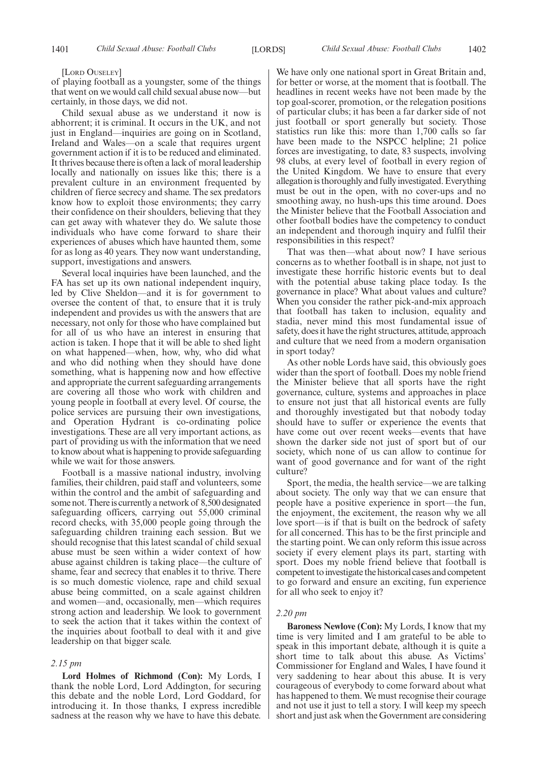#### [LORD OUSELEY]

of playing football as a youngster, some of the things that went on we would call child sexual abuse now—but certainly, in those days, we did not.

Child sexual abuse as we understand it now is abhorrent; it is criminal. It occurs in the UK, and not just in England—inquiries are going on in Scotland, Ireland and Wales—on a scale that requires urgent government action if it is to be reduced and eliminated. It thrives because there is often a lack of moral leadership locally and nationally on issues like this; there is a prevalent culture in an environment frequented by children of fierce secrecy and shame. The sex predators know how to exploit those environments; they carry their confidence on their shoulders, believing that they can get away with whatever they do. We salute those individuals who have come forward to share their experiences of abuses which have haunted them, some for as long as 40 years. They now want understanding, support, investigations and answers.

Several local inquiries have been launched, and the FA has set up its own national independent inquiry, led by Clive Sheldon—and it is for government to oversee the content of that, to ensure that it is truly independent and provides us with the answers that are necessary, not only for those who have complained but for all of us who have an interest in ensuring that action is taken. I hope that it will be able to shed light on what happened—when, how, why, who did what and who did nothing when they should have done something, what is happening now and how effective and appropriate the current safeguarding arrangements are covering all those who work with children and young people in football at every level. Of course, the police services are pursuing their own investigations, and Operation Hydrant is co-ordinating police investigations. These are all very important actions, as part of providing us with the information that we need to know about what is happening to provide safeguarding while we wait for those answers.

Football is a massive national industry, involving families, their children, paid staff and volunteers, some within the control and the ambit of safeguarding and some not. There is currently a network of 8,500 designated safeguarding officers, carrying out 55,000 criminal record checks, with 35,000 people going through the safeguarding children training each session. But we should recognise that this latest scandal of child sexual abuse must be seen within a wider context of how abuse against children is taking place—the culture of shame, fear and secrecy that enables it to thrive. There is so much domestic violence, rape and child sexual abuse being committed, on a scale against children and women—and, occasionally, men—which requires strong action and leadership. We look to government to seek the action that it takes within the context of the inquiries about football to deal with it and give leadership on that bigger scale.

#### *2.15 pm*

**Lord Holmes of Richmond (Con):** My Lords, I thank the noble Lord, Lord Addington, for securing this debate and the noble Lord, Lord Goddard, for introducing it. In those thanks, I express incredible sadness at the reason why we have to have this debate.

We have only one national sport in Great Britain and, for better or worse, at the moment that is football. The headlines in recent weeks have not been made by the top goal-scorer, promotion, or the relegation positions of particular clubs; it has been a far darker side of not just football or sport generally but society. Those statistics run like this: more than 1,700 calls so far have been made to the NSPCC helpline; 21 police forces are investigating, to date, 83 suspects, involving 98 clubs, at every level of football in every region of the United Kingdom. We have to ensure that every allegation is thoroughly and fully investigated. Everything must be out in the open, with no cover-ups and no smoothing away, no hush-ups this time around. Does the Minister believe that the Football Association and other football bodies have the competency to conduct an independent and thorough inquiry and fulfil their responsibilities in this respect?

That was then—what about now? I have serious concerns as to whether football is in shape, not just to investigate these horrific historic events but to deal with the potential abuse taking place today. Is the governance in place? What about values and culture? When you consider the rather pick-and-mix approach that football has taken to inclusion, equality and stadia, never mind this most fundamental issue of safety, does it have the right structures, attitude, approach and culture that we need from a modern organisation in sport today?

As other noble Lords have said, this obviously goes wider than the sport of football. Does my noble friend the Minister believe that all sports have the right governance, culture, systems and approaches in place to ensure not just that all historical events are fully and thoroughly investigated but that nobody today should have to suffer or experience the events that have come out over recent weeks—events that have shown the darker side not just of sport but of our society, which none of us can allow to continue for want of good governance and for want of the right culture?

Sport, the media, the health service—we are talking about society. The only way that we can ensure that people have a positive experience in sport—the fun, the enjoyment, the excitement, the reason why we all love sport—is if that is built on the bedrock of safety for all concerned. This has to be the first principle and the starting point. We can only reform this issue across society if every element plays its part, starting with sport. Does my noble friend believe that football is competent to investigate the historical cases and competent to go forward and ensure an exciting, fun experience for all who seek to enjoy it?

#### *2.20 pm*

**Baroness Newlove (Con):** My Lords, I know that my time is very limited and I am grateful to be able to speak in this important debate, although it is quite a short time to talk about this abuse. As Victims' Commissioner for England and Wales, I have found it very saddening to hear about this abuse. It is very courageous of everybody to come forward about what has happened to them. We must recognise their courage and not use it just to tell a story. I will keep my speech short and just ask when the Government are considering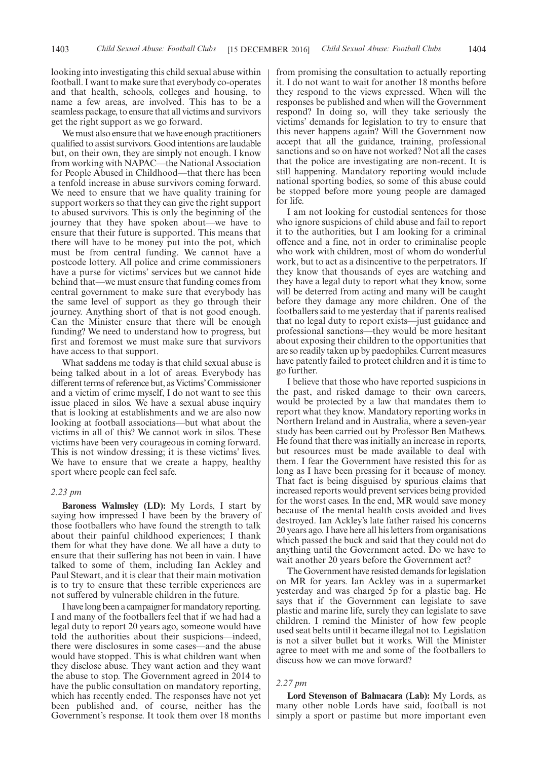looking into investigating this child sexual abuse within football. I want to make sure that everybody co-operates and that health, schools, colleges and housing, to name a few areas, are involved. This has to be a seamless package, to ensure that all victims and survivors get the right support as we go forward.

We must also ensure that we have enough practitioners qualified to assist survivors. Good intentions are laudable but, on their own, they are simply not enough. I know from working with NAPAC—the National Association for People Abused in Childhood—that there has been a tenfold increase in abuse survivors coming forward. We need to ensure that we have quality training for support workers so that they can give the right support to abused survivors. This is only the beginning of the journey that they have spoken about—we have to ensure that their future is supported. This means that there will have to be money put into the pot, which must be from central funding. We cannot have a postcode lottery. All police and crime commissioners have a purse for victims' services but we cannot hide behind that—we must ensure that funding comes from central government to make sure that everybody has the same level of support as they go through their journey. Anything short of that is not good enough. Can the Minister ensure that there will be enough funding? We need to understand how to progress, but first and foremost we must make sure that survivors have access to that support.

What saddens me today is that child sexual abuse is being talked about in a lot of areas. Everybody has different terms of reference but, as Victims'Commissioner and a victim of crime myself, I do not want to see this issue placed in silos. We have a sexual abuse inquiry that is looking at establishments and we are also now looking at football associations—but what about the victims in all of this? We cannot work in silos. These victims have been very courageous in coming forward. This is not window dressing; it is these victims' lives. We have to ensure that we create a happy, healthy sport where people can feel safe.

#### *2.23 pm*

**Baroness Walmsley (LD):** My Lords, I start by saying how impressed I have been by the bravery of those footballers who have found the strength to talk about their painful childhood experiences; I thank them for what they have done. We all have a duty to ensure that their suffering has not been in vain. I have talked to some of them, including Ian Ackley and Paul Stewart, and it is clear that their main motivation is to try to ensure that these terrible experiences are not suffered by vulnerable children in the future.

I have long been a campaigner for mandatory reporting. I and many of the footballers feel that if we had had a legal duty to report 20 years ago, someone would have told the authorities about their suspicions—indeed, there were disclosures in some cases—and the abuse would have stopped. This is what children want when they disclose abuse. They want action and they want the abuse to stop. The Government agreed in 2014 to have the public consultation on mandatory reporting, which has recently ended. The responses have not yet been published and, of course, neither has the Government's response. It took them over 18 months

from promising the consultation to actually reporting it. I do not want to wait for another 18 months before they respond to the views expressed. When will the responses be published and when will the Government respond? In doing so, will they take seriously the victims' demands for legislation to try to ensure that this never happens again? Will the Government now accept that all the guidance, training, professional sanctions and so on have not worked? Not all the cases that the police are investigating are non-recent. It is still happening. Mandatory reporting would include national sporting bodies, so some of this abuse could be stopped before more young people are damaged for life.

I am not looking for custodial sentences for those who ignore suspicions of child abuse and fail to report it to the authorities, but I am looking for a criminal offence and a fine, not in order to criminalise people who work with children, most of whom do wonderful work, but to act as a disincentive to the perpetrators. If they know that thousands of eyes are watching and they have a legal duty to report what they know, some will be deterred from acting and many will be caught before they damage any more children. One of the footballers said to me yesterday that if parents realised that no legal duty to report exists—just guidance and professional sanctions—they would be more hesitant about exposing their children to the opportunities that are so readily taken up by paedophiles. Current measures have patently failed to protect children and it is time to go further.

I believe that those who have reported suspicions in the past, and risked damage to their own careers, would be protected by a law that mandates them to report what they know. Mandatory reporting works in Northern Ireland and in Australia, where a seven-year study has been carried out by Professor Ben Mathews. He found that there was initially an increase in reports, but resources must be made available to deal with them. I fear the Government have resisted this for as long as I have been pressing for it because of money. That fact is being disguised by spurious claims that increased reports would prevent services being provided for the worst cases. In the end, MR would save money because of the mental health costs avoided and lives destroyed. Ian Ackley's late father raised his concerns 20 years ago. I have here all his letters from organisations which passed the buck and said that they could not do anything until the Government acted. Do we have to wait another 20 years before the Government act?

The Government have resisted demands for legislation on MR for years. Ian Ackley was in a supermarket yesterday and was charged 5p for a plastic bag. He says that if the Government can legislate to save plastic and marine life, surely they can legislate to save children. I remind the Minister of how few people used seat belts until it became illegal not to. Legislation is not a silver bullet but it works. Will the Minister agree to meet with me and some of the footballers to discuss how we can move forward?

#### *2.27 pm*

**Lord Stevenson of Balmacara (Lab):** My Lords, as many other noble Lords have said, football is not simply a sport or pastime but more important even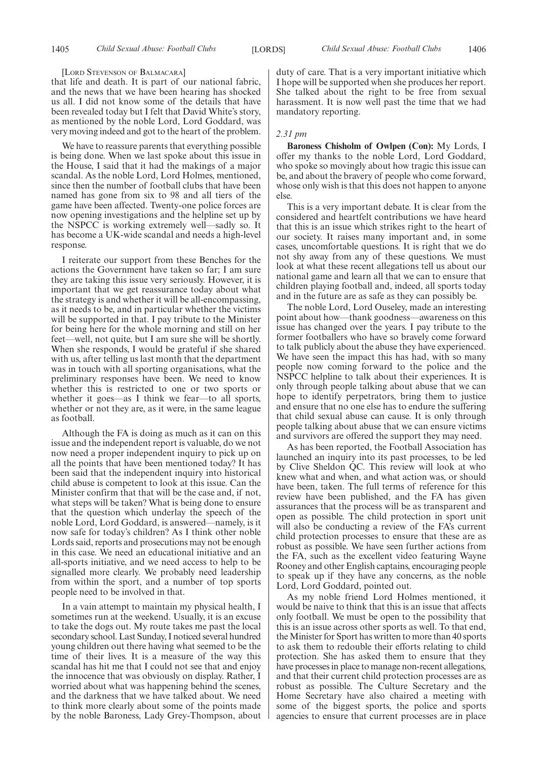[LORD STEVENSON OF BALMACARA]

that life and death. It is part of our national fabric, and the news that we have been hearing has shocked us all. I did not know some of the details that have been revealed today but I felt that David White's story, as mentioned by the noble Lord, Lord Goddard, was very moving indeed and got to the heart of the problem.

We have to reassure parents that everything possible is being done. When we last spoke about this issue in the House, I said that it had the makings of a major scandal. As the noble Lord, Lord Holmes, mentioned, since then the number of football clubs that have been named has gone from six to 98 and all tiers of the game have been affected. Twenty-one police forces are now opening investigations and the helpline set up by the NSPCC is working extremely well—sadly so. It has become a UK-wide scandal and needs a high-level response.

I reiterate our support from these Benches for the actions the Government have taken so far; I am sure they are taking this issue very seriously. However, it is important that we get reassurance today about what the strategy is and whether it will be all-encompassing, as it needs to be, and in particular whether the victims will be supported in that. I pay tribute to the Minister for being here for the whole morning and still on her feet—well, not quite, but I am sure she will be shortly. When she responds, I would be grateful if she shared with us, after telling us last month that the department was in touch with all sporting organisations, what the preliminary responses have been. We need to know whether this is restricted to one or two sports or whether it goes—as I think we fear—to all sports, whether or not they are, as it were, in the same league as football.

Although the FA is doing as much as it can on this issue and the independent report is valuable, do we not now need a proper independent inquiry to pick up on all the points that have been mentioned today? It has been said that the independent inquiry into historical child abuse is competent to look at this issue. Can the Minister confirm that that will be the case and, if not, what steps will be taken? What is being done to ensure that the question which underlay the speech of the noble Lord, Lord Goddard, is answered—namely, is it now safe for today's children? As I think other noble Lords said, reports and prosecutions may not be enough in this case. We need an educational initiative and an all-sports initiative, and we need access to help to be signalled more clearly. We probably need leadership from within the sport, and a number of top sports people need to be involved in that.

In a vain attempt to maintain my physical health, I sometimes run at the weekend. Usually, it is an excuse to take the dogs out. My route takes me past the local secondary school. Last Sunday, I noticed several hundred young children out there having what seemed to be the time of their lives. It is a measure of the way this scandal has hit me that I could not see that and enjoy the innocence that was obviously on display. Rather, I worried about what was happening behind the scenes, and the darkness that we have talked about. We need to think more clearly about some of the points made by the noble Baroness, Lady Grey-Thompson, about duty of care. That is a very important initiative which I hope will be supported when she produces her report. She talked about the right to be free from sexual harassment. It is now well past the time that we had mandatory reporting.

#### *2.31 pm*

**Baroness Chisholm of Owlpen (Con):** My Lords, I offer my thanks to the noble Lord, Lord Goddard, who spoke so movingly about how tragic this issue can be, and about the bravery of people who come forward, whose only wish is that this does not happen to anyone else.

This is a very important debate. It is clear from the considered and heartfelt contributions we have heard that this is an issue which strikes right to the heart of our society. It raises many important and, in some cases, uncomfortable questions. It is right that we do not shy away from any of these questions. We must look at what these recent allegations tell us about our national game and learn all that we can to ensure that children playing football and, indeed, all sports today and in the future are as safe as they can possibly be.

The noble Lord, Lord Ouseley, made an interesting point about how—thank goodness—awareness on this issue has changed over the years. I pay tribute to the former footballers who have so bravely come forward to talk publicly about the abuse they have experienced. We have seen the impact this has had, with so many people now coming forward to the police and the NSPCC helpline to talk about their experiences. It is only through people talking about abuse that we can hope to identify perpetrators, bring them to justice and ensure that no one else has to endure the suffering that child sexual abuse can cause. It is only through people talking about abuse that we can ensure victims and survivors are offered the support they may need.

As has been reported, the Football Association has launched an inquiry into its past processes, to be led by Clive Sheldon QC. This review will look at who knew what and when, and what action was, or should have been, taken. The full terms of reference for this review have been published, and the FA has given assurances that the process will be as transparent and open as possible. The child protection in sport unit will also be conducting a review of the FA's current child protection processes to ensure that these are as robust as possible. We have seen further actions from the FA, such as the excellent video featuring Wayne Rooney and other English captains, encouraging people to speak up if they have any concerns, as the noble Lord, Lord Goddard, pointed out.

As my noble friend Lord Holmes mentioned, it would be naive to think that this is an issue that affects only football. We must be open to the possibility that this is an issue across other sports as well. To that end, the Minister for Sport has written to more than 40 sports to ask them to redouble their efforts relating to child protection. She has asked them to ensure that they have processes in place to manage non-recent allegations, and that their current child protection processes are as robust as possible. The Culture Secretary and the Home Secretary have also chaired a meeting with some of the biggest sports, the police and sports agencies to ensure that current processes are in place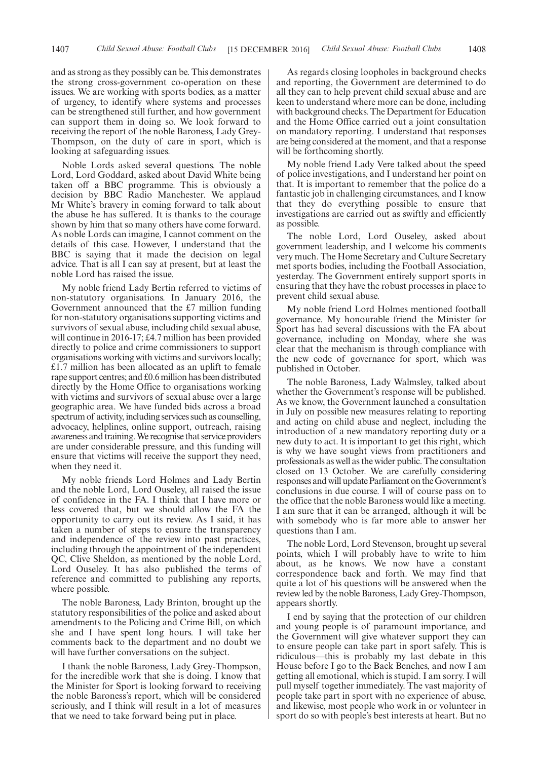and as strong as they possibly can be. This demonstrates the strong cross-government co-operation on these issues. We are working with sports bodies, as a matter of urgency, to identify where systems and processes can be strengthened still further, and how government can support them in doing so. We look forward to receiving the report of the noble Baroness, Lady Grey-Thompson, on the duty of care in sport, which is looking at safeguarding issues.

Noble Lords asked several questions. The noble Lord, Lord Goddard, asked about David White being taken off a BBC programme. This is obviously a decision by BBC Radio Manchester. We applaud Mr White's bravery in coming forward to talk about the abuse he has suffered. It is thanks to the courage shown by him that so many others have come forward. As noble Lords can imagine, I cannot comment on the details of this case. However, I understand that the BBC is saying that it made the decision on legal advice. That is all I can say at present, but at least the noble Lord has raised the issue.

My noble friend Lady Bertin referred to victims of non-statutory organisations. In January 2016, the Government announced that the £7 million funding for non-statutory organisations supporting victims and survivors of sexual abuse, including child sexual abuse, will continue in 2016-17; £4.7 million has been provided directly to police and crime commissioners to support organisations working with victims and survivors locally; £1.7 million has been allocated as an uplift to female rape support centres; and £0.6 million has been distributed directly by the Home Office to organisations working with victims and survivors of sexual abuse over a large geographic area. We have funded bids across a broad spectrum of activity, including services such as counselling, advocacy, helplines, online support, outreach, raising awareness and training. We recognise that service providers are under considerable pressure, and this funding will ensure that victims will receive the support they need, when they need it.

My noble friends Lord Holmes and Lady Bertin and the noble Lord, Lord Ouseley, all raised the issue of confidence in the FA. I think that I have more or less covered that, but we should allow the FA the opportunity to carry out its review. As I said, it has taken a number of steps to ensure the transparency and independence of the review into past practices, including through the appointment of the independent QC, Clive Sheldon, as mentioned by the noble Lord, Lord Ouseley. It has also published the terms of reference and committed to publishing any reports, where possible.

The noble Baroness, Lady Brinton, brought up the statutory responsibilities of the police and asked about amendments to the Policing and Crime Bill, on which she and I have spent long hours. I will take her comments back to the department and no doubt we will have further conversations on the subject.

I thank the noble Baroness, Lady Grey-Thompson, for the incredible work that she is doing. I know that the Minister for Sport is looking forward to receiving the noble Baroness's report, which will be considered seriously, and I think will result in a lot of measures that we need to take forward being put in place.

As regards closing loopholes in background checks and reporting, the Government are determined to do all they can to help prevent child sexual abuse and are keen to understand where more can be done, including with background checks. The Department for Education and the Home Office carried out a joint consultation on mandatory reporting. I understand that responses are being considered at the moment, and that a response will be forthcoming shortly.

My noble friend Lady Vere talked about the speed of police investigations, and I understand her point on that. It is important to remember that the police do a fantastic job in challenging circumstances, and I know that they do everything possible to ensure that investigations are carried out as swiftly and efficiently as possible.

The noble Lord, Lord Ouseley, asked about government leadership, and I welcome his comments very much. The Home Secretary and Culture Secretary met sports bodies, including the Football Association, yesterday. The Government entirely support sports in ensuring that they have the robust processes in place to prevent child sexual abuse.

My noble friend Lord Holmes mentioned football governance. My honourable friend the Minister for Sport has had several discussions with the FA about governance, including on Monday, where she was clear that the mechanism is through compliance with the new code of governance for sport, which was published in October.

The noble Baroness, Lady Walmsley, talked about whether the Government's response will be published. As we know, the Government launched a consultation in July on possible new measures relating to reporting and acting on child abuse and neglect, including the introduction of a new mandatory reporting duty or a new duty to act. It is important to get this right, which is why we have sought views from practitioners and professionals as well as the wider public. The consultation closed on 13 October. We are carefully considering responses and will update Parliament on the Government's conclusions in due course. I will of course pass on to the office that the noble Baroness would like a meeting. I am sure that it can be arranged, although it will be with somebody who is far more able to answer her questions than I am.

The noble Lord, Lord Stevenson, brought up several points, which I will probably have to write to him about, as he knows. We now have a constant correspondence back and forth. We may find that quite a lot of his questions will be answered when the review led by the noble Baroness, Lady Grey-Thompson, appears shortly.

I end by saying that the protection of our children and young people is of paramount importance, and the Government will give whatever support they can to ensure people can take part in sport safely. This is ridiculous—this is probably my last debate in this House before I go to the Back Benches, and now I am getting all emotional, which is stupid. I am sorry. I will pull myself together immediately. The vast majority of people take part in sport with no experience of abuse, and likewise, most people who work in or volunteer in sport do so with people's best interests at heart. But no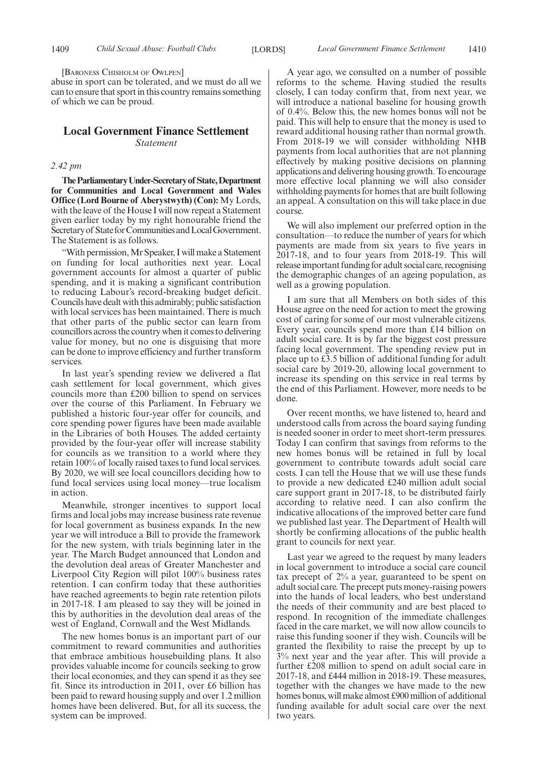[BARONESS CHISHOLM OF OWLPEN]

abuse in sport can be tolerated, and we must do all we can to ensure that sport in this country remains something of which we can be proud.

#### **Local Government Finance Settlement** *Statement*

#### *2.42 pm*

**TheParliamentaryUnder-Secretaryof State,Department for Communities and Local Government and Wales Office (Lord Bourne of Aberystwyth) (Con):** My Lords, with the leave of the House I will now repeat a Statement given earlier today by my right honourable friend the Secretary of State for Communities and Local Government. The Statement is as follows.

"With permission, Mr Speaker, I will make a Statement on funding for local authorities next year. Local government accounts for almost a quarter of public spending, and it is making a significant contribution to reducing Labour's record-breaking budget deficit. Councils have dealt with this admirably; public satisfaction with local services has been maintained. There is much that other parts of the public sector can learn from councillors across the country when it comes to delivering value for money, but no one is disguising that more can be done to improve efficiency and further transform services.

In last year's spending review we delivered a flat cash settlement for local government, which gives councils more than £200 billion to spend on services over the course of this Parliament. In February we published a historic four-year offer for councils, and core spending power figures have been made available in the Libraries of both Houses. The added certainty provided by the four-year offer will increase stability for councils as we transition to a world where they retain 100% of locally raised taxes to fund local services. By 2020, we will see local councillors deciding how to fund local services using local money—true localism in action.

Meanwhile, stronger incentives to support local firms and local jobs may increase business rate revenue for local government as business expands. In the new year we will introduce a Bill to provide the framework for the new system, with trials beginning later in the year. The March Budget announced that London and the devolution deal areas of Greater Manchester and Liverpool City Region will pilot 100% business rates retention. I can confirm today that these authorities have reached agreements to begin rate retention pilots in 2017-18. I am pleased to say they will be joined in this by authorities in the devolution deal areas of the west of England, Cornwall and the West Midlands.

The new homes bonus is an important part of our commitment to reward communities and authorities that embrace ambitious housebuilding plans. It also provides valuable income for councils seeking to grow their local economies, and they can spend it as they see fit. Since its introduction in 2011, over £6 billion has been paid to reward housing supply and over 1.2 million homes have been delivered. But, for all its success, the system can be improved.

A year ago, we consulted on a number of possible reforms to the scheme. Having studied the results closely, I can today confirm that, from next year, we will introduce a national baseline for housing growth of 0.4%. Below this, the new homes bonus will not be paid. This will help to ensure that the money is used to reward additional housing rather than normal growth. From 2018-19 we will consider withholding NHB payments from local authorities that are not planning effectively by making positive decisions on planning applications and delivering housing growth. To encourage more effective local planning we will also consider withholding payments for homes that are built following an appeal. A consultation on this will take place in due course.

We will also implement our preferred option in the consultation—to reduce the number of years for which payments are made from six years to five years in 2017-18, and to four years from 2018-19. This will release important funding for adult social care, recognising the demographic changes of an ageing population, as well as a growing population.

I am sure that all Members on both sides of this House agree on the need for action to meet the growing cost of caring for some of our most vulnerable citizens. Every year, councils spend more than £14 billion on adult social care. It is by far the biggest cost pressure facing local government. The spending review put in place up to £3.5 billion of additional funding for adult social care by 2019-20, allowing local government to increase its spending on this service in real terms by the end of this Parliament. However, more needs to be done.

Over recent months, we have listened to, heard and understood calls from across the board saying funding is needed sooner in order to meet short-term pressures. Today I can confirm that savings from reforms to the new homes bonus will be retained in full by local government to contribute towards adult social care costs. I can tell the House that we will use these funds to provide a new dedicated £240 million adult social care support grant in 2017-18, to be distributed fairly according to relative need. I can also confirm the indicative allocations of the improved better care fund we published last year. The Department of Health will shortly be confirming allocations of the public health grant to councils for next year.

Last year we agreed to the request by many leaders in local government to introduce a social care council tax precept of 2% a year, guaranteed to be spent on adult social care. The precept puts money-raising powers into the hands of local leaders, who best understand the needs of their community and are best placed to respond. In recognition of the immediate challenges faced in the care market, we will now allow councils to raise this funding sooner if they wish. Councils will be granted the flexibility to raise the precept by up to 3% next year and the year after. This will provide a further £208 million to spend on adult social care in 2017-18, and £444 million in 2018-19. These measures, together with the changes we have made to the new homes bonus, will make almost £900 million of additional funding available for adult social care over the next two years.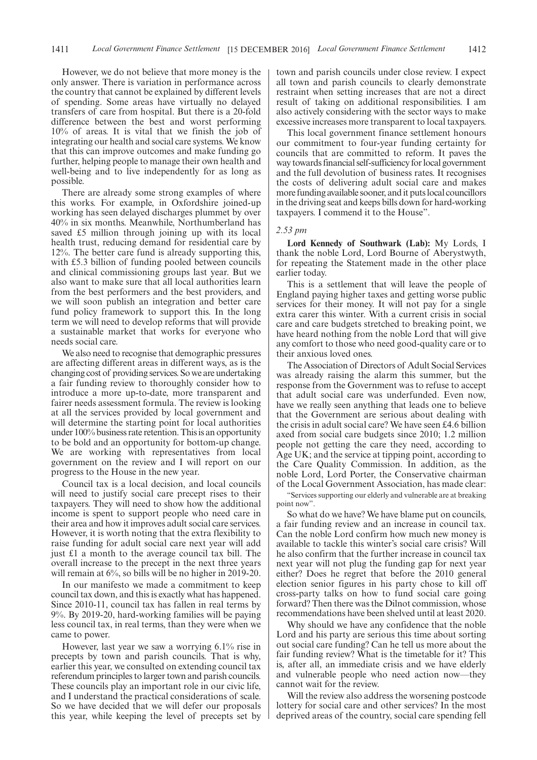However, we do not believe that more money is the only answer. There is variation in performance across the country that cannot be explained by different levels of spending. Some areas have virtually no delayed transfers of care from hospital. But there is a 20-fold difference between the best and worst performing 10% of areas. It is vital that we finish the job of integrating our health and social care systems. We know that this can improve outcomes and make funding go further, helping people to manage their own health and well-being and to live independently for as long as possible.

There are already some strong examples of where this works. For example, in Oxfordshire joined-up working has seen delayed discharges plummet by over 40% in six months. Meanwhile, Northumberland has saved £5 million through joining up with its local health trust, reducing demand for residential care by 12%. The better care fund is already supporting this, with £5.3 billion of funding pooled between councils and clinical commissioning groups last year. But we also want to make sure that all local authorities learn from the best performers and the best providers, and we will soon publish an integration and better care fund policy framework to support this. In the long term we will need to develop reforms that will provide a sustainable market that works for everyone who needs social care.

We also need to recognise that demographic pressures are affecting different areas in different ways, as is the changing cost of providing services. So we are undertaking a fair funding review to thoroughly consider how to introduce a more up-to-date, more transparent and fairer needs assessment formula. The review is looking at all the services provided by local government and will determine the starting point for local authorities under 100% business rate retention. This is an opportunity to be bold and an opportunity for bottom-up change. We are working with representatives from local government on the review and I will report on our progress to the House in the new year.

Council tax is a local decision, and local councils will need to justify social care precept rises to their taxpayers. They will need to show how the additional income is spent to support people who need care in their area and how it improves adult social care services. However, it is worth noting that the extra flexibility to raise funding for adult social care next year will add just £1 a month to the average council tax bill. The overall increase to the precept in the next three years will remain at  $6\%$ , so bills will be no higher in 2019-20.

In our manifesto we made a commitment to keep council tax down, and this is exactly what has happened. Since 2010-11, council tax has fallen in real terms by 9%. By 2019-20, hard-working families will be paying less council tax, in real terms, than they were when we came to power.

However, last year we saw a worrying 6.1% rise in precepts by town and parish councils. That is why, earlier this year, we consulted on extending council tax referendum principles to larger town and parish councils. These councils play an important role in our civic life, and I understand the practical considerations of scale. So we have decided that we will defer our proposals this year, while keeping the level of precepts set by town and parish councils under close review. I expect all town and parish councils to clearly demonstrate restraint when setting increases that are not a direct result of taking on additional responsibilities. I am also actively considering with the sector ways to make excessive increases more transparent to local taxpayers.

This local government finance settlement honours our commitment to four-year funding certainty for councils that are committed to reform. It paves the way towards financial self-sufficiency for local government and the full devolution of business rates. It recognises the costs of delivering adult social care and makes more funding available sooner, and it puts local councillors in the driving seat and keeps bills down for hard-working taxpayers. I commend it to the House".

#### *2.53 pm*

**Lord Kennedy of Southwark (Lab):** My Lords, I thank the noble Lord, Lord Bourne of Aberystwyth, for repeating the Statement made in the other place earlier today.

This is a settlement that will leave the people of England paying higher taxes and getting worse public services for their money. It will not pay for a single extra carer this winter. With a current crisis in social care and care budgets stretched to breaking point, we have heard nothing from the noble Lord that will give any comfort to those who need good-quality care or to their anxious loved ones.

The Association of Directors of Adult Social Services was already raising the alarm this summer, but the response from the Government was to refuse to accept that adult social care was underfunded. Even now, have we really seen anything that leads one to believe that the Government are serious about dealing with the crisis in adult social care? We have seen £4.6 billion axed from social care budgets since 2010; 1.2 million people not getting the care they need, according to Age UK; and the service at tipping point, according to the Care Quality Commission. In addition, as the noble Lord, Lord Porter, the Conservative chairman of the Local Government Association, has made clear:

"Services supporting our elderly and vulnerable are at breaking point now".

So what do we have? We have blame put on councils, a fair funding review and an increase in council tax. Can the noble Lord confirm how much new money is available to tackle this winter's social care crisis? Will he also confirm that the further increase in council tax next year will not plug the funding gap for next year either? Does he regret that before the 2010 general election senior figures in his party chose to kill off cross-party talks on how to fund social care going forward? Then there was the Dilnot commission, whose recommendations have been shelved until at least 2020.

Why should we have any confidence that the noble Lord and his party are serious this time about sorting out social care funding? Can he tell us more about the fair funding review? What is the timetable for it? This is, after all, an immediate crisis and we have elderly and vulnerable people who need action now—they cannot wait for the review.

Will the review also address the worsening postcode lottery for social care and other services? In the most deprived areas of the country, social care spending fell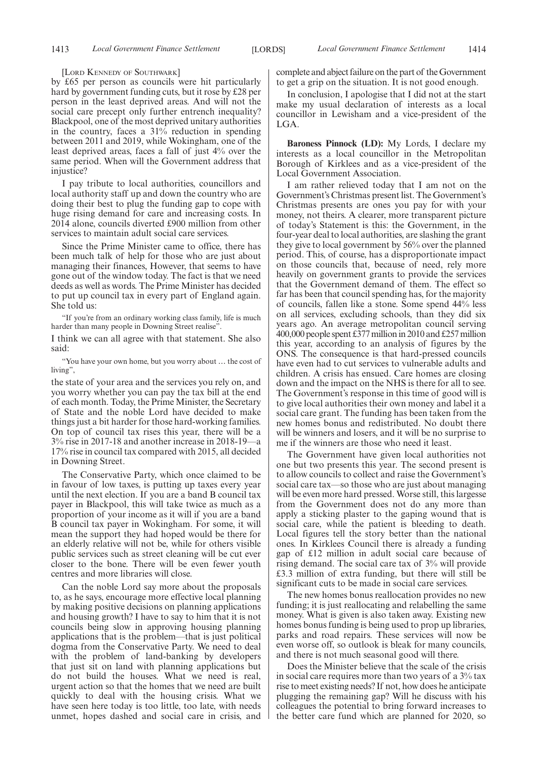#### [LORD KENNEDY OF SOUTHWARK]

by £65 per person as councils were hit particularly hard by government funding cuts, but it rose by £28 per person in the least deprived areas. And will not the social care precept only further entrench inequality? Blackpool, one of the most deprived unitary authorities in the country, faces a 31% reduction in spending between 2011 and 2019, while Wokingham, one of the least deprived areas, faces a fall of just 4% over the same period. When will the Government address that injustice?

I pay tribute to local authorities, councillors and local authority staff up and down the country who are doing their best to plug the funding gap to cope with huge rising demand for care and increasing costs. In 2014 alone, councils diverted £900 million from other services to maintain adult social care services.

Since the Prime Minister came to office, there has been much talk of help for those who are just about managing their finances, However, that seems to have gone out of the window today. The fact is that we need deeds as well as words. The Prime Minister has decided to put up council tax in every part of England again. She told us:

"If you're from an ordinary working class family, life is much harder than many people in Downing Street realise".

I think we can all agree with that statement. She also said:

"You have your own home, but you worry about … the cost of living",

the state of your area and the services you rely on, and you worry whether you can pay the tax bill at the end of each month. Today, the Prime Minister, the Secretary of State and the noble Lord have decided to make things just a bit harder for those hard-working families. On top of council tax rises this year, there will be a 3% rise in 2017-18 and another increase in 2018-19—a 17% rise in council tax compared with 2015, all decided in Downing Street.

The Conservative Party, which once claimed to be in favour of low taxes, is putting up taxes every year until the next election. If you are a band B council tax payer in Blackpool, this will take twice as much as a proportion of your income as it will if you are a band B council tax payer in Wokingham. For some, it will mean the support they had hoped would be there for an elderly relative will not be, while for others visible public services such as street cleaning will be cut ever closer to the bone. There will be even fewer youth centres and more libraries will close.

Can the noble Lord say more about the proposals to, as he says, encourage more effective local planning by making positive decisions on planning applications and housing growth? I have to say to him that it is not councils being slow in approving housing planning applications that is the problem—that is just political dogma from the Conservative Party. We need to deal with the problem of land-banking by developers that just sit on land with planning applications but do not build the houses. What we need is real, urgent action so that the homes that we need are built quickly to deal with the housing crisis. What we have seen here today is too little, too late, with needs unmet, hopes dashed and social care in crisis, and complete and abject failure on the part of the Government to get a grip on the situation. It is not good enough.

In conclusion, I apologise that I did not at the start make my usual declaration of interests as a local councillor in Lewisham and a vice-president of the LGA.

**Baroness Pinnock (LD):** My Lords, I declare my interests as a local councillor in the Metropolitan Borough of Kirklees and as a vice-president of the Local Government Association.

I am rather relieved today that I am not on the Government's Christmas present list. The Government's Christmas presents are ones you pay for with your money, not theirs. A clearer, more transparent picture of today's Statement is this: the Government, in the four-year deal to local authorities, are slashing the grant they give to local government by 56% over the planned period. This, of course, has a disproportionate impact on those councils that, because of need, rely more heavily on government grants to provide the services that the Government demand of them. The effect so far has been that council spending has, for the majority of councils, fallen like a stone. Some spend 44% less on all services, excluding schools, than they did six years ago. An average metropolitan council serving 400,000 people spent £377 million in 2010 and £257 million this year, according to an analysis of figures by the ONS. The consequence is that hard-pressed councils have even had to cut services to vulnerable adults and children. A crisis has ensued. Care homes are closing down and the impact on the NHS is there for all to see. The Government's response in this time of good will is to give local authorities their own money and label it a social care grant. The funding has been taken from the new homes bonus and redistributed. No doubt there will be winners and losers, and it will be no surprise to me if the winners are those who need it least.

The Government have given local authorities not one but two presents this year. The second present is to allow councils to collect and raise the Government's social care tax—so those who are just about managing will be even more hard pressed. Worse still, this largesse from the Government does not do any more than apply a sticking plaster to the gaping wound that is social care, while the patient is bleeding to death. Local figures tell the story better than the national ones. In Kirklees Council there is already a funding gap of £12 million in adult social care because of rising demand. The social care tax of 3% will provide £3.3 million of extra funding, but there will still be significant cuts to be made in social care services.

The new homes bonus reallocation provides no new funding; it is just reallocating and relabelling the same money. What is given is also taken away. Existing new homes bonus funding is being used to prop up libraries, parks and road repairs. These services will now be even worse off, so outlook is bleak for many councils, and there is not much seasonal good will there.

Does the Minister believe that the scale of the crisis in social care requires more than two years of a 3% tax rise to meet existing needs? If not, how does he anticipate plugging the remaining gap? Will he discuss with his colleagues the potential to bring forward increases to the better care fund which are planned for 2020, so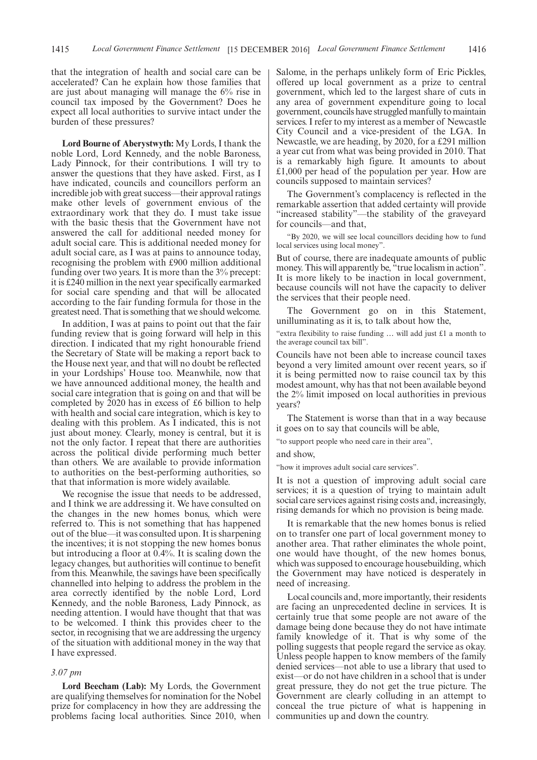that the integration of health and social care can be accelerated? Can he explain how those families that are just about managing will manage the 6% rise in council tax imposed by the Government? Does he expect all local authorities to survive intact under the burden of these pressures?

**Lord Bourne of Aberystwyth:** My Lords, I thank the noble Lord, Lord Kennedy, and the noble Baroness, Lady Pinnock, for their contributions. I will try to answer the questions that they have asked. First, as I have indicated, councils and councillors perform an incredible job with great success—their approval ratings make other levels of government envious of the extraordinary work that they do. I must take issue with the basic thesis that the Government have not answered the call for additional needed money for adult social care. This is additional needed money for adult social care, as I was at pains to announce today, recognising the problem with £900 million additional funding over two years. It is more than the 3% precept: it is £240 million in the next year specifically earmarked for social care spending and that will be allocated according to the fair funding formula for those in the greatest need. That is something that we should welcome.

In addition, I was at pains to point out that the fair funding review that is going forward will help in this direction. I indicated that my right honourable friend the Secretary of State will be making a report back to the House next year, and that will no doubt be reflected in your Lordships' House too. Meanwhile, now that we have announced additional money, the health and social care integration that is going on and that will be completed by 2020 has in excess of £6 billion to help with health and social care integration, which is key to dealing with this problem. As I indicated, this is not just about money. Clearly, money is central, but it is not the only factor. I repeat that there are authorities across the political divide performing much better than others. We are available to provide information to authorities on the best-performing authorities, so that that information is more widely available.

We recognise the issue that needs to be addressed, and I think we are addressing it. We have consulted on the changes in the new homes bonus, which were referred to. This is not something that has happened out of the blue—it was consulted upon. It is sharpening the incentives; it is not stopping the new homes bonus but introducing a floor at 0.4%. It is scaling down the legacy changes, but authorities will continue to benefit from this. Meanwhile, the savings have been specifically channelled into helping to address the problem in the area correctly identified by the noble Lord, Lord Kennedy, and the noble Baroness, Lady Pinnock, as needing attention. I would have thought that that was to be welcomed. I think this provides cheer to the sector, in recognising that we are addressing the urgency of the situation with additional money in the way that I have expressed.

#### *3.07 pm*

**Lord Beecham (Lab):** My Lords, the Government are qualifying themselves for nomination for the Nobel prize for complacency in how they are addressing the problems facing local authorities. Since 2010, when Salome, in the perhaps unlikely form of Eric Pickles, offered up local government as a prize to central government, which led to the largest share of cuts in any area of government expenditure going to local government, councils have struggled manfully to maintain services. I refer to my interest as a member of Newcastle City Council and a vice-president of the LGA. In Newcastle, we are heading, by 2020, for a £291 million a year cut from what was being provided in 2010. That is a remarkably high figure. It amounts to about £1,000 per head of the population per year. How are councils supposed to maintain services?

The Government's complacency is reflected in the remarkable assertion that added certainty will provide "increased stability"—the stability of the graveyard for councils—and that,

"By 2020, we will see local councillors deciding how to fund local services using local money".

But of course, there are inadequate amounts of public money. This will apparently be, "true localism in action". It is more likely to be inaction in local government, because councils will not have the capacity to deliver the services that their people need.

The Government go on in this Statement, unilluminating as it is, to talk about how the,

"extra flexibility to raise funding … will add just £1 a month to the average council tax bill".

Councils have not been able to increase council taxes beyond a very limited amount over recent years, so if it is being permitted now to raise council tax by this modest amount, why has that not been available beyond the 2% limit imposed on local authorities in previous years?

The Statement is worse than that in a way because it goes on to say that councils will be able,

"to support people who need care in their area",

and show,

"how it improves adult social care services".

It is not a question of improving adult social care services; it is a question of trying to maintain adult social care services against rising costs and, increasingly, rising demands for which no provision is being made.

It is remarkable that the new homes bonus is relied on to transfer one part of local government money to another area. That rather eliminates the whole point, one would have thought, of the new homes bonus, which was supposed to encourage housebuilding, which the Government may have noticed is desperately in need of increasing.

Local councils and, more importantly, their residents are facing an unprecedented decline in services. It is certainly true that some people are not aware of the damage being done because they do not have intimate family knowledge of it. That is why some of the polling suggests that people regard the service as okay. Unless people happen to know members of the family denied services—not able to use a library that used to exist—or do not have children in a school that is under great pressure, they do not get the true picture. The Government are clearly colluding in an attempt to conceal the true picture of what is happening in communities up and down the country.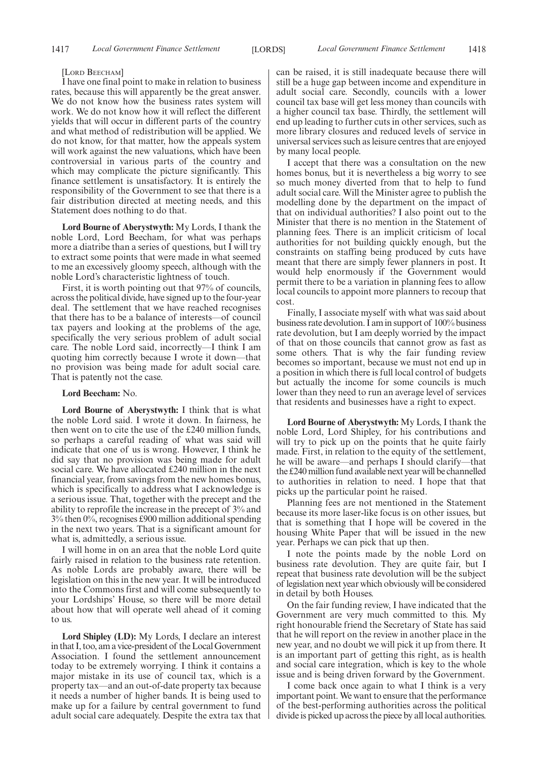#### [LORD BEECHAM]

I have one final point to make in relation to business rates, because this will apparently be the great answer. We do not know how the business rates system will work. We do not know how it will reflect the different yields that will occur in different parts of the country and what method of redistribution will be applied. We do not know, for that matter, how the appeals system will work against the new valuations, which have been controversial in various parts of the country and which may complicate the picture significantly. This finance settlement is unsatisfactory. It is entirely the responsibility of the Government to see that there is a fair distribution directed at meeting needs, and this Statement does nothing to do that.

**Lord Bourne of Aberystwyth:** My Lords, I thank the noble Lord, Lord Beecham, for what was perhaps more a diatribe than a series of questions, but I will try to extract some points that were made in what seemed to me an excessively gloomy speech, although with the noble Lord's characteristic lightness of touch.

First, it is worth pointing out that 97% of councils, across the political divide, have signed up to the four-year deal. The settlement that we have reached recognises that there has to be a balance of interests—of council tax payers and looking at the problems of the age, specifically the very serious problem of adult social care. The noble Lord said, incorrectly—I think I am quoting him correctly because I wrote it down—that no provision was being made for adult social care. That is patently not the case.

#### **Lord Beecham:** No.

**Lord Bourne of Aberystwyth:** I think that is what the noble Lord said. I wrote it down. In fairness, he then went on to cite the use of the £240 million funds, so perhaps a careful reading of what was said will indicate that one of us is wrong. However, I think he did say that no provision was being made for adult social care. We have allocated £240 million in the next financial year, from savings from the new homes bonus, which is specifically to address what I acknowledge is a serious issue. That, together with the precept and the ability to reprofile the increase in the precept of 3% and 3% then 0%, recognises £900 million additional spending in the next two years. That is a significant amount for what is, admittedly, a serious issue.

I will home in on an area that the noble Lord quite fairly raised in relation to the business rate retention. As noble Lords are probably aware, there will be legislation on this in the new year. It will be introduced into the Commons first and will come subsequently to your Lordships' House, so there will be more detail about how that will operate well ahead of it coming to us.

**Lord Shipley (LD):** My Lords, I declare an interest in that I, too, am a vice-president of the Local Government Association. I found the settlement announcement today to be extremely worrying. I think it contains a major mistake in its use of council tax, which is a property tax—and an out-of-date property tax because it needs a number of higher bands. It is being used to make up for a failure by central government to fund adult social care adequately. Despite the extra tax that

can be raised, it is still inadequate because there will still be a huge gap between income and expenditure in adult social care. Secondly, councils with a lower council tax base will get less money than councils with a higher council tax base. Thirdly, the settlement will end up leading to further cuts in other services, such as more library closures and reduced levels of service in universal services such as leisure centres that are enjoyed by many local people.

I accept that there was a consultation on the new homes bonus, but it is nevertheless a big worry to see so much money diverted from that to help to fund adult social care. Will the Minister agree to publish the modelling done by the department on the impact of that on individual authorities? I also point out to the Minister that there is no mention in the Statement of planning fees. There is an implicit criticism of local authorities for not building quickly enough, but the constraints on staffing being produced by cuts have meant that there are simply fewer planners in post. It would help enormously if the Government would permit there to be a variation in planning fees to allow local councils to appoint more planners to recoup that cost.

Finally, I associate myself with what was said about business rate devolution. I am in support of 100% business rate devolution, but I am deeply worried by the impact of that on those councils that cannot grow as fast as some others. That is why the fair funding review becomes so important, because we must not end up in a position in which there is full local control of budgets but actually the income for some councils is much lower than they need to run an average level of services that residents and businesses have a right to expect.

**Lord Bourne of Aberystwyth:** My Lords, I thank the noble Lord, Lord Shipley, for his contributions and will try to pick up on the points that he quite fairly made. First, in relation to the equity of the settlement, he will be aware—and perhaps I should clarify—that the £240 million fund available next year will be channelled to authorities in relation to need. I hope that that picks up the particular point he raised.

Planning fees are not mentioned in the Statement because its more laser-like focus is on other issues, but that is something that I hope will be covered in the housing White Paper that will be issued in the new year. Perhaps we can pick that up then.

I note the points made by the noble Lord on business rate devolution. They are quite fair, but I repeat that business rate devolution will be the subject of legislation next year which obviously will be considered in detail by both Houses.

On the fair funding review, I have indicated that the Government are very much committed to this. My right honourable friend the Secretary of State has said that he will report on the review in another place in the new year, and no doubt we will pick it up from there. It is an important part of getting this right, as is health and social care integration, which is key to the whole issue and is being driven forward by the Government.

I come back once again to what I think is a very important point. We want to ensure that the performance of the best-performing authorities across the political divide is picked up across the piece by all local authorities.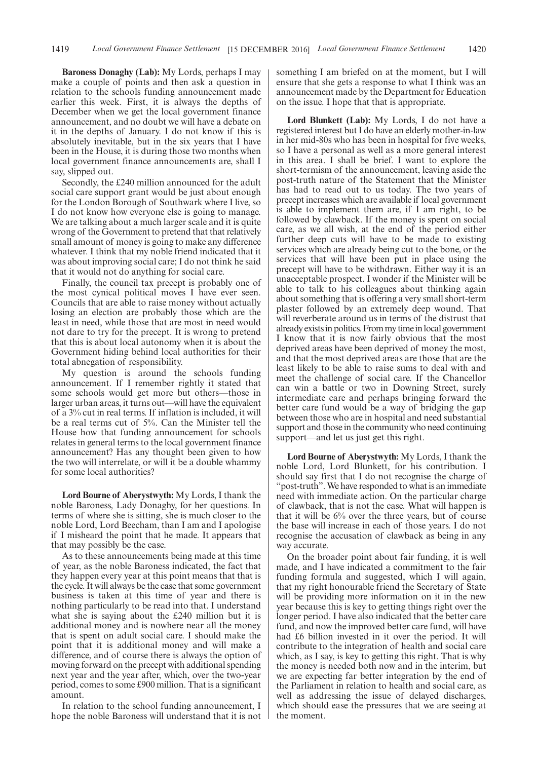**Baroness Donaghy (Lab):** My Lords, perhaps I may make a couple of points and then ask a question in relation to the schools funding announcement made earlier this week. First, it is always the depths of December when we get the local government finance announcement, and no doubt we will have a debate on it in the depths of January. I do not know if this is absolutely inevitable, but in the six years that I have been in the House, it is during those two months when local government finance announcements are, shall I say, slipped out.

Secondly, the £240 million announced for the adult social care support grant would be just about enough for the London Borough of Southwark where I live, so I do not know how everyone else is going to manage. We are talking about a much larger scale and it is quite wrong of the Government to pretend that that relatively small amount of money is going to make any difference whatever. I think that my noble friend indicated that it was about improving social care; I do not think he said that it would not do anything for social care.

Finally, the council tax precept is probably one of the most cynical political moves I have ever seen. Councils that are able to raise money without actually losing an election are probably those which are the least in need, while those that are most in need would not dare to try for the precept. It is wrong to pretend that this is about local autonomy when it is about the Government hiding behind local authorities for their total abnegation of responsibility.

My question is around the schools funding announcement. If I remember rightly it stated that some schools would get more but others—those in larger urban areas, it turns out—will have the equivalent of a 3% cut in real terms. If inflation is included, it will be a real terms cut of 5%. Can the Minister tell the House how that funding announcement for schools relates in general terms to the local government finance announcement? Has any thought been given to how the two will interrelate, or will it be a double whammy for some local authorities?

**Lord Bourne of Aberystwyth:** My Lords, I thank the noble Baroness, Lady Donaghy, for her questions. In terms of where she is sitting, she is much closer to the noble Lord, Lord Beecham, than I am and I apologise if I misheard the point that he made. It appears that that may possibly be the case.

As to these announcements being made at this time of year, as the noble Baroness indicated, the fact that they happen every year at this point means that that is the cycle. It will always be the case that some government business is taken at this time of year and there is nothing particularly to be read into that. I understand what she is saying about the £240 million but it is additional money and is nowhere near all the money that is spent on adult social care. I should make the point that it is additional money and will make a difference, and of course there is always the option of moving forward on the precept with additional spending next year and the year after, which, over the two-year period, comes to some £900 million. That is a significant amount.

In relation to the school funding announcement, I hope the noble Baroness will understand that it is not something I am briefed on at the moment, but I will ensure that she gets a response to what I think was an announcement made by the Department for Education on the issue. I hope that that is appropriate.

**Lord Blunkett (Lab):** My Lords, I do not have a registered interest but I do have an elderly mother-in-law in her mid-80s who has been in hospital for five weeks, so I have a personal as well as a more general interest in this area. I shall be brief. I want to explore the short-termism of the announcement, leaving aside the post-truth nature of the Statement that the Minister has had to read out to us today. The two years of precept increases which are available if local government is able to implement them are, if I am right, to be followed by clawback. If the money is spent on social care, as we all wish, at the end of the period either further deep cuts will have to be made to existing services which are already being cut to the bone, or the services that will have been put in place using the precept will have to be withdrawn. Either way it is an unacceptable prospect. I wonder if the Minister will be able to talk to his colleagues about thinking again about something that is offering a very small short-term plaster followed by an extremely deep wound. That will reverberate around us in terms of the distrust that already exists in politics. From my time in local government I know that it is now fairly obvious that the most deprived areas have been deprived of money the most, and that the most deprived areas are those that are the least likely to be able to raise sums to deal with and meet the challenge of social care. If the Chancellor can win a battle or two in Downing Street, surely intermediate care and perhaps bringing forward the better care fund would be a way of bridging the gap between those who are in hospital and need substantial support and those in the community who need continuing support—and let us just get this right.

**Lord Bourne of Aberystwyth:** My Lords, I thank the noble Lord, Lord Blunkett, for his contribution. I should say first that I do not recognise the charge of "post-truth". We have responded to what is an immediate need with immediate action. On the particular charge of clawback, that is not the case. What will happen is that it will be 6% over the three years, but of course the base will increase in each of those years. I do not recognise the accusation of clawback as being in any way accurate.

On the broader point about fair funding, it is well made, and I have indicated a commitment to the fair funding formula and suggested, which I will again, that my right honourable friend the Secretary of State will be providing more information on it in the new year because this is key to getting things right over the longer period. I have also indicated that the better care fund, and now the improved better care fund, will have had £6 billion invested in it over the period. It will contribute to the integration of health and social care which, as I say, is key to getting this right. That is why the money is needed both now and in the interim, but we are expecting far better integration by the end of the Parliament in relation to health and social care, as well as addressing the issue of delayed discharges, which should ease the pressures that we are seeing at the moment.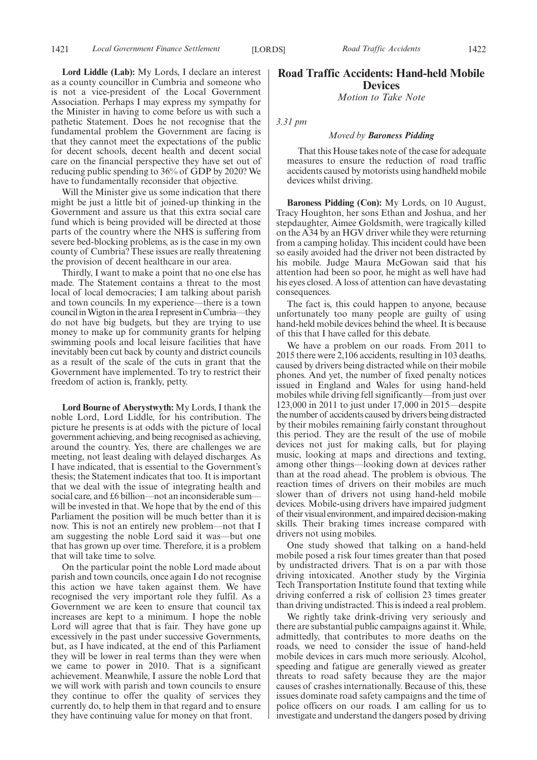1421 *Local Government Finance Settlement Road Traffic Accidents* [LORDS] 1422

**Lord Liddle (Lab):** My Lords, I declare an interest as a county councillor in Cumbria and someone who is not a vice-president of the Local Government Association. Perhaps I may express my sympathy for the Minister in having to come before us with such a pathetic Statement. Does he not recognise that the fundamental problem the Government are facing is that they cannot meet the expectations of the public for decent schools, decent health and decent social care on the financial perspective they have set out of reducing public spending to 36% of GDP by 2020? We have to fundamentally reconsider that objective.

Will the Minister give us some indication that there might be just a little bit of joined-up thinking in the Government and assure us that this extra social care fund which is being provided will be directed at those parts of the country where the NHS is suffering from severe bed-blocking problems, as is the case in my own county of Cumbria? These issues are really threatening the provision of decent healthcare in our area.

Thirdly, I want to make a point that no one else has made. The Statement contains a threat to the most local of local democracies; I am talking about parish and town councils. In my experience—there is a town council in Wigton in the area I represent in Cumbria—they do not have big budgets, but they are trying to use money to make up for community grants for helping swimming pools and local leisure facilities that have inevitably been cut back by county and district councils as a result of the scale of the cuts in grant that the Government have implemented. To try to restrict their freedom of action is, frankly, petty.

**Lord Bourne of Aberystwyth:** My Lords, I thank the noble Lord, Lord Liddle, for his contribution. The picture he presents is at odds with the picture of local government achieving, and being recognised as achieving, around the country. Yes, there are challenges we are meeting, not least dealing with delayed discharges. As I have indicated, that is essential to the Government's thesis; the Statement indicates that too. It is important that we deal with the issue of integrating health and social care, and £6 billion—not an inconsiderable sumwill be invested in that. We hope that by the end of this Parliament the position will be much better than it is now. This is not an entirely new problem—not that I am suggesting the noble Lord said it was—but one that has grown up over time. Therefore, it is a problem that will take time to solve.

On the particular point the noble Lord made about parish and town councils, once again I do not recognise this action we have taken against them. We have recognised the very important role they fulfil. As a Government we are keen to ensure that council tax increases are kept to a minimum. I hope the noble Lord will agree that that is fair. They have gone up excessively in the past under successive Governments, but, as I have indicated, at the end of this Parliament they will be lower in real terms than they were when we came to power in 2010. That is a significant achievement. Meanwhile, I assure the noble Lord that we will work with parish and town councils to ensure they continue to offer the quality of services they currently do, to help them in that regard and to ensure they have continuing value for money on that front.

### **Road Traffic Accidents: Hand-held Mobile Devices**

*Motion to Take Note*

*3.31 pm*

#### *Moved by Baroness Pidding*

That this House takes note of the case for adequate measures to ensure the reduction of road traffic accidents caused by motorists using handheld mobile devices whilst driving.

**Baroness Pidding (Con):** My Lords, on 10 August, Tracy Houghton, her sons Ethan and Joshua, and her stepdaughter, Aimee Goldsmith, were tragically killed on the A34 by an HGV driver while they were returning from a camping holiday. This incident could have been so easily avoided had the driver not been distracted by his mobile. Judge Maura McGowan said that his attention had been so poor, he might as well have had his eyes closed. A loss of attention can have devastating consequences.

The fact is, this could happen to anyone, because unfortunately too many people are guilty of using hand-held mobile devices behind the wheel. It is because of this that I have called for this debate.

We have a problem on our roads. From 2011 to 2015 there were 2,106 accidents, resulting in 103 deaths, caused by drivers being distracted while on their mobile phones. And yet, the number of fixed penalty notices issued in England and Wales for using hand-held mobiles while driving fell significantly—from just over 123,000 in 2011 to just under 17,000 in 2015—despite the number of accidents caused by drivers being distracted by their mobiles remaining fairly constant throughout this period. They are the result of the use of mobile devices not just for making calls, but for playing music, looking at maps and directions and texting, among other things—looking down at devices rather than at the road ahead. The problem is obvious. The reaction times of drivers on their mobiles are much slower than of drivers not using hand-held mobile devices. Mobile-using drivers have impaired judgment of their visual environment, and impaired decision-making skills. Their braking times increase compared with drivers not using mobiles.

One study showed that talking on a hand-held mobile posed a risk four times greater than that posed by undistracted drivers. That is on a par with those driving intoxicated. Another study by the Virginia Tech Transportation Institute found that texting while driving conferred a risk of collision 23 times greater than driving undistracted. This is indeed a real problem.

We rightly take drink-driving very seriously and there are substantial public campaigns against it. While, admittedly, that contributes to more deaths on the roads, we need to consider the issue of hand-held mobile devices in cars much more seriously. Alcohol, speeding and fatigue are generally viewed as greater threats to road safety because they are the major causes of crashes internationally. Because of this, these issues dominate road safety campaigns and the time of police officers on our roads. I am calling for us to investigate and understand the dangers posed by driving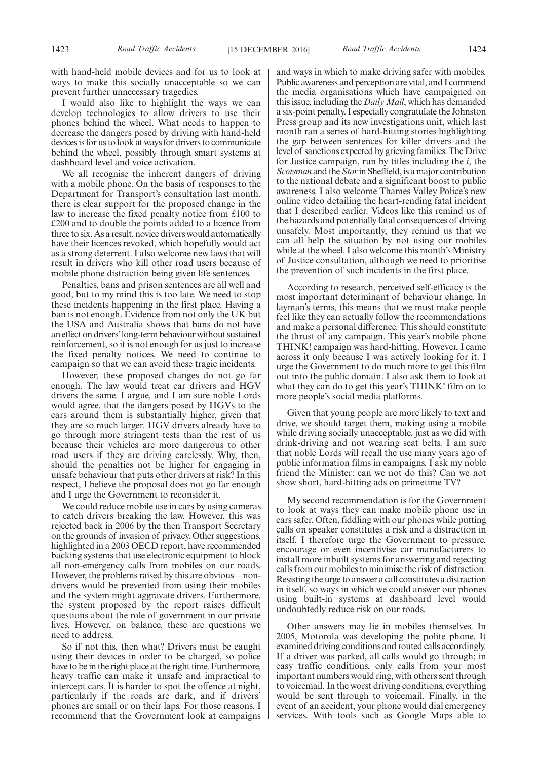with hand-held mobile devices and for us to look at ways to make this socially unacceptable so we can prevent further unnecessary tragedies.

I would also like to highlight the ways we can develop technologies to allow drivers to use their phones behind the wheel. What needs to happen to decrease the dangers posed by driving with hand-held devices is for us to look at ways for drivers to communicate behind the wheel, possibly through smart systems at dashboard level and voice activation.

We all recognise the inherent dangers of driving with a mobile phone. On the basis of responses to the Department for Transport's consultation last month, there is clear support for the proposed change in the law to increase the fixed penalty notice from £100 to £200 and to double the points added to a licence from three to six. As a result, novice drivers would automatically have their licences revoked, which hopefully would act as a strong deterrent. I also welcome new laws that will result in drivers who kill other road users because of mobile phone distraction being given life sentences.

Penalties, bans and prison sentences are all well and good, but to my mind this is too late. We need to stop these incidents happening in the first place. Having a ban is not enough. Evidence from not only the UK but the USA and Australia shows that bans do not have an effect on drivers'long-term behaviour without sustained reinforcement, so it is not enough for us just to increase the fixed penalty notices. We need to continue to campaign so that we can avoid these tragic incidents.

However, these proposed changes do not go far enough. The law would treat car drivers and HGV drivers the same. I argue, and I am sure noble Lords would agree, that the dangers posed by HGVs to the cars around them is substantially higher, given that they are so much larger. HGV drivers already have to go through more stringent tests than the rest of us because their vehicles are more dangerous to other road users if they are driving carelessly. Why, then, should the penalties not be higher for engaging in unsafe behaviour that puts other drivers at risk? In this respect, I believe the proposal does not go far enough and I urge the Government to reconsider it.

We could reduce mobile use in cars by using cameras to catch drivers breaking the law. However, this was rejected back in 2006 by the then Transport Secretary on the grounds of invasion of privacy. Other suggestions, highlighted in a 2003 OECD report, have recommended backing systems that use electronic equipment to block all non-emergency calls from mobiles on our roads. However, the problems raised by this are obvious—nondrivers would be prevented from using their mobiles and the system might aggravate drivers. Furthermore, the system proposed by the report raises difficult questions about the role of government in our private lives. However, on balance, these are questions we need to address.

So if not this, then what? Drivers must be caught using their devices in order to be charged, so police have to be in the right place at the right time. Furthermore, heavy traffic can make it unsafe and impractical to intercept cars. It is harder to spot the offence at night, particularly if the roads are dark, and if drivers' phones are small or on their laps. For those reasons, I recommend that the Government look at campaigns

and ways in which to make driving safer with mobiles. Public awareness and perception are vital, and I commend the media organisations which have campaigned on this issue, including the *Daily Mail*, which has demanded a six-point penalty. I especially congratulate the Johnston Press group and its new investigations unit, which last month ran a series of hard-hitting stories highlighting the gap between sentences for killer drivers and the level of sanctions expected by grieving families. The Drive for Justice campaign, run by titles including the *i*, the *Scotsman* and the*Star*in Sheffield, is a major contribution to the national debate and a significant boost to public awareness. I also welcome Thames Valley Police's new online video detailing the heart-rending fatal incident that I described earlier. Videos like this remind us of the hazards and potentially fatal consequences of driving unsafely. Most importantly, they remind us that we can all help the situation by not using our mobiles while at the wheel. I also welcome this month's Ministry of Justice consultation, although we need to prioritise the prevention of such incidents in the first place.

According to research, perceived self-efficacy is the most important determinant of behaviour change. In layman's terms, this means that we must make people feel like they can actually follow the recommendations and make a personal difference. This should constitute the thrust of any campaign. This year's mobile phone THINK! campaign was hard-hitting. However, I came across it only because I was actively looking for it. I urge the Government to do much more to get this film out into the public domain. I also ask them to look at what they can do to get this year's THINK! film on to more people's social media platforms.

Given that young people are more likely to text and drive, we should target them, making using a mobile while driving socially unacceptable, just as we did with drink-driving and not wearing seat belts. I am sure that noble Lords will recall the use many years ago of public information films in campaigns. I ask my noble friend the Minister: can we not do this? Can we not show short, hard-hitting ads on primetime TV?

My second recommendation is for the Government to look at ways they can make mobile phone use in cars safer. Often, fiddling with our phones while putting calls on speaker constitutes a risk and a distraction in itself. I therefore urge the Government to pressure, encourage or even incentivise car manufacturers to install more inbuilt systems for answering and rejecting calls from our mobiles to minimise the risk of distraction. Resisting the urge to answer a call constitutes a distraction in itself, so ways in which we could answer our phones using built-in systems at dashboard level would undoubtedly reduce risk on our roads.

Other answers may lie in mobiles themselves. In 2005, Motorola was developing the polite phone. It examined driving conditions and routed calls accordingly. If a driver was parked, all calls would go through; in easy traffic conditions, only calls from your most important numbers would ring, with others sent through to voicemail. In the worst driving conditions, everything would be sent through to voicemail. Finally, in the event of an accident, your phone would dial emergency services. With tools such as Google Maps able to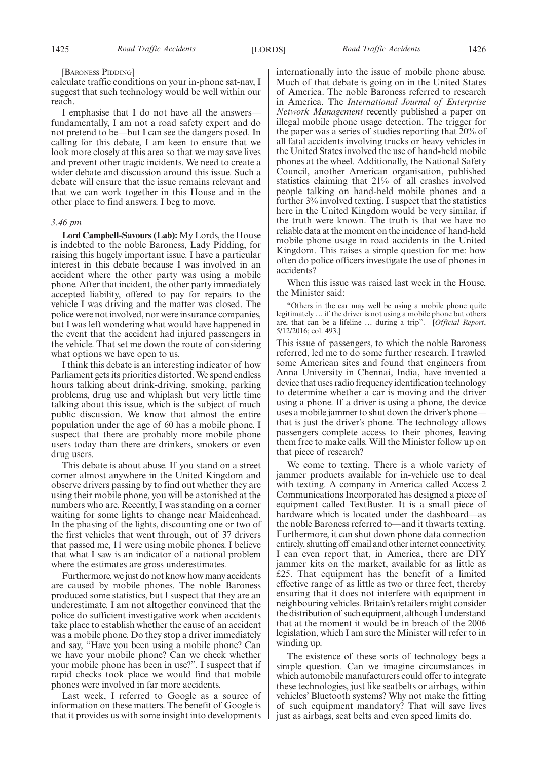#### [BARONESS PIDDING]

calculate traffic conditions on your in-phone sat-nav, I suggest that such technology would be well within our reach.

I emphasise that I do not have all the answers fundamentally, I am not a road safety expert and do not pretend to be—but I can see the dangers posed. In calling for this debate, I am keen to ensure that we look more closely at this area so that we may save lives and prevent other tragic incidents. We need to create a wider debate and discussion around this issue. Such a debate will ensure that the issue remains relevant and that we can work together in this House and in the other place to find answers. I beg to move.

#### *3.46 pm*

**Lord Campbell-Savours (Lab):** My Lords, the House is indebted to the noble Baroness, Lady Pidding, for raising this hugely important issue. I have a particular interest in this debate because I was involved in an accident where the other party was using a mobile phone. After that incident, the other party immediately accepted liability, offered to pay for repairs to the vehicle I was driving and the matter was closed. The police were not involved, nor were insurance companies, but I was left wondering what would have happened in the event that the accident had injured passengers in the vehicle. That set me down the route of considering what options we have open to us.

I think this debate is an interesting indicator of how Parliament gets its priorities distorted. We spend endless hours talking about drink-driving, smoking, parking problems, drug use and whiplash but very little time talking about this issue, which is the subject of much public discussion. We know that almost the entire population under the age of 60 has a mobile phone. I suspect that there are probably more mobile phone users today than there are drinkers, smokers or even drug users.

This debate is about abuse. If you stand on a street corner almost anywhere in the United Kingdom and observe drivers passing by to find out whether they are using their mobile phone, you will be astonished at the numbers who are. Recently, I was standing on a corner waiting for some lights to change near Maidenhead. In the phasing of the lights, discounting one or two of the first vehicles that went through, out of 37 drivers that passed me, 11 were using mobile phones. I believe that what I saw is an indicator of a national problem where the estimates are gross underestimates.

Furthermore, we just do not know how many accidents are caused by mobile phones. The noble Baroness produced some statistics, but I suspect that they are an underestimate. I am not altogether convinced that the police do sufficient investigative work when accidents take place to establish whether the cause of an accident was a mobile phone. Do they stop a driver immediately and say, "Have you been using a mobile phone? Can we have your mobile phone? Can we check whether your mobile phone has been in use?". I suspect that if rapid checks took place we would find that mobile phones were involved in far more accidents.

Last week, I referred to Google as a source of information on these matters. The benefit of Google is that it provides us with some insight into developments internationally into the issue of mobile phone abuse. Much of that debate is going on in the United States of America. The noble Baroness referred to research in America. The *International Journal of Enterprise Network Management* recently published a paper on illegal mobile phone usage detection. The trigger for the paper was a series of studies reporting that 20% of all fatal accidents involving trucks or heavy vehicles in the United States involved the use of hand-held mobile phones at the wheel. Additionally, the National Safety Council, another American organisation, published statistics claiming that 21% of all crashes involved people talking on hand-held mobile phones and a further 3% involved texting. I suspect that the statistics here in the United Kingdom would be very similar, if the truth were known. The truth is that we have no reliable data at the moment on the incidence of hand-held mobile phone usage in road accidents in the United Kingdom. This raises a simple question for me: how often do police officers investigate the use of phones in accidents?

When this issue was raised last week in the House, the Minister said:

"Others in the car may well be using a mobile phone quite legitimately … if the driver is not using a mobile phone but others are, that can be a lifeline … during a trip".—[*Official Report*, 5/12/2016; col. 493.]

This issue of passengers, to which the noble Baroness referred, led me to do some further research. I trawled some American sites and found that engineers from Anna University in Chennai, India, have invented a device that uses radio frequency identification technology to determine whether a car is moving and the driver using a phone. If a driver is using a phone, the device uses a mobile jammer to shut down the driver's phone that is just the driver's phone. The technology allows passengers complete access to their phones, leaving them free to make calls. Will the Minister follow up on that piece of research?

We come to texting. There is a whole variety of jammer products available for in-vehicle use to deal with texting. A company in America called Access 2 Communications Incorporated has designed a piece of equipment called TextBuster. It is a small piece of hardware which is located under the dashboard—as the noble Baroness referred to—and it thwarts texting. Furthermore, it can shut down phone data connection entirely, shutting off email and other internet connectivity. I can even report that, in America, there are DIY jammer kits on the market, available for as little as £25. That equipment has the benefit of a limited effective range of as little as two or three feet, thereby ensuring that it does not interfere with equipment in neighbouring vehicles. Britain's retailers might consider the distribution of such equipment, although I understand that at the moment it would be in breach of the 2006 legislation, which I am sure the Minister will refer to in winding up.

The existence of these sorts of technology begs a simple question. Can we imagine circumstances in which automobile manufacturers could offer to integrate these technologies, just like seatbelts or airbags, within vehicles' Bluetooth systems? Why not make the fitting of such equipment mandatory? That will save lives just as airbags, seat belts and even speed limits do.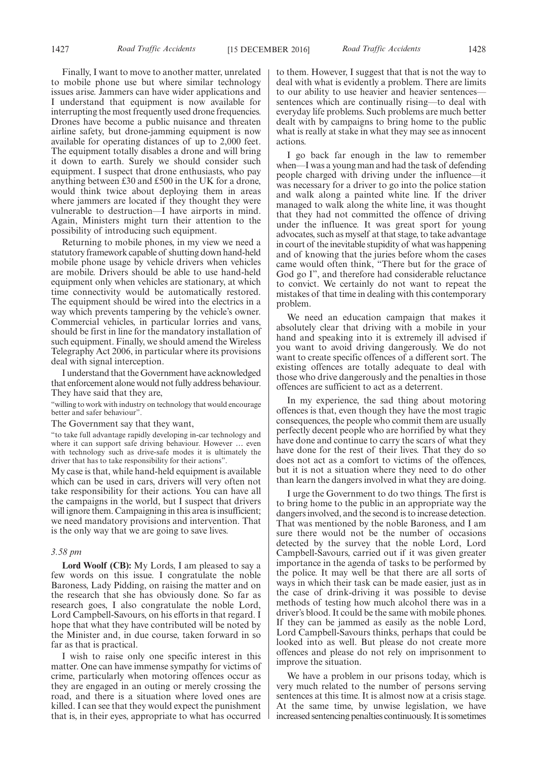Finally, I want to move to another matter, unrelated to mobile phone use but where similar technology issues arise. Jammers can have wider applications and I understand that equipment is now available for interrupting the most frequently used drone frequencies. Drones have become a public nuisance and threaten airline safety, but drone-jamming equipment is now available for operating distances of up to 2,000 feet. The equipment totally disables a drone and will bring it down to earth. Surely we should consider such equipment. I suspect that drone enthusiasts, who pay anything between £30 and £500 in the UK for a drone, would think twice about deploying them in areas where jammers are located if they thought they were vulnerable to destruction—I have airports in mind. Again, Ministers might turn their attention to the possibility of introducing such equipment.

Returning to mobile phones, in my view we need a statutory framework capable of shutting down hand-held mobile phone usage by vehicle drivers when vehicles are mobile. Drivers should be able to use hand-held equipment only when vehicles are stationary, at which time connectivity would be automatically restored. The equipment should be wired into the electrics in a way which prevents tampering by the vehicle's owner. Commercial vehicles, in particular lorries and vans, should be first in line for the mandatory installation of such equipment. Finally, we should amend the Wireless Telegraphy Act 2006, in particular where its provisions deal with signal interception.

I understand that the Government have acknowledged that enforcement alone would not fully address behaviour. They have said that they are,

"willing to work with industry on technology that would encourage better and safer behaviour".

The Government say that they want,

"to take full advantage rapidly developing in-car technology and where it can support safe driving behaviour. However … even with technology such as drive-safe modes it is ultimately the driver that has to take responsibility for their actions".

My case is that, while hand-held equipment is available which can be used in cars, drivers will very often not take responsibility for their actions. You can have all the campaigns in the world, but I suspect that drivers will ignore them. Campaigning in this area is insufficient; we need mandatory provisions and intervention. That is the only way that we are going to save lives.

#### *3.58 pm*

**Lord Woolf (CB):** My Lords, I am pleased to say a few words on this issue. I congratulate the noble Baroness, Lady Pidding, on raising the matter and on the research that she has obviously done. So far as research goes, I also congratulate the noble Lord, Lord Campbell-Savours, on his efforts in that regard. I hope that what they have contributed will be noted by the Minister and, in due course, taken forward in so far as that is practical.

I wish to raise only one specific interest in this matter. One can have immense sympathy for victims of crime, particularly when motoring offences occur as they are engaged in an outing or merely crossing the road, and there is a situation where loved ones are killed. I can see that they would expect the punishment that is, in their eyes, appropriate to what has occurred to them. However, I suggest that that is not the way to deal with what is evidently a problem. There are limits to our ability to use heavier and heavier sentences sentences which are continually rising—to deal with everyday life problems. Such problems are much better dealt with by campaigns to bring home to the public what is really at stake in what they may see as innocent actions.

I go back far enough in the law to remember when—I was a young man and had the task of defending people charged with driving under the influence—it was necessary for a driver to go into the police station and walk along a painted white line. If the driver managed to walk along the white line, it was thought that they had not committed the offence of driving under the influence. It was great sport for young advocates, such as myself at that stage, to take advantage in court of the inevitable stupidity of what was happening and of knowing that the juries before whom the cases came would often think, "There but for the grace of God go I", and therefore had considerable reluctance to convict. We certainly do not want to repeat the mistakes of that time in dealing with this contemporary problem.

We need an education campaign that makes it absolutely clear that driving with a mobile in your hand and speaking into it is extremely ill advised if you want to avoid driving dangerously. We do not want to create specific offences of a different sort. The existing offences are totally adequate to deal with those who drive dangerously and the penalties in those offences are sufficient to act as a deterrent.

In my experience, the sad thing about motoring offences is that, even though they have the most tragic consequences, the people who commit them are usually perfectly decent people who are horrified by what they have done and continue to carry the scars of what they have done for the rest of their lives. That they do so does not act as a comfort to victims of the offences, but it is not a situation where they need to do other than learn the dangers involved in what they are doing.

I urge the Government to do two things. The first is to bring home to the public in an appropriate way the dangers involved, and the second is to increase detection. That was mentioned by the noble Baroness, and I am sure there would not be the number of occasions detected by the survey that the noble Lord, Lord Campbell-Savours, carried out if it was given greater importance in the agenda of tasks to be performed by the police. It may well be that there are all sorts of ways in which their task can be made easier, just as in the case of drink-driving it was possible to devise methods of testing how much alcohol there was in a driver's blood. It could be the same with mobile phones. If they can be jammed as easily as the noble Lord, Lord Campbell-Savours thinks, perhaps that could be looked into as well. But please do not create more offences and please do not rely on imprisonment to improve the situation.

We have a problem in our prisons today, which is very much related to the number of persons serving sentences at this time. It is almost now at a crisis stage. At the same time, by unwise legislation, we have increased sentencing penalties continuously. It is sometimes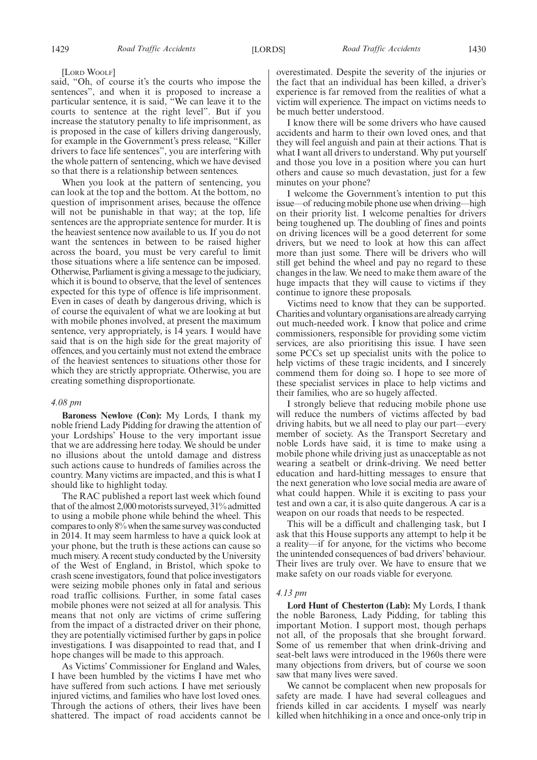[LORD WOOLF]

said, "Oh, of course it's the courts who impose the sentences", and when it is proposed to increase a particular sentence, it is said, "We can leave it to the courts to sentence at the right level". But if you increase the statutory penalty to life imprisonment, as is proposed in the case of killers driving dangerously, for example in the Government's press release, "Killer drivers to face life sentences", you are interfering with the whole pattern of sentencing, which we have devised so that there is a relationship between sentences.

When you look at the pattern of sentencing, you can look at the top and the bottom. At the bottom, no question of imprisonment arises, because the offence will not be punishable in that way; at the top, life sentences are the appropriate sentence for murder. It is the heaviest sentence now available to us. If you do not want the sentences in between to be raised higher across the board, you must be very careful to limit those situations where a life sentence can be imposed. Otherwise, Parliament is giving a message to the judiciary, which it is bound to observe, that the level of sentences expected for this type of offence is life imprisonment. Even in cases of death by dangerous driving, which is of course the equivalent of what we are looking at but with mobile phones involved, at present the maximum sentence, very appropriately, is 14 years. I would have said that is on the high side for the great majority of offences, and you certainly must not extend the embrace of the heaviest sentences to situations other those for which they are strictly appropriate. Otherwise, you are creating something disproportionate.

#### *4.08 pm*

**Baroness Newlove (Con):** My Lords, I thank my noble friend Lady Pidding for drawing the attention of your Lordships' House to the very important issue that we are addressing here today. We should be under no illusions about the untold damage and distress such actions cause to hundreds of families across the country. Many victims are impacted, and this is what I should like to highlight today.

The RAC published a report last week which found that of the almost 2,000 motorists surveyed, 31% admitted to using a mobile phone while behind the wheel. This compares to only 8% when the same survey was conducted in 2014. It may seem harmless to have a quick look at your phone, but the truth is these actions can cause so much misery. A recent study conducted by the University of the West of England, in Bristol, which spoke to crash scene investigators, found that police investigators were seizing mobile phones only in fatal and serious road traffic collisions. Further, in some fatal cases mobile phones were not seized at all for analysis. This means that not only are victims of crime suffering from the impact of a distracted driver on their phone, they are potentially victimised further by gaps in police investigations. I was disappointed to read that, and I hope changes will be made to this approach.

As Victims' Commissioner for England and Wales, I have been humbled by the victims I have met who have suffered from such actions. I have met seriously injured victims, and families who have lost loved ones. Through the actions of others, their lives have been shattered. The impact of road accidents cannot be overestimated. Despite the severity of the injuries or the fact that an individual has been killed, a driver's experience is far removed from the realities of what a victim will experience. The impact on victims needs to be much better understood.

I know there will be some drivers who have caused accidents and harm to their own loved ones, and that they will feel anguish and pain at their actions. That is what I want all drivers to understand. Why put yourself and those you love in a position where you can hurt others and cause so much devastation, just for a few minutes on your phone?

I welcome the Government's intention to put this issue—of reducing mobile phone use when driving—high on their priority list. I welcome penalties for drivers being toughened up. The doubling of fines and points on driving licences will be a good deterrent for some drivers, but we need to look at how this can affect more than just some. There will be drivers who will still get behind the wheel and pay no regard to these changes in the law. We need to make them aware of the huge impacts that they will cause to victims if they continue to ignore these proposals.

Victims need to know that they can be supported. Charities and voluntary organisations are already carrying out much-needed work. I know that police and crime commissioners, responsible for providing some victim services, are also prioritising this issue. I have seen some PCCs set up specialist units with the police to help victims of these tragic incidents, and I sincerely commend them for doing so. I hope to see more of these specialist services in place to help victims and their families, who are so hugely affected.

I strongly believe that reducing mobile phone use will reduce the numbers of victims affected by bad driving habits, but we all need to play our part—every member of society. As the Transport Secretary and noble Lords have said, it is time to make using a mobile phone while driving just as unacceptable as not wearing a seatbelt or drink-driving. We need better education and hard-hitting messages to ensure that the next generation who love social media are aware of what could happen. While it is exciting to pass your test and own a car, it is also quite dangerous. A car is a weapon on our roads that needs to be respected.

This will be a difficult and challenging task, but I ask that this House supports any attempt to help it be a reality—if for anyone, for the victims who become the unintended consequences of bad drivers' behaviour. Their lives are truly over. We have to ensure that we make safety on our roads viable for everyone.

#### *4.13 pm*

**Lord Hunt of Chesterton (Lab):** My Lords, I thank the noble Baroness, Lady Pidding, for tabling this important Motion. I support most, though perhaps not all, of the proposals that she brought forward. Some of us remember that when drink-driving and seat-belt laws were introduced in the 1960s there were many objections from drivers, but of course we soon saw that many lives were saved.

We cannot be complacent when new proposals for safety are made. I have had several colleagues and friends killed in car accidents. I myself was nearly killed when hitchhiking in a once and once-only trip in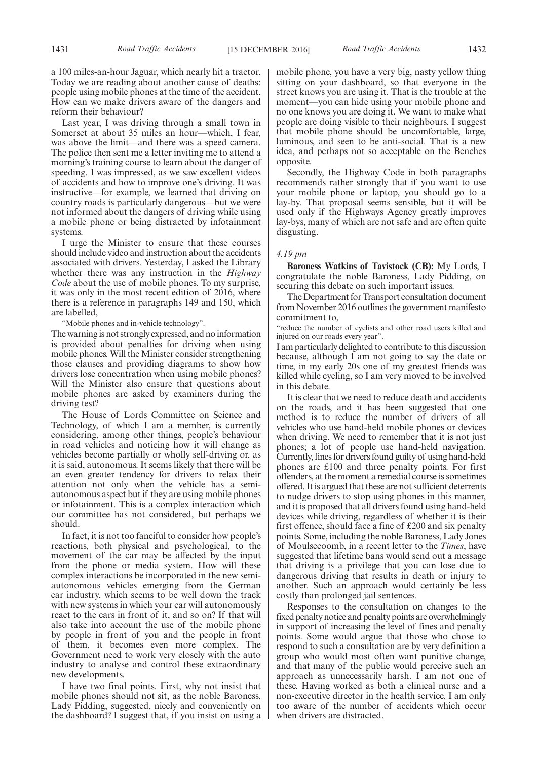a 100 miles-an-hour Jaguar, which nearly hit a tractor. Today we are reading about another cause of deaths: people using mobile phones at the time of the accident. How can we make drivers aware of the dangers and

reform their behaviour? Last year, I was driving through a small town in Somerset at about 35 miles an hour—which, I fear, was above the limit—and there was a speed camera. The police then sent me a letter inviting me to attend a morning's training course to learn about the danger of speeding. I was impressed, as we saw excellent videos of accidents and how to improve one's driving. It was instructive—for example, we learned that driving on country roads is particularly dangerous—but we were not informed about the dangers of driving while using a mobile phone or being distracted by infotainment systems.

I urge the Minister to ensure that these courses should include video and instruction about the accidents associated with drivers. Yesterday, I asked the Library whether there was any instruction in the *Highway Code* about the use of mobile phones. To my surprise, it was only in the most recent edition of 2016, where there is a reference in paragraphs 149 and 150, which are labelled,

"Mobile phones and in-vehicle technology".

The warning is not strongly expressed, and no information is provided about penalties for driving when using mobile phones. Will the Minister consider strengthening those clauses and providing diagrams to show how drivers lose concentration when using mobile phones? Will the Minister also ensure that questions about mobile phones are asked by examiners during the driving test?

The House of Lords Committee on Science and Technology, of which I am a member, is currently considering, among other things, people's behaviour in road vehicles and noticing how it will change as vehicles become partially or wholly self-driving or, as it is said, autonomous. It seems likely that there will be an even greater tendency for drivers to relax their attention not only when the vehicle has a semiautonomous aspect but if they are using mobile phones or infotainment. This is a complex interaction which our committee has not considered, but perhaps we should.

In fact, it is not too fanciful to consider how people's reactions, both physical and psychological, to the movement of the car may be affected by the input from the phone or media system. How will these complex interactions be incorporated in the new semiautonomous vehicles emerging from the German car industry, which seems to be well down the track with new systems in which your car will autonomously react to the cars in front of it, and so on? If that will also take into account the use of the mobile phone by people in front of you and the people in front of them, it becomes even more complex. The Government need to work very closely with the auto industry to analyse and control these extraordinary new developments.

I have two final points. First, why not insist that mobile phones should not sit, as the noble Baroness, Lady Pidding, suggested, nicely and conveniently on the dashboard? I suggest that, if you insist on using a mobile phone, you have a very big, nasty yellow thing sitting on your dashboard, so that everyone in the street knows you are using it. That is the trouble at the moment—you can hide using your mobile phone and no one knows you are doing it. We want to make what people are doing visible to their neighbours. I suggest that mobile phone should be uncomfortable, large, luminous, and seen to be anti-social. That is a new idea, and perhaps not so acceptable on the Benches opposite.

Secondly, the Highway Code in both paragraphs recommends rather strongly that if you want to use your mobile phone or laptop, you should go to a lay-by. That proposal seems sensible, but it will be used only if the Highways Agency greatly improves lay-bys, many of which are not safe and are often quite disgusting.

#### *4.19 pm*

**Baroness Watkins of Tavistock (CB):** My Lords, I congratulate the noble Baroness, Lady Pidding, on securing this debate on such important issues.

The Department for Transport consultation document from November 2016 outlines the government manifesto commitment to,

"reduce the number of cyclists and other road users killed and injured on our roads every year".

I am particularly delighted to contribute to this discussion because, although I am not going to say the date or time, in my early 20s one of my greatest friends was killed while cycling, so I am very moved to be involved in this debate.

It is clear that we need to reduce death and accidents on the roads, and it has been suggested that one method is to reduce the number of drivers of all vehicles who use hand-held mobile phones or devices when driving. We need to remember that it is not just phones; a lot of people use hand-held navigation. Currently, fines for drivers found guilty of using hand-held phones are £100 and three penalty points. For first offenders, at the moment a remedial course is sometimes offered. It is argued that these are not sufficient deterrents to nudge drivers to stop using phones in this manner, and it is proposed that all drivers found using hand-held devices while driving, regardless of whether it is their first offence, should face a fine of £200 and six penalty points. Some, including the noble Baroness, Lady Jones of Moulsecoomb, in a recent letter to the *Times*, have suggested that lifetime bans would send out a message that driving is a privilege that you can lose due to dangerous driving that results in death or injury to another. Such an approach would certainly be less costly than prolonged jail sentences.

Responses to the consultation on changes to the fixed penalty notice and penalty points are overwhelmingly in support of increasing the level of fines and penalty points. Some would argue that those who chose to respond to such a consultation are by very definition a group who would most often want punitive change, and that many of the public would perceive such an approach as unnecessarily harsh. I am not one of these. Having worked as both a clinical nurse and a non-executive director in the health service, I am only too aware of the number of accidents which occur when drivers are distracted.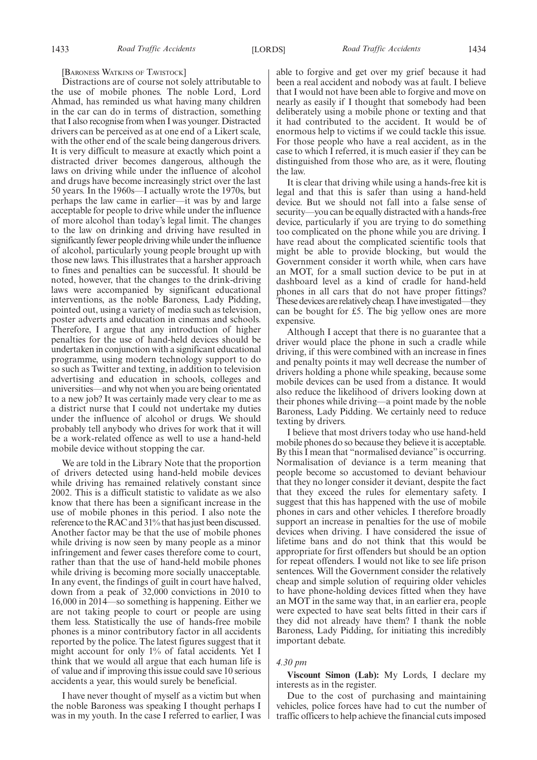[BARONESS WATKINS OF TAVISTOCK]

Distractions are of course not solely attributable to the use of mobile phones. The noble Lord, Lord Ahmad, has reminded us what having many children in the car can do in terms of distraction, something that I also recognise from when I was younger. Distracted drivers can be perceived as at one end of a Likert scale, with the other end of the scale being dangerous drivers. It is very difficult to measure at exactly which point a distracted driver becomes dangerous, although the laws on driving while under the influence of alcohol and drugs have become increasingly strict over the last 50 years. In the 1960s—I actually wrote the 1970s, but perhaps the law came in earlier—it was by and large acceptable for people to drive while under the influence of more alcohol than today's legal limit. The changes to the law on drinking and driving have resulted in significantly fewer people driving while under the influence of alcohol, particularly young people brought up with those new laws. This illustrates that a harsher approach to fines and penalties can be successful. It should be noted, however, that the changes to the drink-driving laws were accompanied by significant educational interventions, as the noble Baroness, Lady Pidding, pointed out, using a variety of media such as television, poster adverts and education in cinemas and schools. Therefore, I argue that any introduction of higher penalties for the use of hand-held devices should be undertaken in conjunction with a significant educational programme, using modern technology support to do so such as Twitter and texting, in addition to television advertising and education in schools, colleges and universities—and why not when you are being orientated to a new job? It was certainly made very clear to me as a district nurse that I could not undertake my duties under the influence of alcohol or drugs. We should probably tell anybody who drives for work that it will be a work-related offence as well to use a hand-held mobile device without stopping the car.

We are told in the Library Note that the proportion of drivers detected using hand-held mobile devices while driving has remained relatively constant since 2002. This is a difficult statistic to validate as we also know that there has been a significant increase in the use of mobile phones in this period. I also note the reference to the RAC and 31% that has just been discussed. Another factor may be that the use of mobile phones while driving is now seen by many people as a minor infringement and fewer cases therefore come to court, rather than that the use of hand-held mobile phones while driving is becoming more socially unacceptable. In any event, the findings of guilt in court have halved, down from a peak of 32,000 convictions in 2010 to 16,000 in 2014—so something is happening. Either we are not taking people to court or people are using them less. Statistically the use of hands-free mobile phones is a minor contributory factor in all accidents reported by the police. The latest figures suggest that it might account for only 1% of fatal accidents. Yet I think that we would all argue that each human life is of value and if improving this issue could save 10 serious accidents a year, this would surely be beneficial.

I have never thought of myself as a victim but when the noble Baroness was speaking I thought perhaps I was in my youth. In the case I referred to earlier, I was able to forgive and get over my grief because it had been a real accident and nobody was at fault. I believe that I would not have been able to forgive and move on nearly as easily if I thought that somebody had been deliberately using a mobile phone or texting and that it had contributed to the accident. It would be of enormous help to victims if we could tackle this issue. For those people who have a real accident, as in the case to which I referred, it is much easier if they can be distinguished from those who are, as it were, flouting the law.

It is clear that driving while using a hands-free kit is legal and that this is safer than using a hand-held device. But we should not fall into a false sense of security—you can be equally distracted with a hands-free device, particularly if you are trying to do something too complicated on the phone while you are driving. I have read about the complicated scientific tools that might be able to provide blocking, but would the Government consider it worth while, when cars have an MOT, for a small suction device to be put in at dashboard level as a kind of cradle for hand-held phones in all cars that do not have proper fittings? These devices are relatively cheap. I have investigated—they can be bought for £5. The big yellow ones are more expensive.

Although I accept that there is no guarantee that a driver would place the phone in such a cradle while driving, if this were combined with an increase in fines and penalty points it may well decrease the number of drivers holding a phone while speaking, because some mobile devices can be used from a distance. It would also reduce the likelihood of drivers looking down at their phones while driving—a point made by the noble Baroness, Lady Pidding. We certainly need to reduce texting by drivers.

I believe that most drivers today who use hand-held mobile phones do so because they believe it is acceptable. By this I mean that "normalised deviance" is occurring. Normalisation of deviance is a term meaning that people become so accustomed to deviant behaviour that they no longer consider it deviant, despite the fact that they exceed the rules for elementary safety. I suggest that this has happened with the use of mobile phones in cars and other vehicles. I therefore broadly support an increase in penalties for the use of mobile devices when driving. I have considered the issue of lifetime bans and do not think that this would be appropriate for first offenders but should be an option for repeat offenders. I would not like to see life prison sentences. Will the Government consider the relatively cheap and simple solution of requiring older vehicles to have phone-holding devices fitted when they have an MOT in the same way that, in an earlier era, people were expected to have seat belts fitted in their cars if they did not already have them? I thank the noble Baroness, Lady Pidding, for initiating this incredibly important debate.

#### *4.30 pm*

**Viscount Simon (Lab):** My Lords, I declare my interests as in the register.

Due to the cost of purchasing and maintaining vehicles, police forces have had to cut the number of traffic officers to help achieve the financial cuts imposed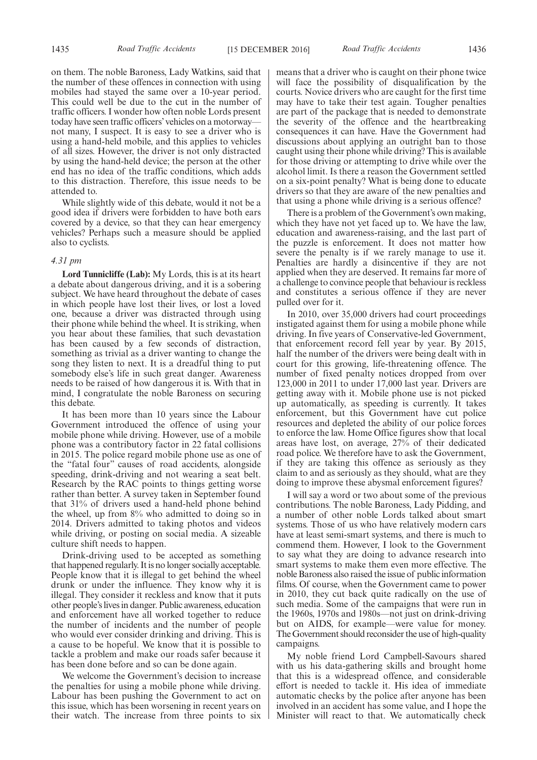on them. The noble Baroness, Lady Watkins, said that the number of these offences in connection with using mobiles had stayed the same over a 10-year period. This could well be due to the cut in the number of traffic officers. I wonder how often noble Lords present today have seen traffic officers'vehicles on a motorway not many, I suspect. It is easy to see a driver who is using a hand-held mobile, and this applies to vehicles of all sizes. However, the driver is not only distracted by using the hand-held device; the person at the other end has no idea of the traffic conditions, which adds to this distraction. Therefore, this issue needs to be attended to.

While slightly wide of this debate, would it not be a good idea if drivers were forbidden to have both ears covered by a device, so that they can hear emergency vehicles? Perhaps such a measure should be applied also to cyclists.

#### *4.31 pm*

**Lord Tunnicliffe (Lab):** My Lords, this is at its heart a debate about dangerous driving, and it is a sobering subject. We have heard throughout the debate of cases in which people have lost their lives, or lost a loved one, because a driver was distracted through using their phone while behind the wheel. It is striking, when you hear about these families, that such devastation has been caused by a few seconds of distraction, something as trivial as a driver wanting to change the song they listen to next. It is a dreadful thing to put somebody else's life in such great danger. Awareness needs to be raised of how dangerous it is. With that in mind, I congratulate the noble Baroness on securing this debate.

It has been more than 10 years since the Labour Government introduced the offence of using your mobile phone while driving. However, use of a mobile phone was a contributory factor in 22 fatal collisions in 2015. The police regard mobile phone use as one of the "fatal four" causes of road accidents, alongside speeding, drink-driving and not wearing a seat belt. Research by the RAC points to things getting worse rather than better. A survey taken in September found that 31% of drivers used a hand-held phone behind the wheel, up from  $8\%$  who admitted to doing so in 2014. Drivers admitted to taking photos and videos while driving, or posting on social media. A sizeable culture shift needs to happen.

Drink-driving used to be accepted as something that happened regularly. It is no longer socially acceptable. People know that it is illegal to get behind the wheel drunk or under the influence. They know why it is illegal. They consider it reckless and know that it puts other people's lives in danger. Public awareness, education and enforcement have all worked together to reduce the number of incidents and the number of people who would ever consider drinking and driving. This is a cause to be hopeful. We know that it is possible to tackle a problem and make our roads safer because it has been done before and so can be done again.

We welcome the Government's decision to increase the penalties for using a mobile phone while driving. Labour has been pushing the Government to act on this issue, which has been worsening in recent years on their watch. The increase from three points to six means that a driver who is caught on their phone twice will face the possibility of disqualification by the courts. Novice drivers who are caught for the first time may have to take their test again. Tougher penalties are part of the package that is needed to demonstrate the severity of the offence and the heartbreaking consequences it can have. Have the Government had discussions about applying an outright ban to those caught using their phone while driving? This is available for those driving or attempting to drive while over the alcohol limit. Is there a reason the Government settled on a six-point penalty? What is being done to educate drivers so that they are aware of the new penalties and that using a phone while driving is a serious offence?

There is a problem of the Government's own making, which they have not yet faced up to. We have the law, education and awareness-raising, and the last part of the puzzle is enforcement. It does not matter how severe the penalty is if we rarely manage to use it. Penalties are hardly a disincentive if they are not applied when they are deserved. It remains far more of a challenge to convince people that behaviour is reckless and constitutes a serious offence if they are never pulled over for it.

In 2010, over 35,000 drivers had court proceedings instigated against them for using a mobile phone while driving. In five years of Conservative-led Government, that enforcement record fell year by year. By 2015, half the number of the drivers were being dealt with in court for this growing, life-threatening offence. The number of fixed penalty notices dropped from over 123,000 in 2011 to under 17,000 last year. Drivers are getting away with it. Mobile phone use is not picked up automatically, as speeding is currently. It takes enforcement, but this Government have cut police resources and depleted the ability of our police forces to enforce the law. Home Office figures show that local areas have lost, on average, 27% of their dedicated road police. We therefore have to ask the Government, if they are taking this offence as seriously as they claim to and as seriously as they should, what are they doing to improve these abysmal enforcement figures?

I will say a word or two about some of the previous contributions. The noble Baroness, Lady Pidding, and a number of other noble Lords talked about smart systems. Those of us who have relatively modern cars have at least semi-smart systems, and there is much to commend them. However, I look to the Government to say what they are doing to advance research into smart systems to make them even more effective. The noble Baroness also raised the issue of public information films. Of course, when the Government came to power in 2010, they cut back quite radically on the use of such media. Some of the campaigns that were run in the 1960s, 1970s and 1980s—not just on drink-driving but on AIDS, for example—were value for money. The Government should reconsider the use of high-quality campaigns.

My noble friend Lord Campbell-Savours shared with us his data-gathering skills and brought home that this is a widespread offence, and considerable effort is needed to tackle it. His idea of immediate automatic checks by the police after anyone has been involved in an accident has some value, and I hope the Minister will react to that. We automatically check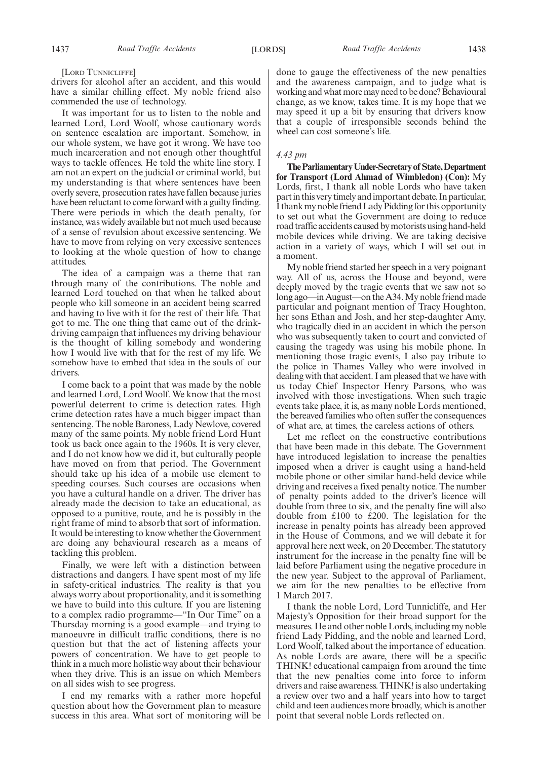drivers for alcohol after an accident, and this would have a similar chilling effect. My noble friend also commended the use of technology.

It was important for us to listen to the noble and learned Lord, Lord Woolf, whose cautionary words on sentence escalation are important. Somehow, in our whole system, we have got it wrong. We have too much incarceration and not enough other thoughtful ways to tackle offences. He told the white line story. I am not an expert on the judicial or criminal world, but my understanding is that where sentences have been overly severe, prosecution rates have fallen because juries have been reluctant to come forward with a guilty finding. There were periods in which the death penalty, for instance, was widely available but not much used because of a sense of revulsion about excessive sentencing. We have to move from relying on very excessive sentences to looking at the whole question of how to change attitudes.

The idea of a campaign was a theme that ran through many of the contributions. The noble and learned Lord touched on that when he talked about people who kill someone in an accident being scarred and having to live with it for the rest of their life. That got to me. The one thing that came out of the drinkdriving campaign that influences my driving behaviour is the thought of killing somebody and wondering how I would live with that for the rest of my life. We somehow have to embed that idea in the souls of our drivers.

I come back to a point that was made by the noble and learned Lord, Lord Woolf. We know that the most powerful deterrent to crime is detection rates. High crime detection rates have a much bigger impact than sentencing. The noble Baroness, Lady Newlove, covered many of the same points. My noble friend Lord Hunt took us back once again to the 1960s. It is very clever, and I do not know how we did it, but culturally people have moved on from that period. The Government should take up his idea of a mobile use element to speeding courses. Such courses are occasions when you have a cultural handle on a driver. The driver has already made the decision to take an educational, as opposed to a punitive, route, and he is possibly in the right frame of mind to absorb that sort of information. It would be interesting to know whether the Government are doing any behavioural research as a means of tackling this problem.

Finally, we were left with a distinction between distractions and dangers. I have spent most of my life in safety-critical industries. The reality is that you always worry about proportionality, and it is something we have to build into this culture. If you are listening to a complex radio programme—"In Our Time" on a Thursday morning is a good example—and trying to manoeuvre in difficult traffic conditions, there is no question but that the act of listening affects your powers of concentration. We have to get people to think in a much more holistic way about their behaviour when they drive. This is an issue on which Members on all sides wish to see progress.

I end my remarks with a rather more hopeful question about how the Government plan to measure success in this area. What sort of monitoring will be done to gauge the effectiveness of the new penalties and the awareness campaign, and to judge what is working and what more may need to be done? Behavioural change, as we know, takes time. It is my hope that we may speed it up a bit by ensuring that drivers know that a couple of irresponsible seconds behind the wheel can cost someone's life.

#### *4.43 pm*

**TheParliamentaryUnder-Secretaryof State,Department for Transport (Lord Ahmad of Wimbledon) (Con):** My Lords, first, I thank all noble Lords who have taken part in this very timely and important debate. In particular, I thank my noble friend Lady Pidding for this opportunity to set out what the Government are doing to reduce road traffic accidents caused by motorists using hand-held mobile devices while driving. We are taking decisive action in a variety of ways, which I will set out in a moment.

My noble friend started her speech in a very poignant way. All of us, across the House and beyond, were deeply moved by the tragic events that we saw not so long ago—in August—on the A34. My noble friend made particular and poignant mention of Tracy Houghton, her sons Ethan and Josh, and her step-daughter Amy, who tragically died in an accident in which the person who was subsequently taken to court and convicted of causing the tragedy was using his mobile phone. In mentioning those tragic events, I also pay tribute to the police in Thames Valley who were involved in dealing with that accident. I am pleased that we have with us today Chief Inspector Henry Parsons, who was involved with those investigations. When such tragic events take place, it is, as many noble Lords mentioned, the bereaved families who often suffer the consequences of what are, at times, the careless actions of others.

Let me reflect on the constructive contributions that have been made in this debate. The Government have introduced legislation to increase the penalties imposed when a driver is caught using a hand-held mobile phone or other similar hand-held device while driving and receives a fixed penalty notice. The number of penalty points added to the driver's licence will double from three to six, and the penalty fine will also double from £100 to £200. The legislation for the increase in penalty points has already been approved in the House of Commons, and we will debate it for approval here next week, on 20 December. The statutory instrument for the increase in the penalty fine will be laid before Parliament using the negative procedure in the new year. Subject to the approval of Parliament, we aim for the new penalties to be effective from 1 March 2017.

I thank the noble Lord, Lord Tunnicliffe, and Her Majesty's Opposition for their broad support for the measures. He and other noble Lords, including my noble friend Lady Pidding, and the noble and learned Lord, Lord Woolf, talked about the importance of education. As noble Lords are aware, there will be a specific THINK! educational campaign from around the time that the new penalties come into force to inform drivers and raise awareness. THINK! is also undertaking a review over two and a half years into how to target child and teen audiences more broadly, which is another point that several noble Lords reflected on.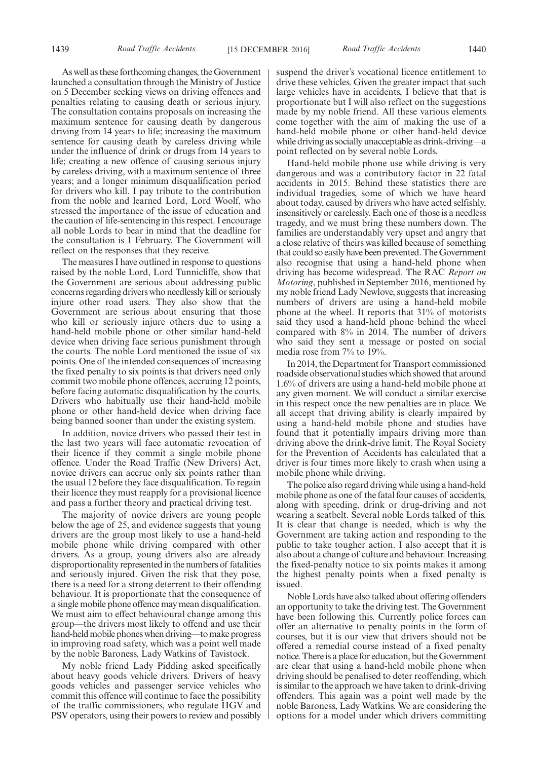1439 *Road Traffic Accidents* [15 DECEMBER 2016] *Road Traffic Accidents* 1440

As well as these forthcoming changes, the Government launched a consultation through the Ministry of Justice on 5 December seeking views on driving offences and penalties relating to causing death or serious injury. The consultation contains proposals on increasing the maximum sentence for causing death by dangerous driving from 14 years to life; increasing the maximum sentence for causing death by careless driving while under the influence of drink or drugs from 14 years to life; creating a new offence of causing serious injury by careless driving, with a maximum sentence of three years; and a longer minimum disqualification period for drivers who kill. I pay tribute to the contribution from the noble and learned Lord, Lord Woolf, who stressed the importance of the issue of education and the caution of life-sentencing in this respect. I encourage all noble Lords to bear in mind that the deadline for the consultation is 1 February. The Government will reflect on the responses that they receive.

The measures I have outlined in response to questions raised by the noble Lord, Lord Tunnicliffe, show that the Government are serious about addressing public concerns regarding drivers who needlessly kill or seriously injure other road users. They also show that the Government are serious about ensuring that those who kill or seriously injure others due to using a hand-held mobile phone or other similar hand-held device when driving face serious punishment through the courts. The noble Lord mentioned the issue of six points. One of the intended consequences of increasing the fixed penalty to six points is that drivers need only commit two mobile phone offences, accruing 12 points, before facing automatic disqualification by the courts. Drivers who habitually use their hand-held mobile phone or other hand-held device when driving face being banned sooner than under the existing system.

In addition, novice drivers who passed their test in the last two years will face automatic revocation of their licence if they commit a single mobile phone offence. Under the Road Traffic (New Drivers) Act, novice drivers can accrue only six points rather than the usual 12 before they face disqualification. To regain their licence they must reapply for a provisional licence and pass a further theory and practical driving test.

The majority of novice drivers are young people below the age of 25, and evidence suggests that young drivers are the group most likely to use a hand-held mobile phone while driving compared with other drivers. As a group, young drivers also are already disproportionality represented in the numbers of fatalities and seriously injured. Given the risk that they pose, there is a need for a strong deterrent to their offending behaviour. It is proportionate that the consequence of a single mobile phone offence may mean disqualification. We must aim to effect behavioural change among this group—the drivers most likely to offend and use their hand-held mobile phones when driving—to make progress in improving road safety, which was a point well made by the noble Baroness, Lady Watkins of Tavistock.

My noble friend Lady Pidding asked specifically about heavy goods vehicle drivers. Drivers of heavy goods vehicles and passenger service vehicles who commit this offence will continue to face the possibility of the traffic commissioners, who regulate HGV and PSV operators, using their powers to review and possibly suspend the driver's vocational licence entitlement to drive these vehicles. Given the greater impact that such large vehicles have in accidents, I believe that that is proportionate but I will also reflect on the suggestions made by my noble friend. All these various elements come together with the aim of making the use of a hand-held mobile phone or other hand-held device while driving as socially unacceptable as drink-driving—a point reflected on by several noble Lords.

Hand-held mobile phone use while driving is very dangerous and was a contributory factor in 22 fatal accidents in 2015. Behind these statistics there are individual tragedies, some of which we have heard about today, caused by drivers who have acted selfishly, insensitively or carelessly. Each one of those is a needless tragedy, and we must bring these numbers down. The families are understandably very upset and angry that a close relative of theirs was killed because of something that could so easily have been prevented. The Government also recognise that using a hand-held phone when driving has become widespread. The RAC *Report on Motoring*, published in September 2016, mentioned by my noble friend Lady Newlove, suggests that increasing numbers of drivers are using a hand-held mobile phone at the wheel. It reports that 31% of motorists said they used a hand-held phone behind the wheel compared with 8% in 2014. The number of drivers who said they sent a message or posted on social media rose from 7% to 19%.

In 2014, the Department for Transport commissioned roadside observational studies which showed that around 1.6% of drivers are using a hand-held mobile phone at any given moment. We will conduct a similar exercise in this respect once the new penalties are in place. We all accept that driving ability is clearly impaired by using a hand-held mobile phone and studies have found that it potentially impairs driving more than driving above the drink-drive limit. The Royal Society for the Prevention of Accidents has calculated that a driver is four times more likely to crash when using a mobile phone while driving.

The police also regard driving while using a hand-held mobile phone as one of the fatal four causes of accidents, along with speeding, drink or drug-driving and not wearing a seatbelt. Several noble Lords talked of this. It is clear that change is needed, which is why the Government are taking action and responding to the public to take tougher action. I also accept that it is also about a change of culture and behaviour. Increasing the fixed-penalty notice to six points makes it among the highest penalty points when a fixed penalty is issued.

Noble Lords have also talked about offering offenders an opportunity to take the driving test. The Government have been following this. Currently police forces can offer an alternative to penalty points in the form of courses, but it is our view that drivers should not be offered a remedial course instead of a fixed penalty notice. There is a place for education, but the Government are clear that using a hand-held mobile phone when driving should be penalised to deter reoffending, which is similar to the approach we have taken to drink-driving offenders. This again was a point well made by the noble Baroness, Lady Watkins. We are considering the options for a model under which drivers committing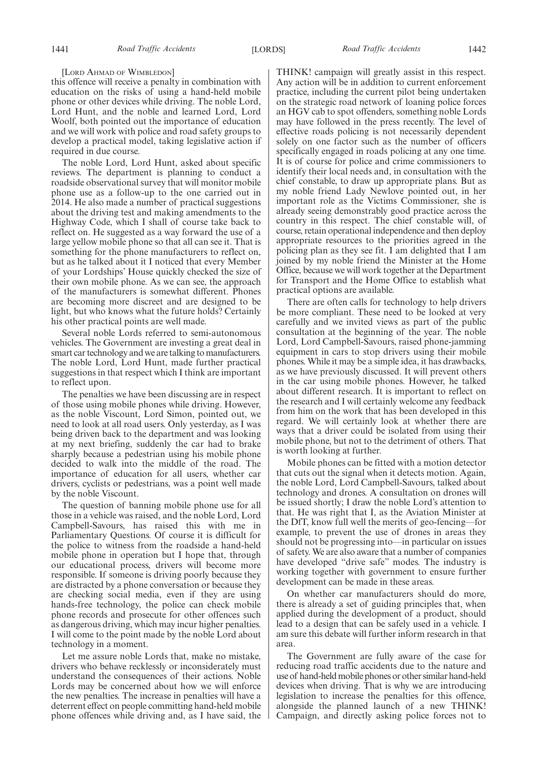#### [LORD AHMAD OF WIMBLEDON]

this offence will receive a penalty in combination with education on the risks of using a hand-held mobile phone or other devices while driving. The noble Lord, Lord Hunt, and the noble and learned Lord, Lord Woolf, both pointed out the importance of education and we will work with police and road safety groups to develop a practical model, taking legislative action if required in due course.

The noble Lord, Lord Hunt, asked about specific reviews. The department is planning to conduct a roadside observational survey that will monitor mobile phone use as a follow-up to the one carried out in 2014. He also made a number of practical suggestions about the driving test and making amendments to the Highway Code, which I shall of course take back to reflect on. He suggested as a way forward the use of a large yellow mobile phone so that all can see it. That is something for the phone manufacturers to reflect on, but as he talked about it I noticed that every Member of your Lordships' House quickly checked the size of their own mobile phone. As we can see, the approach of the manufacturers is somewhat different. Phones are becoming more discreet and are designed to be light, but who knows what the future holds? Certainly his other practical points are well made.

Several noble Lords referred to semi-autonomous vehicles. The Government are investing a great deal in smart car technology and we are talking to manufacturers. The noble Lord, Lord Hunt, made further practical suggestions in that respect which I think are important to reflect upon.

The penalties we have been discussing are in respect of those using mobile phones while driving. However, as the noble Viscount, Lord Simon, pointed out, we need to look at all road users. Only yesterday, as I was being driven back to the department and was looking at my next briefing, suddenly the car had to brake sharply because a pedestrian using his mobile phone decided to walk into the middle of the road. The importance of education for all users, whether car drivers, cyclists or pedestrians, was a point well made by the noble Viscount.

The question of banning mobile phone use for all those in a vehicle was raised, and the noble Lord, Lord Campbell-Savours, has raised this with me in Parliamentary Questions. Of course it is difficult for the police to witness from the roadside a hand-held mobile phone in operation but I hope that, through our educational process, drivers will become more responsible. If someone is driving poorly because they are distracted by a phone conversation or because they are checking social media, even if they are using hands-free technology, the police can check mobile phone records and prosecute for other offences such as dangerous driving, which may incur higher penalties. I will come to the point made by the noble Lord about technology in a moment.

Let me assure noble Lords that, make no mistake, drivers who behave recklessly or inconsiderately must understand the consequences of their actions. Noble Lords may be concerned about how we will enforce the new penalties. The increase in penalties will have a deterrent effect on people committing hand-held mobile phone offences while driving and, as I have said, the

THINK! campaign will greatly assist in this respect. Any action will be in addition to current enforcement practice, including the current pilot being undertaken on the strategic road network of loaning police forces an HGV cab to spot offenders, something noble Lords may have followed in the press recently. The level of effective roads policing is not necessarily dependent solely on one factor such as the number of officers specifically engaged in roads policing at any one time. It is of course for police and crime commissioners to identify their local needs and, in consultation with the chief constable, to draw up appropriate plans. But as my noble friend Lady Newlove pointed out, in her important role as the Victims Commissioner, she is already seeing demonstrably good practice across the country in this respect. The chief constable will, of course, retain operational independence and then deploy appropriate resources to the priorities agreed in the policing plan as they see fit. I am delighted that I am joined by my noble friend the Minister at the Home Office, because we will work together at the Department for Transport and the Home Office to establish what practical options are available.

There are often calls for technology to help drivers be more compliant. These need to be looked at very carefully and we invited views as part of the public consultation at the beginning of the year. The noble Lord, Lord Campbell-Savours, raised phone-jamming equipment in cars to stop drivers using their mobile phones. While it may be a simple idea, it has drawbacks, as we have previously discussed. It will prevent others in the car using mobile phones. However, he talked about different research. It is important to reflect on the research and I will certainly welcome any feedback from him on the work that has been developed in this regard. We will certainly look at whether there are ways that a driver could be isolated from using their mobile phone, but not to the detriment of others. That is worth looking at further.

Mobile phones can be fitted with a motion detector that cuts out the signal when it detects motion. Again, the noble Lord, Lord Campbell-Savours, talked about technology and drones. A consultation on drones will be issued shortly; I draw the noble Lord's attention to that. He was right that I, as the Aviation Minister at the DfT, know full well the merits of geo-fencing—for example, to prevent the use of drones in areas they should not be progressing into—in particular on issues of safety. We are also aware that a number of companies have developed "drive safe" modes. The industry is working together with government to ensure further development can be made in these areas.

On whether car manufacturers should do more, there is already a set of guiding principles that, when applied during the development of a product, should lead to a design that can be safely used in a vehicle. I am sure this debate will further inform research in that area.

The Government are fully aware of the case for reducing road traffic accidents due to the nature and use of hand-held mobile phones or other similar hand-held devices when driving. That is why we are introducing legislation to increase the penalties for this offence, alongside the planned launch of a new THINK! Campaign, and directly asking police forces not to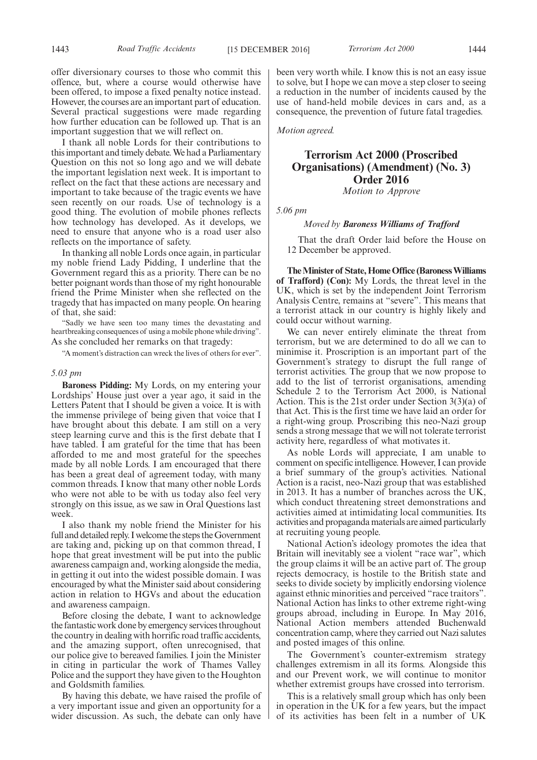offer diversionary courses to those who commit this offence, but, where a course would otherwise have been offered, to impose a fixed penalty notice instead. However, the courses are an important part of education. Several practical suggestions were made regarding how further education can be followed up. That is an important suggestion that we will reflect on.

I thank all noble Lords for their contributions to this important and timely debate. We had a Parliamentary Question on this not so long ago and we will debate the important legislation next week. It is important to reflect on the fact that these actions are necessary and important to take because of the tragic events we have seen recently on our roads. Use of technology is a good thing. The evolution of mobile phones reflects how technology has developed. As it develops, we need to ensure that anyone who is a road user also reflects on the importance of safety.

In thanking all noble Lords once again, in particular my noble friend Lady Pidding, I underline that the Government regard this as a priority. There can be no better poignant words than those of my right honourable friend the Prime Minister when she reflected on the tragedy that has impacted on many people. On hearing of that, she said:

"Sadly we have seen too many times the devastating and heartbreaking consequences of using a mobile phone while driving". As she concluded her remarks on that tragedy:

"A moment's distraction can wreck the lives of others for ever".

#### *5.03 pm*

**Baroness Pidding:** My Lords, on my entering your Lordships' House just over a year ago, it said in the Letters Patent that I should be given a voice. It is with the immense privilege of being given that voice that I have brought about this debate. I am still on a very steep learning curve and this is the first debate that I have tabled. I am grateful for the time that has been afforded to me and most grateful for the speeches made by all noble Lords. I am encouraged that there has been a great deal of agreement today, with many common threads. I know that many other noble Lords who were not able to be with us today also feel very strongly on this issue, as we saw in Oral Questions last week.

I also thank my noble friend the Minister for his full and detailed reply. I welcome the steps the Government are taking and, picking up on that common thread, I hope that great investment will be put into the public awareness campaign and, working alongside the media, in getting it out into the widest possible domain. I was encouraged by what the Minister said about considering action in relation to HGVs and about the education and awareness campaign.

Before closing the debate, I want to acknowledge the fantastic work done by emergency services throughout the country in dealing with horrific road traffic accidents, and the amazing support, often unrecognised, that our police give to bereaved families. I join the Minister in citing in particular the work of Thames Valley Police and the support they have given to the Houghton and Goldsmith families.

By having this debate, we have raised the profile of a very important issue and given an opportunity for a wider discussion. As such, the debate can only have been very worth while. I know this is not an easy issue to solve, but I hope we can move a step closer to seeing a reduction in the number of incidents caused by the use of hand-held mobile devices in cars and, as a consequence, the prevention of future fatal tragedies.

*Motion agreed.*

### **Terrorism Act 2000 (Proscribed Organisations) (Amendment) (No. 3) Order 2016**

*Motion to Approve*

*5.06 pm*

#### *Moved by Baroness Williams of Trafford*

That the draft Order laid before the House on 12 December be approved.

**The Minister of State, Home Office (Baroness Williams of Trafford) (Con):** My Lords, the threat level in the UK, which is set by the independent Joint Terrorism Analysis Centre, remains at "severe". This means that a terrorist attack in our country is highly likely and could occur without warning.

We can never entirely eliminate the threat from terrorism, but we are determined to do all we can to minimise it. Proscription is an important part of the Government's strategy to disrupt the full range of terrorist activities. The group that we now propose to add to the list of terrorist organisations, amending Schedule 2 to the Terrorism Act 2000, is National Action. This is the 21st order under Section 3(3)(a) of that Act. This is the first time we have laid an order for a right-wing group. Proscribing this neo-Nazi group sends a strong message that we will not tolerate terrorist activity here, regardless of what motivates it.

As noble Lords will appreciate, I am unable to comment on specific intelligence. However, I can provide a brief summary of the group's activities. National Action is a racist, neo-Nazi group that was established in 2013. It has a number of branches across the UK, which conduct threatening street demonstrations and activities aimed at intimidating local communities. Its activities and propaganda materials are aimed particularly at recruiting young people.

National Action's ideology promotes the idea that Britain will inevitably see a violent "race war", which the group claims it will be an active part of. The group rejects democracy, is hostile to the British state and seeks to divide society by implicitly endorsing violence against ethnic minorities and perceived "race traitors". National Action has links to other extreme right-wing groups abroad, including in Europe. In May 2016, National Action members attended Buchenwald concentration camp, where they carried out Nazi salutes and posted images of this online.

The Government's counter-extremism strategy challenges extremism in all its forms. Alongside this and our Prevent work, we will continue to monitor whether extremist groups have crossed into terrorism.

This is a relatively small group which has only been in operation in the UK for a few years, but the impact of its activities has been felt in a number of UK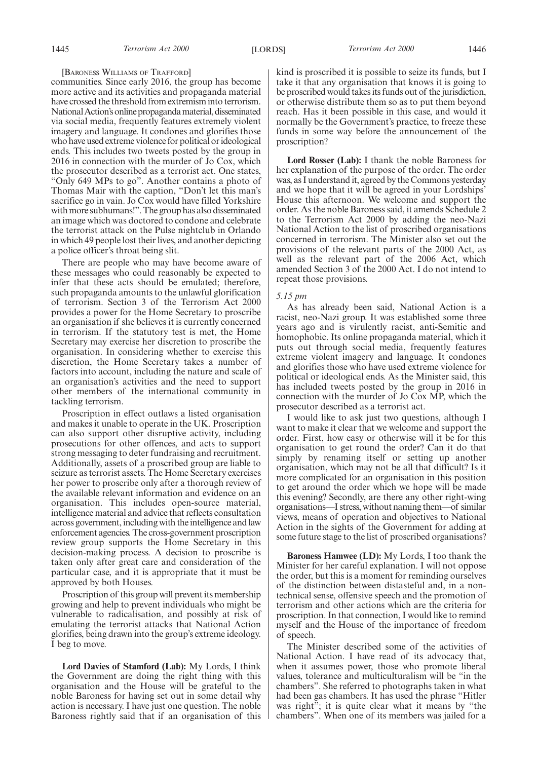#### [BARONESS WILLIAMS OF TRAFFORD]

communities. Since early 2016, the group has become more active and its activities and propaganda material have crossed the threshold from extremism into terrorism. National Action's online propaganda material, disseminated via social media, frequently features extremely violent imagery and language. It condones and glorifies those who have used extreme violence for political or ideological ends. This includes two tweets posted by the group in 2016 in connection with the murder of Jo Cox, which the prosecutor described as a terrorist act. One states, "Only 649 MPs to go". Another contains a photo of Thomas Mair with the caption, "Don't let this man's sacrifice go in vain. Jo Cox would have filled Yorkshire with more subhumans!". The group has also disseminated an image which was doctored to condone and celebrate the terrorist attack on the Pulse nightclub in Orlando in which 49 people lost their lives, and another depicting a police officer's throat being slit.

There are people who may have become aware of these messages who could reasonably be expected to infer that these acts should be emulated; therefore, such propaganda amounts to the unlawful glorification of terrorism. Section 3 of the Terrorism Act 2000 provides a power for the Home Secretary to proscribe an organisation if she believes it is currently concerned in terrorism. If the statutory test is met, the Home Secretary may exercise her discretion to proscribe the organisation. In considering whether to exercise this discretion, the Home Secretary takes a number of factors into account, including the nature and scale of an organisation's activities and the need to support other members of the international community in tackling terrorism.

Proscription in effect outlaws a listed organisation and makes it unable to operate in the UK. Proscription can also support other disruptive activity, including prosecutions for other offences, and acts to support strong messaging to deter fundraising and recruitment. Additionally, assets of a proscribed group are liable to seizure as terrorist assets. The Home Secretary exercises her power to proscribe only after a thorough review of the available relevant information and evidence on an organisation. This includes open-source material, intelligence material and advice that reflects consultation across government, including with the intelligence and law enforcement agencies. The cross-government proscription review group supports the Home Secretary in this decision-making process. A decision to proscribe is taken only after great care and consideration of the particular case, and it is appropriate that it must be approved by both Houses.

Proscription of this group will prevent its membership growing and help to prevent individuals who might be vulnerable to radicalisation, and possibly at risk of emulating the terrorist attacks that National Action glorifies, being drawn into the group's extreme ideology. I beg to move.

**Lord Davies of Stamford (Lab):** My Lords, I think the Government are doing the right thing with this organisation and the House will be grateful to the noble Baroness for having set out in some detail why action is necessary. I have just one question. The noble Baroness rightly said that if an organisation of this kind is proscribed it is possible to seize its funds, but I take it that any organisation that knows it is going to be proscribed would takes its funds out of the jurisdiction, or otherwise distribute them so as to put them beyond reach. Has it been possible in this case, and would it normally be the Government's practice, to freeze these funds in some way before the announcement of the proscription?

**Lord Rosser (Lab):** I thank the noble Baroness for her explanation of the purpose of the order. The order was, as I understand it, agreed by the Commons yesterday and we hope that it will be agreed in your Lordships' House this afternoon. We welcome and support the order. As the noble Baroness said, it amends Schedule 2 to the Terrorism Act 2000 by adding the neo-Nazi National Action to the list of proscribed organisations concerned in terrorism. The Minister also set out the provisions of the relevant parts of the 2000 Act, as well as the relevant part of the 2006 Act, which amended Section 3 of the 2000 Act. I do not intend to repeat those provisions.

#### *5.15 pm*

As has already been said, National Action is a racist, neo-Nazi group. It was established some three years ago and is virulently racist, anti-Semitic and homophobic. Its online propaganda material, which it puts out through social media, frequently features extreme violent imagery and language. It condones and glorifies those who have used extreme violence for political or ideological ends. As the Minister said, this has included tweets posted by the group in 2016 in connection with the murder of Jo Cox MP, which the prosecutor described as a terrorist act.

I would like to ask just two questions, although I want to make it clear that we welcome and support the order. First, how easy or otherwise will it be for this organisation to get round the order? Can it do that simply by renaming itself or setting up another organisation, which may not be all that difficult? Is it more complicated for an organisation in this position to get around the order which we hope will be made this evening? Secondly, are there any other right-wing organisations—I stress, without naming them—of similar views, means of operation and objectives to National Action in the sights of the Government for adding at some future stage to the list of proscribed organisations?

**Baroness Hamwee (LD):** My Lords, I too thank the Minister for her careful explanation. I will not oppose the order, but this is a moment for reminding ourselves of the distinction between distasteful and, in a nontechnical sense, offensive speech and the promotion of terrorism and other actions which are the criteria for proscription. In that connection, I would like to remind myself and the House of the importance of freedom of speech.

The Minister described some of the activities of National Action. I have read of its advocacy that, when it assumes power, those who promote liberal values, tolerance and multiculturalism will be "in the chambers". She referred to photographs taken in what had been gas chambers. It has used the phrase "Hitler was right"; it is quite clear what it means by "the chambers". When one of its members was jailed for a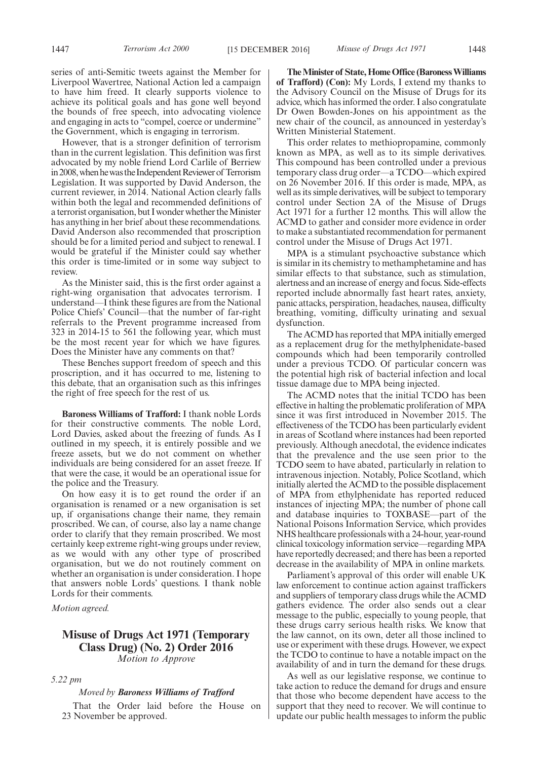series of anti-Semitic tweets against the Member for Liverpool Wavertree, National Action led a campaign to have him freed. It clearly supports violence to achieve its political goals and has gone well beyond the bounds of free speech, into advocating violence and engaging in acts to "compel, coerce or undermine" the Government, which is engaging in terrorism.

However, that is a stronger definition of terrorism than in the current legislation. This definition was first advocated by my noble friend Lord Carlile of Berriew in 2008, when he was the Independent Reviewer of Terrorism Legislation. It was supported by David Anderson, the current reviewer, in 2014. National Action clearly falls within both the legal and recommended definitions of a terrorist organisation, but I wonder whether the Minister has anything in her brief about these recommendations. David Anderson also recommended that proscription should be for a limited period and subject to renewal. I would be grateful if the Minister could say whether this order is time-limited or in some way subject to review.

As the Minister said, this is the first order against a right-wing organisation that advocates terrorism. I understand—I think these figures are from the National Police Chiefs' Council—that the number of far-right referrals to the Prevent programme increased from 323 in 2014-15 to 561 the following year, which must be the most recent year for which we have figures. Does the Minister have any comments on that?

These Benches support freedom of speech and this proscription, and it has occurred to me, listening to this debate, that an organisation such as this infringes the right of free speech for the rest of us.

**Baroness Williams of Trafford:** I thank noble Lords for their constructive comments. The noble Lord, Lord Davies, asked about the freezing of funds. As I outlined in my speech, it is entirely possible and we freeze assets, but we do not comment on whether individuals are being considered for an asset freeze. If that were the case, it would be an operational issue for the police and the Treasury.

On how easy it is to get round the order if an organisation is renamed or a new organisation is set up, if organisations change their name, they remain proscribed. We can, of course, also lay a name change order to clarify that they remain proscribed. We most certainly keep extreme right-wing groups under review, as we would with any other type of proscribed organisation, but we do not routinely comment on whether an organisation is under consideration. I hope that answers noble Lords' questions. I thank noble Lords for their comments.

*Motion agreed.*

#### **Misuse of Drugs Act 1971 (Temporary Class Drug) (No. 2) Order 2016** *Motion to Approve*

*5.22 pm*

#### *Moved by Baroness Williams of Trafford*

That the Order laid before the House on 23 November be approved.

**The Minister of State, Home Office (Baroness Williams of Trafford) (Con):** My Lords, I extend my thanks to the Advisory Council on the Misuse of Drugs for its advice, which has informed the order. I also congratulate Dr Owen Bowden-Jones on his appointment as the new chair of the council, as announced in yesterday's Written Ministerial Statement.

This order relates to methiopropamine, commonly known as MPA, as well as to its simple derivatives. This compound has been controlled under a previous temporary class drug order—a TCDO—which expired on 26 November 2016. If this order is made, MPA, as well as its simple derivatives, will be subject to temporary control under Section 2A of the Misuse of Drugs Act 1971 for a further 12 months. This will allow the ACMD to gather and consider more evidence in order to make a substantiated recommendation for permanent control under the Misuse of Drugs Act 1971.

MPA is a stimulant psychoactive substance which is similar in its chemistry to methamphetamine and has similar effects to that substance, such as stimulation, alertness and an increase of energy and focus. Side-effects reported include abnormally fast heart rates, anxiety, panic attacks, perspiration, headaches, nausea, difficulty breathing, vomiting, difficulty urinating and sexual dysfunction.

The ACMD has reported that MPA initially emerged as a replacement drug for the methylphenidate-based compounds which had been temporarily controlled under a previous TCDO. Of particular concern was the potential high risk of bacterial infection and local tissue damage due to MPA being injected.

The ACMD notes that the initial TCDO has been effective in halting the problematic proliferation of MPA since it was first introduced in November 2015. The effectiveness of the TCDO has been particularly evident in areas of Scotland where instances had been reported previously. Although anecdotal, the evidence indicates that the prevalence and the use seen prior to the TCDO seem to have abated, particularly in relation to intravenous injection. Notably, Police Scotland, which initially alerted the ACMD to the possible displacement of MPA from ethylphenidate has reported reduced instances of injecting MPA; the number of phone call and database inquiries to TOXBASE—part of the National Poisons Information Service, which provides NHS healthcare professionals with a 24-hour, year-round clinical toxicology information service—regarding MPA have reportedly decreased; and there has been a reported decrease in the availability of MPA in online markets.

Parliament's approval of this order will enable UK law enforcement to continue action against traffickers and suppliers of temporary class drugs while the ACMD gathers evidence. The order also sends out a clear message to the public, especially to young people, that these drugs carry serious health risks. We know that the law cannot, on its own, deter all those inclined to use or experiment with these drugs. However, we expect the TCDO to continue to have a notable impact on the availability of and in turn the demand for these drugs.

As well as our legislative response, we continue to take action to reduce the demand for drugs and ensure that those who become dependent have access to the support that they need to recover. We will continue to update our public health messages to inform the public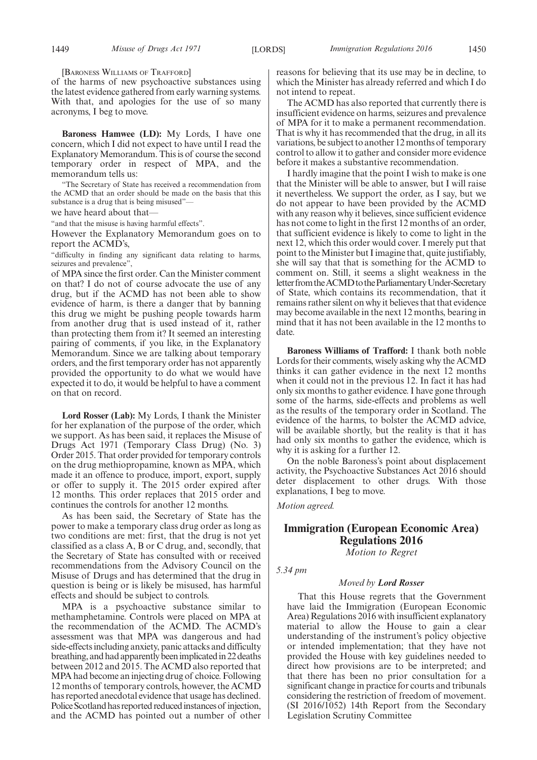[BARONESS WILLIAMS OF TRAFFORD]

of the harms of new psychoactive substances using the latest evidence gathered from early warning systems. With that, and apologies for the use of so many acronyms, I beg to move.

**Baroness Hamwee (LD):** My Lords, I have one concern, which I did not expect to have until I read the Explanatory Memorandum. This is of course the second temporary order in respect of MPA, and the memorandum tells us:

"The Secretary of State has received a recommendation from the ACMD that an order should be made on the basis that this substance is a drug that is being misused"—

we have heard about that—

"and that the misuse is having harmful effects".

However the Explanatory Memorandum goes on to report the ACMD's,

"difficulty in finding any significant data relating to harms, seizures and prevalence",

of MPA since the first order. Can the Minister comment on that? I do not of course advocate the use of any drug, but if the ACMD has not been able to show evidence of harm, is there a danger that by banning this drug we might be pushing people towards harm from another drug that is used instead of it, rather than protecting them from it? It seemed an interesting pairing of comments, if you like, in the Explanatory Memorandum. Since we are talking about temporary orders, and the first temporary order has not apparently provided the opportunity to do what we would have expected it to do, it would be helpful to have a comment on that on record.

**Lord Rosser (Lab):** My Lords, I thank the Minister for her explanation of the purpose of the order, which we support. As has been said, it replaces the Misuse of Drugs Act 1971 (Temporary Class Drug) (No. 3) Order 2015. That order provided for temporary controls on the drug methiopropamine, known as MPA, which made it an offence to produce, import, export, supply or offer to supply it. The 2015 order expired after 12 months. This order replaces that 2015 order and continues the controls for another 12 months.

As has been said, the Secretary of State has the power to make a temporary class drug order as long as two conditions are met: first, that the drug is not yet classified as a class A, B or C drug, and, secondly, that the Secretary of State has consulted with or received recommendations from the Advisory Council on the Misuse of Drugs and has determined that the drug in question is being or is likely be misused, has harmful effects and should be subject to controls.

MPA is a psychoactive substance similar to methamphetamine. Controls were placed on MPA at the recommendation of the ACMD. The ACMD's assessment was that MPA was dangerous and had side-effects including anxiety, panic attacks and difficulty breathing, and had apparently been implicated in 22 deaths between 2012 and 2015. The ACMD also reported that MPA had become an injecting drug of choice. Following 12 months of temporary controls, however, the ACMD has reported anecdotal evidence that usage has declined. Police Scotland has reported reduced instances of injection, and the ACMD has pointed out a number of other reasons for believing that its use may be in decline, to which the Minister has already referred and which I do not intend to repeat.

The ACMD has also reported that currently there is insufficient evidence on harms, seizures and prevalence of MPA for it to make a permanent recommendation. That is why it has recommended that the drug, in all its variations, be subject to another 12 months of temporary control to allow it to gather and consider more evidence before it makes a substantive recommendation.

I hardly imagine that the point I wish to make is one that the Minister will be able to answer, but I will raise it nevertheless. We support the order, as I say, but we do not appear to have been provided by the ACMD with any reason why it believes, since sufficient evidence has not come to light in the first 12 months of an order, that sufficient evidence is likely to come to light in the next 12, which this order would cover. I merely put that point to the Minister but I imagine that, quite justifiably, she will say that that is something for the ACMD to comment on. Still, it seems a slight weakness in the letter from the ACMD to the Parliamentary Under-Secretary of State, which contains its recommendation, that it remains rather silent on why it believes that that evidence may become available in the next 12 months, bearing in mind that it has not been available in the 12 months to date.

**Baroness Williams of Trafford:** I thank both noble Lords for their comments, wisely asking why the ACMD thinks it can gather evidence in the next 12 months when it could not in the previous 12. In fact it has had only six months to gather evidence. I have gone through some of the harms, side-effects and problems as well as the results of the temporary order in Scotland. The evidence of the harms, to bolster the ACMD advice, will be available shortly, but the reality is that it has had only six months to gather the evidence, which is why it is asking for a further 12.

On the noble Baroness's point about displacement activity, the Psychoactive Substances Act 2016 should deter displacement to other drugs. With those explanations, I beg to move.

*Motion agreed.*

### **Immigration (European Economic Area) Regulations 2016**

*Motion to Regret*

*5.34 pm*

#### *Moved by Lord Rosser*

That this House regrets that the Government have laid the Immigration (European Economic Area) Regulations 2016 with insufficient explanatory material to allow the House to gain a clear understanding of the instrument's policy objective or intended implementation; that they have not provided the House with key guidelines needed to direct how provisions are to be interpreted; and that there has been no prior consultation for a significant change in practice for courts and tribunals considering the restriction of freedom of movement. (SI 2016/1052) 14th Report from the Secondary Legislation Scrutiny Committee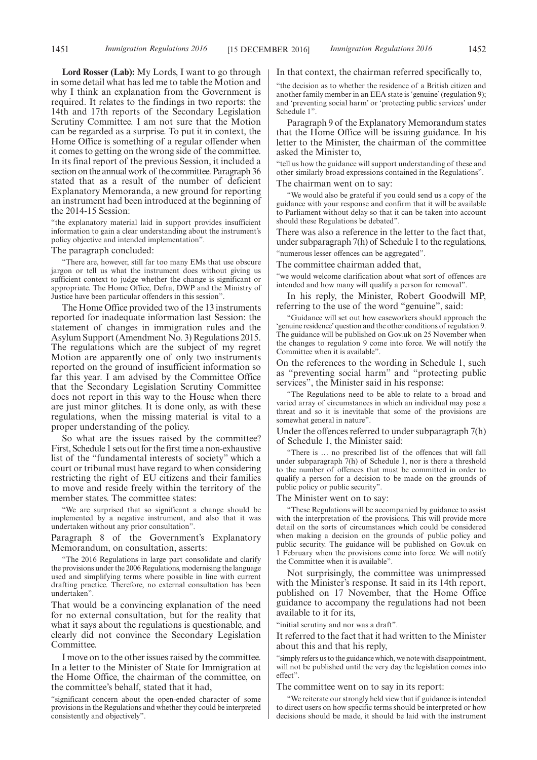**Lord Rosser (Lab):** My Lords, I want to go through in some detail what has led me to table the Motion and why I think an explanation from the Government is required. It relates to the findings in two reports: the 14th and 17th reports of the Secondary Legislation Scrutiny Committee. I am not sure that the Motion can be regarded as a surprise. To put it in context, the Home Office is something of a regular offender when it comes to getting on the wrong side of the committee. In its final report of the previous Session, it included a section on the annual work of the committee. Paragraph 36 stated that as a result of the number of deficient Explanatory Memoranda, a new ground for reporting an instrument had been introduced at the beginning of the 2014-15 Session:

"the explanatory material laid in support provides insufficient information to gain a clear understanding about the instrument's policy objective and intended implementation".

#### The paragraph concluded:

"There are, however, still far too many EMs that use obscure jargon or tell us what the instrument does without giving us sufficient context to judge whether the change is significant or appropriate. The Home Office, Defra, DWP and the Ministry of Justice have been particular offenders in this session".

The Home Office provided two of the 13 instruments reported for inadequate information last Session: the statement of changes in immigration rules and the Asylum Support (Amendment No. 3) Regulations 2015. The regulations which are the subject of my regret Motion are apparently one of only two instruments reported on the ground of insufficient information so far this year. I am advised by the Committee Office that the Secondary Legislation Scrutiny Committee does not report in this way to the House when there are just minor glitches. It is done only, as with these regulations, when the missing material is vital to a proper understanding of the policy.

So what are the issues raised by the committee? First, Schedule 1 sets out for the first time a non-exhaustive list of the "fundamental interests of society" which a court or tribunal must have regard to when considering restricting the right of EU citizens and their families to move and reside freely within the territory of the member states. The committee states:

"We are surprised that so significant a change should be implemented by a negative instrument, and also that it was undertaken without any prior consultation".

Paragraph 8 of the Government's Explanatory Memorandum, on consultation, asserts:

"The 2016 Regulations in large part consolidate and clarify the provisions under the 2006 Regulations, modernising the language used and simplifying terms where possible in line with current drafting practice. Therefore, no external consultation has been undertaken".

That would be a convincing explanation of the need for no external consultation, but for the reality that what it says about the regulations is questionable, and clearly did not convince the Secondary Legislation Committee.

I move on to the other issues raised by the committee. In a letter to the Minister of State for Immigration at the Home Office, the chairman of the committee, on the committee's behalf, stated that it had,

"significant concern about the open-ended character of some provisions in the Regulations and whether they could be interpreted consistently and objectively".

In that context, the chairman referred specifically to,

"the decision as to whether the residence of a British citizen and another family member in an EEA state is 'genuine' (regulation 9); and 'preventing social harm' or 'protecting public services' under Schedule 1".

Paragraph 9 of the Explanatory Memorandum states that the Home Office will be issuing guidance. In his letter to the Minister, the chairman of the committee asked the Minister to,

"tell us how the guidance will support understanding of these and other similarly broad expressions contained in the Regulations".

The chairman went on to say:

"We would also be grateful if you could send us a copy of the guidance with your response and confirm that it will be available to Parliament without delay so that it can be taken into account should these Regulations be debated".

There was also a reference in the letter to the fact that, under subparagraph 7(h) of Schedule 1 to the regulations,

"numerous lesser offences can be aggregated".

The committee chairman added that,

"we would welcome clarification about what sort of offences are intended and how many will qualify a person for removal".

In his reply, the Minister, Robert Goodwill MP, referring to the use of the word "genuine", said:

"Guidance will set out how caseworkers should approach the 'genuine residence'question and the other conditions of regulation 9. The guidance will be published on Gov.uk on 25 November when the changes to regulation 9 come into force. We will notify the Committee when it is available".

On the references to the wording in Schedule 1, such as "preventing social harm" and "protecting public services", the Minister said in his response:

"The Regulations need to be able to relate to a broad and varied array of circumstances in which an individual may pose a threat and so it is inevitable that some of the provisions are somewhat general in nature".

Under the offences referred to under subparagraph 7(h) of Schedule 1, the Minister said:

"There is … no prescribed list of the offences that will fall under subparagraph 7(h) of Schedule 1, nor is there a threshold to the number of offences that must be committed in order to qualify a person for a decision to be made on the grounds of public policy or public security".

#### The Minister went on to say:

"These Regulations will be accompanied by guidance to assist with the interpretation of the provisions. This will provide more detail on the sorts of circumstances which could be considered when making a decision on the grounds of public policy and public security. The guidance will be published on Gov.uk on 1 February when the provisions come into force. We will notify the Committee when it is available".

Not surprisingly, the committee was unimpressed with the Minister's response. It said in its 14th report, published on 17 November, that the Home Office guidance to accompany the regulations had not been available to it for its,

"initial scrutiny and nor was a draft".

It referred to the fact that it had written to the Minister about this and that his reply,

"simply refers us to the guidance which, we note with disappointment, will not be published until the very day the legislation comes into effect".

The committee went on to say in its report:

"We reiterate our strongly held view that if guidance is intended to direct users on how specific terms should be interpreted or how decisions should be made, it should be laid with the instrument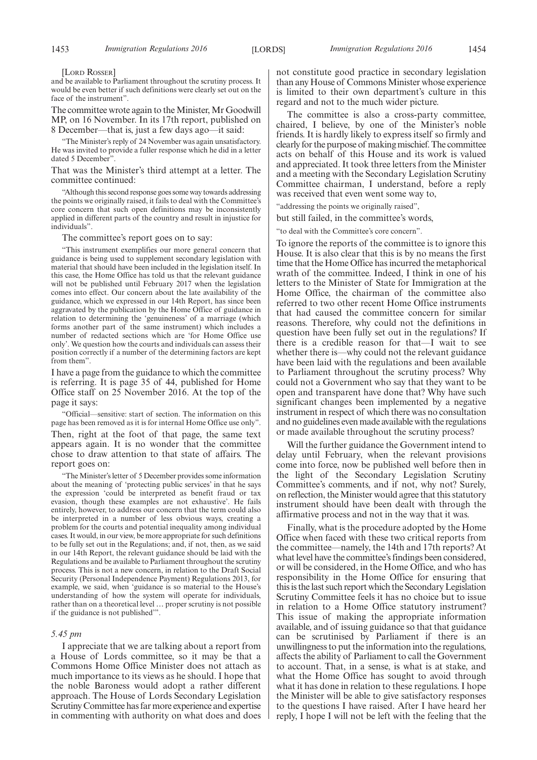#### [LORD ROSSER]

and be available to Parliament throughout the scrutiny process. It would be even better if such definitions were clearly set out on the face of the instrument".

The committee wrote again to the Minister, Mr Goodwill MP, on 16 November. In its 17th report, published on 8 December—that is, just a few days ago—it said:

"The Minister's reply of 24 November was again unsatisfactory. He was invited to provide a fuller response which he did in a letter dated 5 December".

That was the Minister's third attempt at a letter. The committee continued:

"Although this second response goes some way towards addressing the points we originally raised, it fails to deal with the Committee's core concern that such open definitions may be inconsistently applied in different parts of the country and result in injustice for individuals".

The committee's report goes on to say:

"This instrument exemplifies our more general concern that guidance is being used to supplement secondary legislation with material that should have been included in the legislation itself. In this case, the Home Office has told us that the relevant guidance will not be published until February 2017 when the legislation comes into effect. Our concern about the late availability of the guidance, which we expressed in our 14th Report, has since been aggravated by the publication by the Home Office of guidance in relation to determining the 'genuineness' of a marriage (which forms another part of the same instrument) which includes a number of redacted sections which are 'for Home Office use only'. We question how the courts and individuals can assess their position correctly if a number of the determining factors are kept from them".

I have a page from the guidance to which the committee is referring. It is page 35 of 44, published for Home Office staff on 25 November 2016. At the top of the page it says:

"Official—sensitive: start of section. The information on this page has been removed as it is for internal Home Office use only".

Then, right at the foot of that page, the same text appears again. It is no wonder that the committee chose to draw attention to that state of affairs. The report goes on:

"The Minister's letter of 5 December provides some information about the meaning of 'protecting public services' in that he says the expression 'could be interpreted as benefit fraud or tax evasion, though these examples are not exhaustive'. He fails entirely, however, to address our concern that the term could also be interpreted in a number of less obvious ways, creating a problem for the courts and potential inequality among individual cases. It would, in our view, be more appropriate for such definitions to be fully set out in the Regulations; and, if not, then, as we said in our 14th Report, the relevant guidance should be laid with the Regulations and be available to Parliament throughout the scrutiny process. This is not a new concern, in relation to the Draft Social Security (Personal Independence Payment) Regulations 2013, for example, we said, when 'guidance is so material to the House's understanding of how the system will operate for individuals, rather than on a theoretical level … proper scrutiny is not possible if the guidance is not published'".

#### *5.45 pm*

I appreciate that we are talking about a report from a House of Lords committee, so it may be that a Commons Home Office Minister does not attach as much importance to its views as he should. I hope that the noble Baroness would adopt a rather different approach. The House of Lords Secondary Legislation Scrutiny Committee has far more experience and expertise in commenting with authority on what does and does

not constitute good practice in secondary legislation than any House of Commons Minister whose experience is limited to their own department's culture in this regard and not to the much wider picture.

The committee is also a cross-party committee, chaired, I believe, by one of the Minister's noble friends. It is hardly likely to express itself so firmly and clearly for the purpose of making mischief. The committee acts on behalf of this House and its work is valued and appreciated. It took three letters from the Minister and a meeting with the Secondary Legislation Scrutiny Committee chairman, I understand, before a reply was received that even went some way to,

"addressing the points we originally raised",

but still failed, in the committee's words,

"to deal with the Committee's core concern".

To ignore the reports of the committee is to ignore this House. It is also clear that this is by no means the first time that the Home Office has incurred the metaphorical wrath of the committee. Indeed, I think in one of his letters to the Minister of State for Immigration at the Home Office, the chairman of the committee also referred to two other recent Home Office instruments that had caused the committee concern for similar reasons. Therefore, why could not the definitions in question have been fully set out in the regulations? If there is a credible reason for that—I wait to see whether there is—why could not the relevant guidance have been laid with the regulations and been available to Parliament throughout the scrutiny process? Why could not a Government who say that they want to be open and transparent have done that? Why have such significant changes been implemented by a negative instrument in respect of which there was no consultation and no guidelines even made available with the regulations or made available throughout the scrutiny process?

Will the further guidance the Government intend to delay until February, when the relevant provisions come into force, now be published well before then in the light of the Secondary Legislation Scrutiny Committee's comments, and if not, why not? Surely, on reflection, the Minister would agree that this statutory instrument should have been dealt with through the affirmative process and not in the way that it was.

Finally, what is the procedure adopted by the Home Office when faced with these two critical reports from the committee—namely, the 14th and 17th reports? At what level have the committee's findings been considered, or will be considered, in the Home Office, and who has responsibility in the Home Office for ensuring that this is the last such report which the Secondary Legislation Scrutiny Committee feels it has no choice but to issue in relation to a Home Office statutory instrument? This issue of making the appropriate information available, and of issuing guidance so that that guidance can be scrutinised by Parliament if there is an unwillingness to put the information into the regulations, affects the ability of Parliament to call the Government to account. That, in a sense, is what is at stake, and what the Home Office has sought to avoid through what it has done in relation to these regulations. I hope the Minister will be able to give satisfactory responses to the questions I have raised. After I have heard her reply, I hope I will not be left with the feeling that the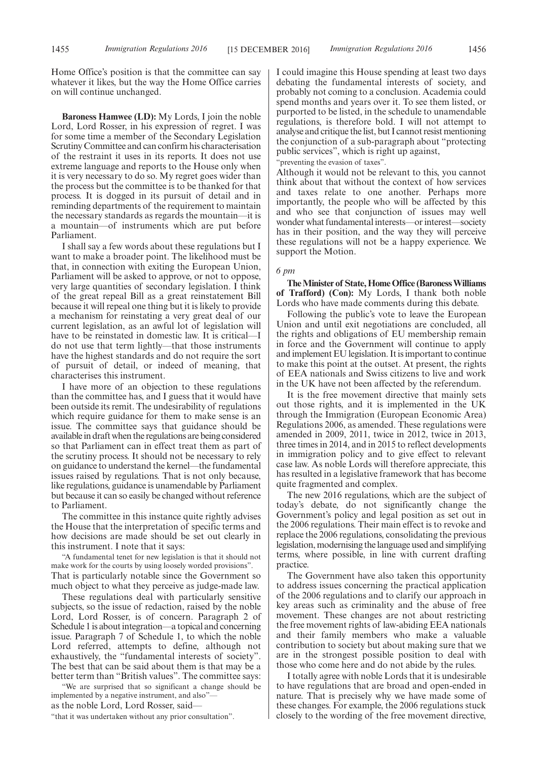Home Office's position is that the committee can say whatever it likes, but the way the Home Office carries on will continue unchanged.

**Baroness Hamwee (LD):** My Lords, I join the noble Lord, Lord Rosser, in his expression of regret. I was for some time a member of the Secondary Legislation Scrutiny Committee and can confirm his characterisation of the restraint it uses in its reports. It does not use extreme language and reports to the House only when it is very necessary to do so. My regret goes wider than the process but the committee is to be thanked for that process. It is dogged in its pursuit of detail and in reminding departments of the requirement to maintain the necessary standards as regards the mountain—it is a mountain—of instruments which are put before Parliament.

I shall say a few words about these regulations but I want to make a broader point. The likelihood must be that, in connection with exiting the European Union, Parliament will be asked to approve, or not to oppose, very large quantities of secondary legislation. I think of the great repeal Bill as a great reinstatement Bill because it will repeal one thing but it is likely to provide a mechanism for reinstating a very great deal of our current legislation, as an awful lot of legislation will have to be reinstated in domestic law. It is critical—I do not use that term lightly—that those instruments have the highest standards and do not require the sort of pursuit of detail, or indeed of meaning, that characterises this instrument.

I have more of an objection to these regulations than the committee has, and I guess that it would have been outside its remit. The undesirability of regulations which require guidance for them to make sense is an issue. The committee says that guidance should be available in draft when the regulations are being considered so that Parliament can in effect treat them as part of the scrutiny process. It should not be necessary to rely on guidance to understand the kernel—the fundamental issues raised by regulations. That is not only because, like regulations, guidance is unamendable by Parliament but because it can so easily be changed without reference to Parliament.

The committee in this instance quite rightly advises the House that the interpretation of specific terms and how decisions are made should be set out clearly in this instrument. I note that it says:

"A fundamental tenet for new legislation is that it should not make work for the courts by using loosely worded provisions". That is particularly notable since the Government so much object to what they perceive as judge-made law.

These regulations deal with particularly sensitive subjects, so the issue of redaction, raised by the noble Lord, Lord Rosser, is of concern. Paragraph 2 of Schedule 1 is about integration—a topical and concerning issue. Paragraph 7 of Schedule 1, to which the noble Lord referred, attempts to define, although not exhaustively, the "fundamental interests of society". The best that can be said about them is that may be a better term than "British values". The committee says:

"We are surprised that so significant a change should be implemented by a negative instrument, and also" as the noble Lord, Lord Rosser, said—

"that it was undertaken without any prior consultation".

I could imagine this House spending at least two days debating the fundamental interests of society, and probably not coming to a conclusion. Academia could spend months and years over it. To see them listed, or purported to be listed, in the schedule to unamendable regulations, is therefore bold. I will not attempt to analyse and critique the list, but I cannot resist mentioning the conjunction of a sub-paragraph about "protecting public services", which is right up against,

"preventing the evasion of taxes".

Although it would not be relevant to this, you cannot think about that without the context of how services and taxes relate to one another. Perhaps more importantly, the people who will be affected by this and who see that conjunction of issues may well wonder what fundamental interests—or interest—society has in their position, and the way they will perceive these regulations will not be a happy experience. We support the Motion.

#### *6 pm*

**The Minister of State, Home Office (Baroness Williams of Trafford) (Con):** My Lords, I thank both noble Lords who have made comments during this debate.

Following the public's vote to leave the European Union and until exit negotiations are concluded, all the rights and obligations of EU membership remain in force and the Government will continue to apply and implement EU legislation. It is important to continue to make this point at the outset. At present, the rights of EEA nationals and Swiss citizens to live and work in the UK have not been affected by the referendum.

It is the free movement directive that mainly sets out those rights, and it is implemented in the UK through the Immigration (European Economic Area) Regulations 2006, as amended. These regulations were amended in 2009, 2011, twice in 2012, twice in 2013, three times in 2014, and in 2015 to reflect developments in immigration policy and to give effect to relevant case law. As noble Lords will therefore appreciate, this has resulted in a legislative framework that has become quite fragmented and complex.

The new 2016 regulations, which are the subject of today's debate, do not significantly change the Government's policy and legal position as set out in the 2006 regulations. Their main effect is to revoke and replace the 2006 regulations, consolidating the previous legislation, modernising the language used and simplifying terms, where possible, in line with current drafting practice.

The Government have also taken this opportunity to address issues concerning the practical application of the 2006 regulations and to clarify our approach in key areas such as criminality and the abuse of free movement. These changes are not about restricting the free movement rights of law-abiding EEA nationals and their family members who make a valuable contribution to society but about making sure that we are in the strongest possible position to deal with those who come here and do not abide by the rules.

I totally agree with noble Lords that it is undesirable to have regulations that are broad and open-ended in nature. That is precisely why we have made some of these changes. For example, the 2006 regulations stuck closely to the wording of the free movement directive,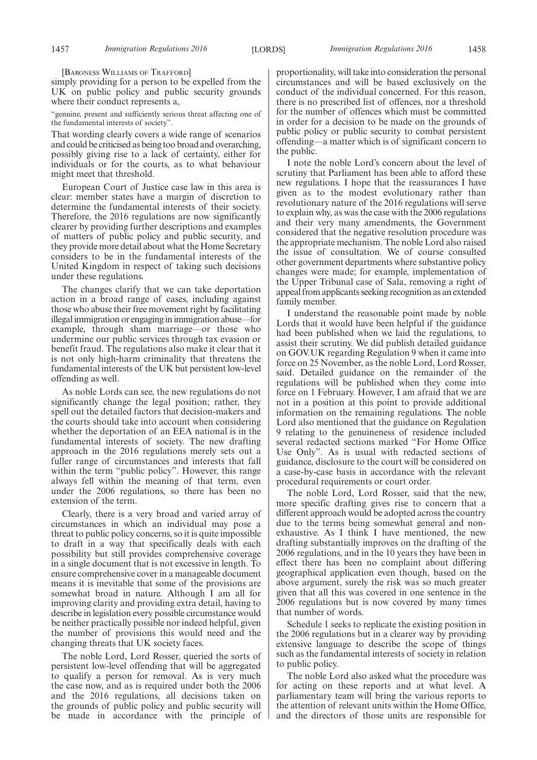[BARONESS WILLIAMS OF TRAFFORD]

simply providing for a person to be expelled from the UK on public policy and public security grounds where their conduct represents a,

"genuine, present and sufficiently serious threat affecting one of the fundamental interests of society".

That wording clearly covers a wide range of scenarios and could be criticised as being too broad and overarching, possibly giving rise to a lack of certainty, either for individuals or for the courts, as to what behaviour might meet that threshold.

European Court of Justice case law in this area is clear: member states have a margin of discretion to determine the fundamental interests of their society. Therefore, the 2016 regulations are now significantly clearer by providing further descriptions and examples of matters of public policy and public security, and they provide more detail about what the Home Secretary considers to be in the fundamental interests of the United Kingdom in respect of taking such decisions under these regulations.

The changes clarify that we can take deportation action in a broad range of cases, including against those who abuse their free movement right by facilitating illegal immigration or engaging in immigration abuse—for example, through sham marriage—or those who undermine our public services through tax evasion or benefit fraud. The regulations also make it clear that it is not only high-harm criminality that threatens the fundamental interests of the UK but persistent low-level offending as well.

As noble Lords can see, the new regulations do not significantly change the legal position; rather, they spell out the detailed factors that decision-makers and the courts should take into account when considering whether the deportation of an EEA national is in the fundamental interests of society. The new drafting approach in the 2016 regulations merely sets out a fuller range of circumstances and interests that fall within the term "public policy". However, this range always fell within the meaning of that term, even under the 2006 regulations, so there has been no extension of the term.

Clearly, there is a very broad and varied array of circumstances in which an individual may pose a threat to public policy concerns, so it is quite impossible to draft in a way that specifically deals with each possibility but still provides comprehensive coverage in a single document that is not excessive in length. To ensure comprehensive cover in a manageable document means it is inevitable that some of the provisions are somewhat broad in nature. Although I am all for improving clarity and providing extra detail, having to describe in legislation every possible circumstance would be neither practically possible nor indeed helpful, given the number of provisions this would need and the changing threats that UK society faces.

The noble Lord, Lord Rosser, queried the sorts of persistent low-level offending that will be aggregated to qualify a person for removal. As is very much the case now, and as is required under both the 2006 and the 2016 regulations, all decisions taken on the grounds of public policy and public security will be made in accordance with the principle of proportionality, will take into consideration the personal circumstances and will be based exclusively on the conduct of the individual concerned. For this reason, there is no prescribed list of offences, nor a threshold for the number of offences which must be committed in order for a decision to be made on the grounds of public policy or public security to combat persistent offending—a matter which is of significant concern to the public.

I note the noble Lord's concern about the level of scrutiny that Parliament has been able to afford these new regulations. I hope that the reassurances I have given as to the modest evolutionary rather than revolutionary nature of the 2016 regulations will serve to explain why, as was the case with the 2006 regulations and their very many amendments, the Government considered that the negative resolution procedure was the appropriate mechanism. The noble Lord also raised the issue of consultation. We of course consulted other government departments where substantive policy changes were made; for example, implementation of the Upper Tribunal case of Sala, removing a right of appeal from applicants seeking recognition as an extended family member.

I understand the reasonable point made by noble Lords that it would have been helpful if the guidance had been published when we laid the regulations, to assist their scrutiny. We did publish detailed guidance on GOV.UK regarding Regulation 9 when it came into force on 25 November, as the noble Lord, Lord Rosser, said. Detailed guidance on the remainder of the regulations will be published when they come into force on 1 February. However, I am afraid that we are not in a position at this point to provide additional information on the remaining regulations. The noble Lord also mentioned that the guidance on Regulation 9 relating to the genuineness of residence included several redacted sections marked "For Home Office Use Only". As is usual with redacted sections of guidance, disclosure to the court will be considered on a case-by-case basis in accordance with the relevant procedural requirements or court order.

The noble Lord, Lord Rosser, said that the new, more specific drafting gives rise to concern that a different approach would be adopted across the country due to the terms being somewhat general and nonexhaustive. As I think I have mentioned, the new drafting substantially improves on the drafting of the 2006 regulations, and in the 10 years they have been in effect there has been no complaint about differing geographical application even though, based on the above argument, surely the risk was so much greater given that all this was covered in one sentence in the 2006 regulations but is now covered by many times that number of words.

Schedule 1 seeks to replicate the existing position in the 2006 regulations but in a clearer way by providing extensive language to describe the scope of things such as the fundamental interests of society in relation to public policy.

The noble Lord also asked what the procedure was for acting on these reports and at what level. A parliamentary team will bring the various reports to the attention of relevant units within the Home Office, and the directors of those units are responsible for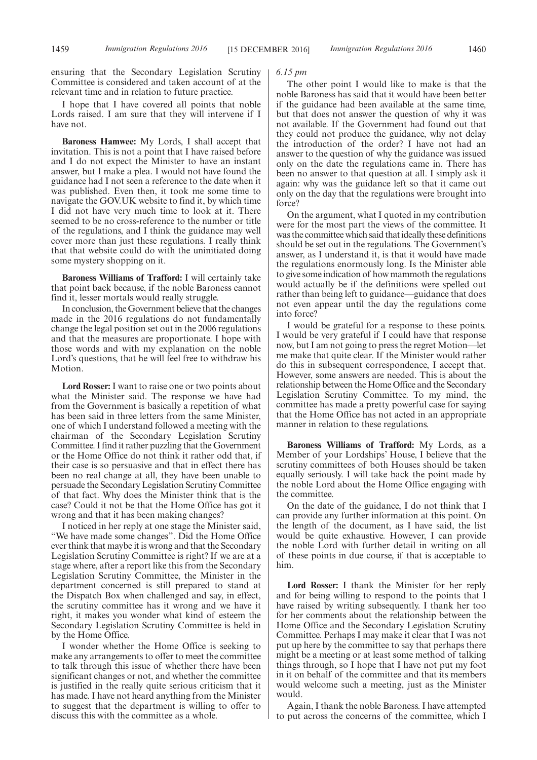ensuring that the Secondary Legislation Scrutiny Committee is considered and taken account of at the relevant time and in relation to future practice.

I hope that I have covered all points that noble Lords raised. I am sure that they will intervene if I have not.

**Baroness Hamwee:** My Lords, I shall accept that invitation. This is not a point that I have raised before and I do not expect the Minister to have an instant answer, but I make a plea. I would not have found the guidance had I not seen a reference to the date when it was published. Even then, it took me some time to navigate the GOV.UK website to find it, by which time I did not have very much time to look at it. There seemed to be no cross-reference to the number or title of the regulations, and I think the guidance may well cover more than just these regulations. I really think that that website could do with the uninitiated doing some mystery shopping on it.

**Baroness Williams of Trafford:** I will certainly take that point back because, if the noble Baroness cannot find it, lesser mortals would really struggle.

In conclusion, the Government believe that the changes made in the 2016 regulations do not fundamentally change the legal position set out in the 2006 regulations and that the measures are proportionate. I hope with those words and with my explanation on the noble Lord's questions, that he will feel free to withdraw his Motion.

**Lord Rosser:** I want to raise one or two points about what the Minister said. The response we have had from the Government is basically a repetition of what has been said in three letters from the same Minister, one of which I understand followed a meeting with the chairman of the Secondary Legislation Scrutiny Committee. I find it rather puzzling that the Government or the Home Office do not think it rather odd that, if their case is so persuasive and that in effect there has been no real change at all, they have been unable to persuade the Secondary Legislation Scrutiny Committee of that fact. Why does the Minister think that is the case? Could it not be that the Home Office has got it wrong and that it has been making changes?

I noticed in her reply at one stage the Minister said, "We have made some changes". Did the Home Office ever think that maybe it is wrong and that the Secondary Legislation Scrutiny Committee is right? If we are at a stage where, after a report like this from the Secondary Legislation Scrutiny Committee, the Minister in the department concerned is still prepared to stand at the Dispatch Box when challenged and say, in effect, the scrutiny committee has it wrong and we have it right, it makes you wonder what kind of esteem the Secondary Legislation Scrutiny Committee is held in by the Home Office.

I wonder whether the Home Office is seeking to make any arrangements to offer to meet the committee to talk through this issue of whether there have been significant changes or not, and whether the committee is justified in the really quite serious criticism that it has made. I have not heard anything from the Minister to suggest that the department is willing to offer to discuss this with the committee as a whole.

*6.15 pm*

The other point I would like to make is that the noble Baroness has said that it would have been better if the guidance had been available at the same time, but that does not answer the question of why it was not available. If the Government had found out that they could not produce the guidance, why not delay the introduction of the order? I have not had an answer to the question of why the guidance was issued only on the date the regulations came in. There has been no answer to that question at all. I simply ask it again: why was the guidance left so that it came out only on the day that the regulations were brought into force?

On the argument, what I quoted in my contribution were for the most part the views of the committee. It was the committee which said that ideally these definitions should be set out in the regulations. The Government's answer, as I understand it, is that it would have made the regulations enormously long. Is the Minister able to give some indication of how mammoth the regulations would actually be if the definitions were spelled out rather than being left to guidance—guidance that does not even appear until the day the regulations come into force?

I would be grateful for a response to these points. I would be very grateful if I could have that response now, but I am not going to press the regret Motion—let me make that quite clear. If the Minister would rather do this in subsequent correspondence, I accept that. However, some answers are needed. This is about the relationship between the Home Office and the Secondary Legislation Scrutiny Committee. To my mind, the committee has made a pretty powerful case for saying that the Home Office has not acted in an appropriate manner in relation to these regulations.

**Baroness Williams of Trafford:** My Lords, as a Member of your Lordships' House, I believe that the scrutiny committees of both Houses should be taken equally seriously. I will take back the point made by the noble Lord about the Home Office engaging with the committee.

On the date of the guidance, I do not think that I can provide any further information at this point. On the length of the document, as I have said, the list would be quite exhaustive. However, I can provide the noble Lord with further detail in writing on all of these points in due course, if that is acceptable to him.

**Lord Rosser:** I thank the Minister for her reply and for being willing to respond to the points that I have raised by writing subsequently. I thank her too for her comments about the relationship between the Home Office and the Secondary Legislation Scrutiny Committee. Perhaps I may make it clear that I was not put up here by the committee to say that perhaps there might be a meeting or at least some method of talking things through, so I hope that I have not put my foot in it on behalf of the committee and that its members would welcome such a meeting, just as the Minister would.

Again, I thank the noble Baroness. I have attempted to put across the concerns of the committee, which I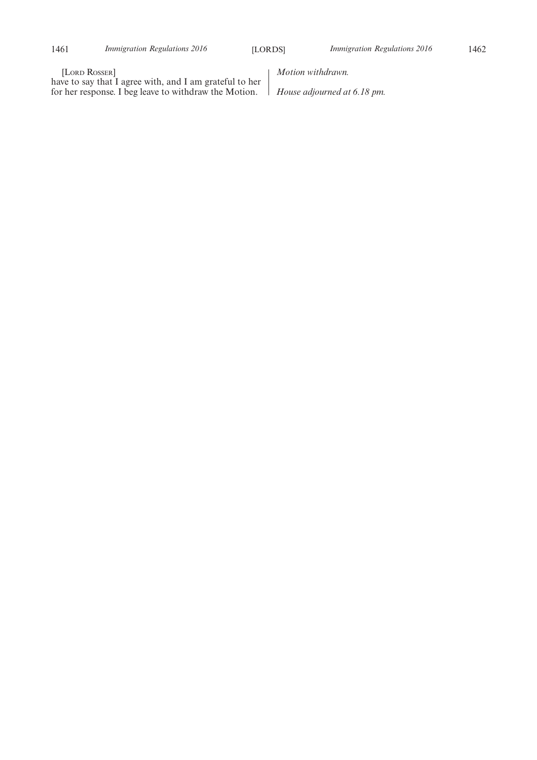[LORD ROSSER]

have to say that I agree with, and I am grateful to her for her response. I beg leave to withdraw the Motion.

*Motion withdrawn.*

*House adjourned at 6.18 pm.*